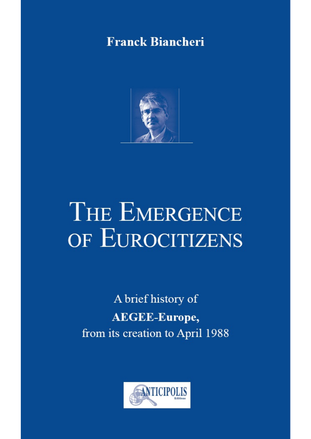## **Franck Biancheri**



# THE EMERGENCE OF EUROCITIZENS

A brief history of **AEGEE-Europe,** from its creation to April 1988

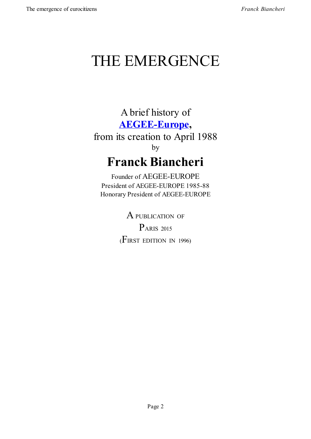# THE EMERGENCE

A brief history of **AEGEE-Europe,** from its creation to April 1988 [by](http://www.aegee.org/)

# **Franck Biancheri**

Founder of AEGEE-EUROPE President of AEGEE-EUROPE 1985-88 Honorary President of AEGEE-EUROPE

> A PUBLICATION OF PARIS <sup>2015</sup> (FIRST EDITION IN 1996)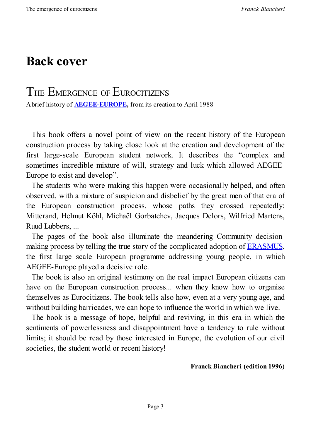# **Back cover**

## THE EMERGENCE OF EUROCITIZENS

Abrief history of **AEGEE-EUROPE,** from its creation to April 1988

This book offers a [novel](http://www.aegee.org/) point of view on the recent history of the European construction process by taking close look at the creation and development of the first large-scale European student network. It describes the "complex and sometimes incredible mixture of will, strategy and luck which allowed AEGEE-Europe to exist and develop".

The students who were making this happen were occasionally helped, and often observed, with a mixture of suspicion and disbelief by the great men of that era of the European construction process, whose paths they crossed repeatedly: Mitterand, Helmut Köhl, Michaël Gorbatchev, Jacques Delors, Wilfried Martens, Ruud Lubbers, ...

The pages of the book also illuminate the meandering Community decisionmaking process by telling the true story of the complicated adoption of ERASMUS, the first large scale European programme addressing young people, in which AEGEE-Europe played a decisive role.

The book is also an original testimony on the real impact European [citizens](http://en.wikipedia.org/wiki/Erasmus_Programme) can have on the European construction process... when they know how to organise themselves as Eurocitizens. The book tells also how, even at a very young age, and without building barricades, we can hope to influence the world in which we live.

The book is a message of hope, helpful and reviving, in this era in which the sentiments of powerlessness and disappointment have a tendency to rule without limits; it should be read by those interested in Europe, the evolution of our civil societies, the student world or recent history!

#### **Franck Biancheri (edition 1996)**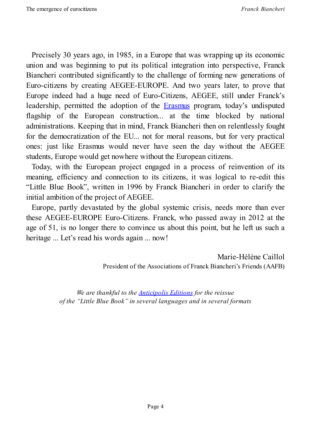Precisely 30 years ago, in 1985, in a Europe that was wrapping up its economic union and was beginning to put its political integration into perspective, Franck Biancheri contributed significantly to the challenge of forming new generations of Euro-citizens by creating AEGEE-EUROPE. And two years later, to prove that Europe indeed had a huge need of Euro-Citizens, AEGEE, still under Franck's leadership, permitted the adoption of the Erasmus program, today's undisputed flagship of the European construction... at the time blocked by national administrations. Keeping that in mind, Franck Biancheri then on relentlessly fought for the democratization of the EU... not for [moral](http://en.wikipedia.org/wiki/Erasmus_Programme) reasons, but for very practical ones: just like Erasmus would never have seen the day without the AEGEE students, Europe would get nowhere without the European citizens.

Today, with the European project engaged in a process of reinvention of its meaning, efficiency and connection to its citizens, it was logical to re-edit this "Little Blue Book", written in 1996 by Franck Biancheri in order to clarify the initial ambition of the project of AEGEE.

Europe, partly devastated by the global systemic crisis, needs more than ever these AEGEE-EUROPE Euro-Citizens. Franck, who passed away in 2012 at the age of 51, is no longer there to convince us about this point, but he left us such a heritage ... Let's read his words again ... now!

> Marie-Hélène Caillol President of the Associations of Franck Biancheri's Friends (AAFB)

*We are thankful to the Anticipolis Editions for the reissue of the "Little Blue Book" in several languages and in several formats*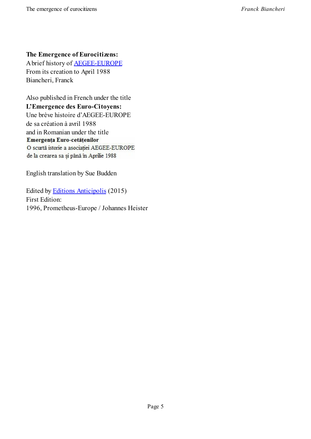#### **The Emergence of Eurocitizens:**

Abrief history of AEGEE-EUROPE From its creation to April 1988 Biancheri, Franck

Also published in French under the title **L'Emergence des Euro-Citoyens:** Une brève histoire d'AEGEE-EUROPE de sa création à avril 1988 and in Romanian under the title Emergența Euro-cetățenilor O scurtă istorie a asociației AEGEE-EUROPE de la crearea sa și până în Aprilie 1988

English translation by Sue Budden

Edited by Editions Anticipolis (2015) First Edition: 1996, Prometheus-Europe / Johannes Heister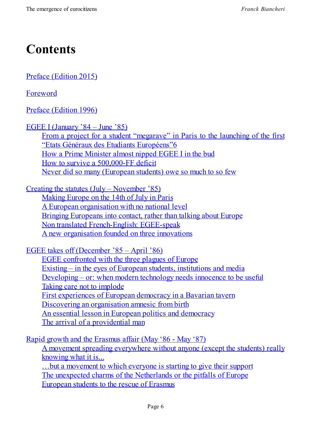# **Contents**

Preface (Edition 2015)

Foreword

Preface [\(Edition](#page-7-0) 1996)

[EGEE](#page-11-0) I (January '84 – June '85)

From a [project](#page-13-0) for a student "megarave" in Paris to the launching of the first "Etats Généraux des Etudiants Européens"6 How a Prime [Minister](#page-18-0) almost nipped EGEE I in the bud How to survive a [500,000-FF](#page-19-0) deficit Never did so many [\(European](#page-23-0) students) owe so much to so few

Creating the statutes (July – [November](#page-25-0) '85) [Making](#page-26-0) Europe on the 14th of July in Paris A European organisation with no national level Bringing [Europeans](#page-30-0) into contact, rather than talking about Europe Non translated [French-English:](#page-30-1) EGEE-speak A new [organisation](#page-31-0) founded on three innovations

EGEE takes off [\(December](#page-32-0) '85 – April '86) EGEE [confronted](#page-33-0) with the three plagues of Europe Existing – in the eyes of European students, institutions and media [Developing](#page-36-0) – or: when modern technology needs innocence to be useful Taking care not to [implode](#page-36-1) First [experiences](#page-36-2) of European democracy in a Bavarian tavern Discovering an [organisation](#page-38-0) amnesic from birth An [essential](#page-39-0) lesson in European politics and democracy The arrival of a [providential](#page-41-0) man

Rapid growth and the [Erasmus](#page-43-0) affair (May '86 - May '87) A [movement](#page-45-0) spreading everywhere without anyone (except the students) really knowing what it is... …but a [movement](#page-47-0) to which everyone is starting to give their support The unexpected charms of the [Netherlands](#page-47-1) or the pitfalls of Europe [European](#page-48-0) students to the rescue of Erasmus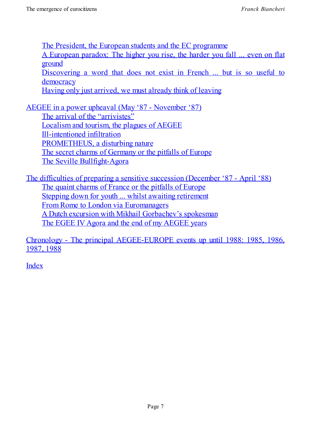The President, the European students and the EC programme A European paradox: The higher you rise, the harder you fall ... even on flat ground [Discovering](#page-53-0) a word that does not exist in French ... but is so useful to [democracy](#page-56-0) Having only just arrived, we must already think of leaving

AEGEE in a power upheaval (May '87 - [November](#page-56-1) '87)

The arrival of the ["arrivistes"](#page-57-0) Localism and tourism, the plagues of AEGEE [Ill-intentioned](#page-59-0) infiltration [PROMETHEUS,](#page-59-1) a disturbing nature The secret charms of [Germany](#page-60-0) or the pitfalls of Europe The Seville [Bullfight-Ago](#page-63-0)[ra](#page-65-0)

The difficulties of preparing a sensitive [succession](#page-70-0) (December '87 - April '88) The quaint [charms](#page-75-0) of France or the pitfalls of Europe Stepping down for youth ... whilst awaiting retirement From Rome to London via [Euromanagers](#page-80-0) A Dutch excursion with Mikhail [Gorbachev's](#page-80-1) spokesman The [EGEE](#page-84-0) IV Agora and the end of my [AEGEE](#page-82-0) years

Chronology - The principal [AEGEE-EUROPE](#page-86-0) events up until 1988: 1985, 1986, 1987, [1988](#page-88-0)

[Index](#page-94-0)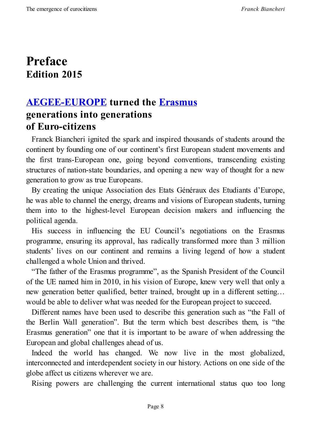## <span id="page-7-0"></span>**Preface Edition 2015**

#### **AEGEE-EUROPE turned the Erasmus generations into generations of [Euro-citizens](http://www.aegee.org/)**

Franck Biancheri ignited the spark and inspired thousands of students around the continent by founding one of our continent's first European student movements and the first trans-European one, going beyond conventions, transcending existing structures of nation-state boundaries, and opening a new way of thought for a new generation to grow as true Europeans.

By creating the unique Association des Etats Généraux des Etudiants d'Europe, he was able to channel the energy, dreams and visions of European students, turning them into to the highest-level European decision makers and influencing the political agenda.

His success in influencing the EU Council's negotiations on the Erasmus programme, ensuring its approval, has radically transformed more than 3 million students' lives on our continent and remains a living legend of how a student challenged a whole Union and thrived.

"The father of the Erasmus programme", as the Spanish President of the Council of the UE named him in 2010, in his vision of Europe, knew very well that only a new generation better qualified, better trained, brought up in a different setting… would be able to deliver what was needed for the European project to succeed.

Different names have been used to describe this generation such as "the Fall of the Berlin Wall generation". But the term which best describes them, is "the Erasmus generation" one that it is important to be aware of when addressing the European and global challenges ahead of us.

Indeed the world has changed. We now live in the most globalized, interconnected and interdependent society in our history. Actions on one side of the globe affect us citizens wherever we are.

Rising powers are challenging the current international status quo too long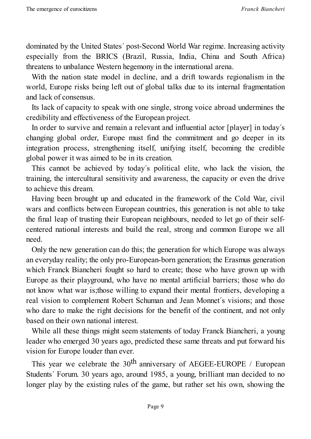dominated by the United States´ post-Second World War regime. Increasing activity especially from the BRICS (Brazil, Russia, India, China and South Africa) threatens to unbalance Western hegemony in the international arena.

With the nation state model in decline, and a drift towards regionalism in the world, Europe risks being left out of global talks due to its internal fragmentation and lack of consensus.

Its lack of capacity to speak with one single, strong voice abroad undermines the credibility and effectiveness of the European project.

In order to survive and remain a relevant and influential actor [player] in today´s changing global order, Europe must find the commitment and go deeper in its integration process, strengthening itself, unifying itself, becoming the credible global power it was aimed to be in its creation.

This cannot be achieved by today´s political elite, who lack the vision, the training, the intercultural sensitivity and awareness, the capacity or even the drive to achieve this dream.

Having been brought up and educated in the framework of the Cold War, civil wars and conflicts between European countries, this generation is not able to take the final leap of trusting their European neighbours, needed to let go of their selfcentered national interests and build the real, strong and common Europe we all need.

Only the new generation can do this; the generation for which Europe was always an everyday reality; the only pro-European-born generation; the Erasmus generation which Franck Biancheri fought so hard to create; those who have grown up with Europe as their playground, who have no mental artificial barriers; those who do not know what war is;those willing to expand their mental frontiers, developing a real vision to complement Robert Schuman and Jean Monnet´s visions; and those who dare to make the right decisions for the benefit of the continent, and not only based on their own national interest.

While all these things might seem statements of today Franck Biancheri, a young leader who emerged 30 years ago, predicted these same threats and put forward his vision for Europe louder than ever.

This year we celebrate the  $30<sup>th</sup>$  anniversary of AEGEE-EUROPE / European Students´ Forum. 30 years ago, around 1985, a young, brilliant man decided to no longer play by the existing rules of the game, but rather set his own, showing the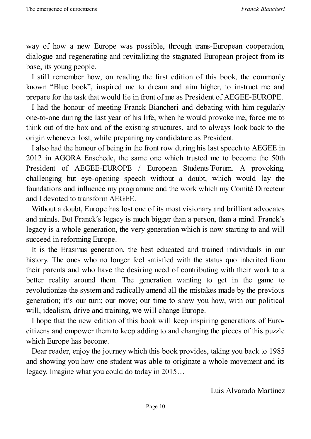way of how a new Europe was possible, through trans-European cooperation, dialogue and regenerating and revitalizing the stagnated European project from its base, its young people.

I still remember how, on reading the first edition of this book, the commonly known "Blue book", inspired me to dream and aim higher, to instruct me and prepare for the task that would lie in front of me as President of AEGEE-EUROPE.

I had the honour of meeting Franck Biancheri and debating with him regularly one-to-one during the last year of his life, when he would provoke me, force me to think out of the box and of the existing structures, and to always look back to the origin whenever lost, while preparing my candidature as President.

I also had the honour of being in the front row during his last speech to AEGEE in 2012 in AGORA Enschede, the same one which trusted me to become the 50th President of AEGEE-EUROPE / European Students´Forum. A provoking, challenging but eye-opening speech without a doubt, which would lay the foundations and influence my programme and the work which my Comité Directeur and I devoted to transform AEGEE.

Without a doubt, Europe has lost one of its most visionary and brilliant advocates and minds. But Franck´s legacy is much bigger than a person, than a mind. Franck´s legacy is a whole generation, the very generation which is now starting to and will succeed in reforming Europe.

It is the Erasmus generation, the best educated and trained individuals in our history. The ones who no longer feel satisfied with the status quo inherited from their parents and who have the desiring need of contributing with their work to a better reality around them. The generation wanting to get in the game to revolutionize the system and radically amend all the mistakes made by the previous generation; it's our turn; our move; our time to show you how, with our political will, idealism, drive and training, we will change Europe.

I hope that the new edition of this book will keep inspiring generations of Eurocitizens and empower them to keep adding to and changing the pieces of this puzzle which Europe has become.

Dear reader, enjoy the journey which this book provides, taking you back to 1985 and showing you how one student was able to originate a whole movement and its legacy. Imagine what you could do today in 2015…

Luis Alvarado Martínez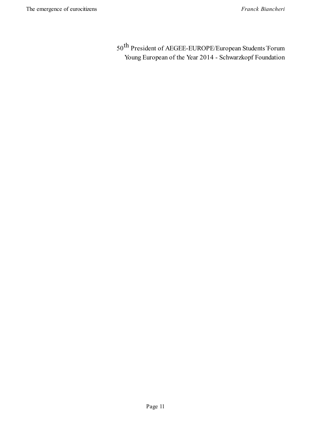50<sup>th</sup> President of AEGEE-EUROPE/European Students Forum Young European of the Year 2014 - Schwarzkopf Foundation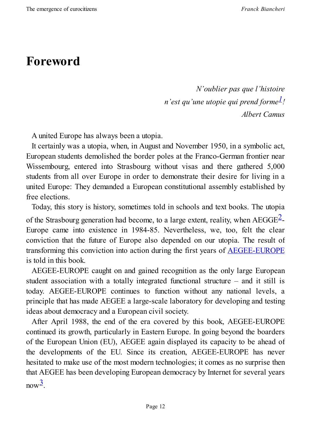# <span id="page-11-0"></span>**Foreword**

<span id="page-11-2"></span><span id="page-11-1"></span>*N'oublier pas que l'histoire n'est qu'une utopie qui prend forme 1! Albert Camus*

A united Europe has always been a utopia.

It certainly was a utopia, when, in August and November 1950, in a symbolic act, European students demolished the border poles at the Franco-German frontier near Wissembourg, entered into Strasbourg without visas and there gathered 5,000 students from all over Europe in order to demonstrate their desire for living in a united Europe: They demanded a European constitutional assembly established by free elections.

Today, this story is history, sometimes told in schools and text books. The utopia of the Strasbourg generation had become, to a large extent, reality, when  $AEGGE^2$ -Europe came into existence in 1984-85. Nevertheless, we, too, felt the clear conviction that the future of Europe also depended on our utopia. The result [o](#page-12-0)f transforming this conviction into action during the first years of AEGEE-EUROPE is told in this book.

AEGEE-EUROPE caught on and gained recognition as the only large [European](http://www.aegee.org/) student association with a totally integrated functional structure – and it still is today. AEGEE-EUROPE continues to function without any national levels, a principle that has made AEGEE a large-scale laboratory for developing and testing ideas about democracy and a European civil society.

After April 1988, the end of the era covered by this book, AEGEE-EUROPE continued its growth, particularly in Eastern Europe. In going beyond the boarders of the European Union (EU), AEGEE again displayed its capacity to be ahead of the developments of the EU. Since its creation, AEGEE-EUROPE has never hesitated to make use of the most modern technologies; it comes as no surprise then that AEGEE has been developing European democracy by Internet for several years  $now^3$ .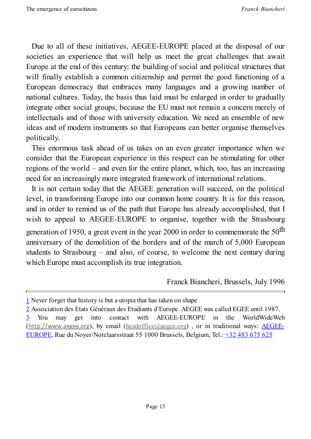Due to all of these initiatives, AEGEE-EUROPE placed at the disposal of our societies an experience that will help us meet the great challenges that await Europe at the end of this century: the building of social and political structures that will finally establish a common citizenship and permit the good functioning of a European democracy that embraces many languages and a growing number of national cultures. Today, the basis thus laid must be enlarged in order to gradually integrate other social groups, because the EU must not remain a concern merely of intellectuals and of those with university education. We need an ensemble of new ideas and of modern instruments so that Europeans can better organise themselves politically.

This enormous task ahead of us takes on an even greater importance when we consider that the European experience in this respect can be stimulating for other regions of the world – and even for the entire planet, which, too, has an increasing need for an increasingly more integrated framework of international relations.

It is not certain today that the AEGEE generation will succeed, on the political level, in transforming Europe into our common home country. It is for this reason, and in order to remind us of the path that Europe has already accomplished, that I wish to appeal to AEGEE-EUROPE to organise, together with the Strasbourg generation of 1950, a great event in the year 2000 in order to commemorate the  $50^{\text{th}}$ anniversary of the demolition of the borders and of the march of 5,000 European students to Strasbourg – and also, of course, to welcome the next century during which Europe must accomplish its true integration.

Franck Biancheri, Brussels, July 1996

<sup>1</sup> Never forget that history is but a utopia that has taken on shape

<span id="page-12-0"></span><sup>2</sup> Association des Etats Généraux des Etudiants d'Europe. AEGEE was called EGEE until 1987. 3 You may get into contact with AEGEE-EUROPE in the WorldWideWeb  $(http://www.aegee.org)$  $(http://www.aegee.org)$ , by email  $(headofface@aegee.org)$ , or in traditional ways:  $\overline{AEGEE}$ -[E](#page-11-2)UROPE, Rue du Noyer/Notelaarsstraat 55 1000 Brussels, Belgium, Tel.: +32 483 675 625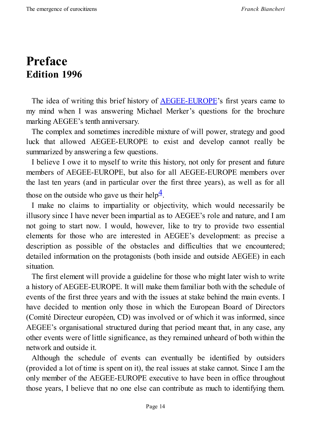## <span id="page-13-0"></span>**Preface Edition 1996**

The idea of writing this brief history of **AEGEE-EUROPE**'s first years came to my mind when I was answering Michael Merker's questions for the brochure marking AEGEE's tenth anniversary.

The complex and sometimes incredible [mixture](http://www.aegee.org/) of will power, strategy and good luck that allowed AEGEE-EUROPE to exist and develop cannot really be summarized by answering a few questions.

I believe I owe it to myself to write this history, not only for present and future members of AEGEE-EUROPE, but also for all AEGEE-EUROPE members over the last ten years (and in particular over the first three years), as well as for all those on the outside who gave us their help<sup>4</sup>.

<span id="page-13-1"></span>I make no claims to impartiality or objectivity, which would necessarily be illusory since I have never been impartial [as](#page-15-0) to AEGEE's role and nature, and I am not going to start now. I would, however, like to try to provide two essential elements for those who are interested in AEGEE's development: as precise a description as possible of the obstacles and difficulties that we encountered; detailed information on the protagonists (both inside and outside AEGEE) in each situation.

The first element will provide a guideline for those who might later wish to write a history of AEGEE-EUROPE. It will make them familiar both with the schedule of events of the first three years and with the issues at stake behind the main events. I have decided to mention only those in which the European Board of Directors (Comité Directeur européen, CD) was involved or of which it was informed, since AEGEE's organisational structured during that period meant that, in any case, any other events were of little significance, as they remained unheard of both within the network and outside it.

Although the schedule of events can eventually be identified by outsiders (provided a lot of time is spent on it), the real issues at stake cannot. Since I am the only member of the AEGEE-EUROPE executive to have been in office throughout those years, I believe that no one else can contribute as much to identifying them.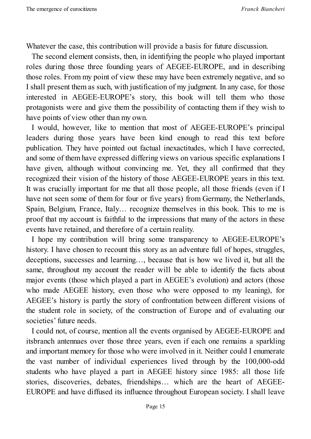Whatever the case, this contribution will provide a basis for future discussion.

The second element consists, then, in identifying the people who played important roles during those three founding years of AEGEE-EUROPE, and in describing those roles. From my point of view these may have been extremely negative, and so I shall present them as such, with justification of my judgment. In any case, for those interested in AEGEE-EUROPE's story, this book will tell them who those protagonists were and give them the possibility of contacting them if they wish to have points of view other than my own.

I would, however, like to mention that most of AEGEE-EUROPE's principal leaders during those years have been kind enough to read this text before publication. They have pointed out factual inexactitudes, which I have corrected, and some of them have expressed differing views on various specific explanations I have given, although without convincing me. Yet, they all confirmed that they recognized their vision of the history of those AEGEE-EUROPE years in this text. It was crucially important for me that all those people, all those friends (even if I have not seen some of them for four or five years) from Germany, the Netherlands, Spain, Belgium, France, Italy… recognize themselves in this book. This to me is proof that my account is faithful to the impressions that many of the actors in these events have retained, and therefore of a certain reality.

I hope my contribution will bring some transparency to AEGEE-EUROPE's history. I have chosen to recount this story as an adventure full of hopes, struggles, deceptions, successes and learning…, because that is how we lived it, but all the same, throughout my account the reader will be able to identify the facts about major events (those which played a part in AEGEE's evolution) and actors (those who made AEGEE history, even those who were opposed to my leaning), for AEGEE's history is partly the story of confrontation between different visions of the student role in society, of the construction of Europe and of evaluating our societies' future needs.

I could not, of course, mention all the events organised by AEGEE-EUROPE and itsbranch antennaes over those three years, even if each one remains a sparkling and important memory for those who were involved in it. Neither could I enumerate the vast number of individual experiences lived through by the 100,000-odd students who have played a part in AEGEE history since 1985: all those life stories, discoveries, debates, friendships… which are the heart of AEGEE-EUROPE and have diffused its influence throughout European society. I shall leave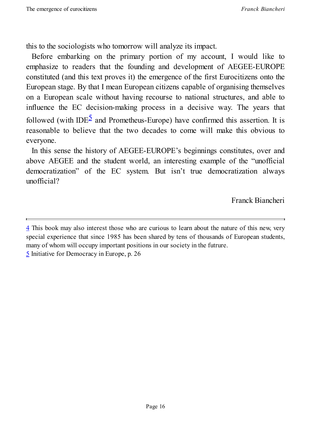this to the sociologists who tomorrow will analyze its impact.

Before embarking on the primary portion of my account, I would like to emphasize to readers that the founding and development of AEGEE-EUROPE constituted (and this text proves it) the emergence of the first Eurocitizens onto the European stage. By that I mean European citizens capable of organising themselves on a European scale without having recourse to national structures, and able to influence the EC decision-making process in a decisive way. The years that followed (with IDE<sup>5</sup> and Prometheus-Europe) have confirmed this assertion. It is reasonable to believe that the two decades to come will make this obvious to everyone.

In this sense the [his](#page-15-1)tory of AEGEE-EUROPE's beginnings constitutes, over and above AEGEE and the student world, an interesting example of the "unofficial democratization" of the EC system. But isn't true democratization always unofficial?

Franck Biancheri

<span id="page-15-1"></span><span id="page-15-0"></span><sup>4</sup> This book may also interest those who are curious to learn about the nature of this new, very special experience that since 1985 has been shared by tens of thousands of European students, many of whom will occupy important positions in our society in the futrure. [5](#page-13-1) Initiative for Democracy in Europe, p. 26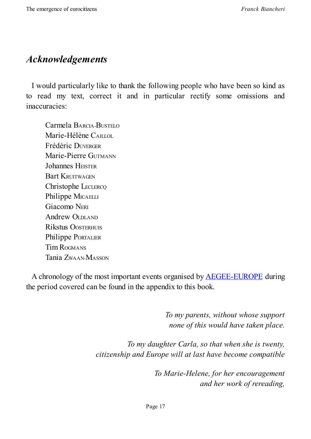#### *Acknowledgements*

I would particularly like to thank the following people who have been so kind as to read my text, correct it and in particular rectify some omissions and inaccuracies:

Carmela BARCIA-BUSTELO Marie-Hélène CAILLOL Frédéric DUVERGER Marie-Pierre GUTMANN Johannes HEISTER **Bart KRUITWAGEN** Christophe LECLERCQ Philippe MICAELLI Giacomo NERI Andrew OLDLAND Rikstus OOSTERHUIS Philippe PORTALIER Tim ROGMANS Tania ZWAAN-MASSON

A chronology of the most important events organised by AEGEE-EUROPE during the period covered can be found in the appendix to this book.

> *To my parents, without whose support none of this would have taken place.*

*To my daughter Carla, so that when she is twenty, citizenship and Europe will at last have become compatible*

> *To Marie-Helene, for her encouragement and her work of rereading,*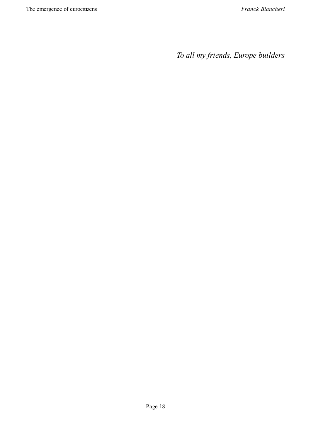*To all my friends, Europe builders*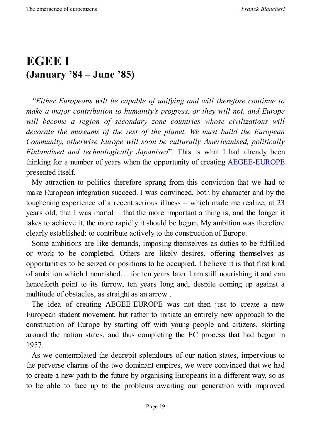## <span id="page-18-0"></span>**EGEE I (January '84 – June '85)**

*"Either Europeans will be capable of unifying and will therefore continue to make a major contribution to humanity's progress, or they will not, and Europe will become a region of secondary zone countries whose civilizations will decorate the museums of the rest of the planet. We must build the European Community, otherwise Europe will soon be culturally Americanised, politically Finlandised and technologically Japanised*". This is what I had already been thinking for a number of years when the opportunity of creating AEGEE-EUROPE presented itself.

My attraction to politics therefore sprang from this conviction that we had to make European integration succeed. I was convinced, both by c[haracter](http://www.aegee.org/) and by the toughening experience of a recent serious illness – which made me realize, at 23 years old, that I was mortal – that the more important a thing is, and the longer it takes to achieve it, the more rapidly it should be begun. My ambition was therefore clearly established: to contribute actively to the construction of Europe.

Some ambitions are like demands, imposing themselves as duties to be fulfilled or work to be completed. Others are likely desires, offering themselves as opportunities to be seized or positions to be occupied. I believe it is that first kind of ambition which I nourished… for ten years later I am still nourishing it and can henceforth point to its furrow, ten years long and, despite coming up against a multitude of obstacles, as straight as an arrow .

The idea of creating AEGEE-EUROPE was not then just to create a new European student movement, but rather to initiate an entirely new approach to the construction of Europe by starting off with young people and citizens, skirting around the nation states, and thus completing the EC process that had begun in 1957.

As we contemplated the decrepit splendours of our nation states, impervious to the perverse charms of the two dominant empires, we were convinced that we had to create a new path to the future by organising Europeans in a different way, so as to be able to face up to the problems awaiting our generation with improved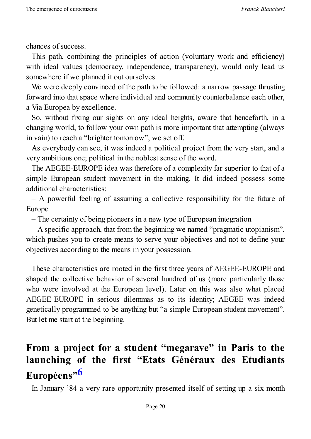chances of success.

This path, combining the principles of action (voluntary work and efficiency) with ideal values (democracy, independence, transparency), would only lead us somewhere if we planned it out ourselves.

We were deeply convinced of the path to be followed: a narrow passage thrusting forward into that space where individual and community counterbalance each other, a Via Europea by excellence.

So, without fixing our sights on any ideal heights, aware that henceforth, in a changing world, to follow your own path is more important that attempting (always in vain) to reach a "brighter tomorrow", we set off.

As everybody can see, it was indeed a political project from the very start, and a very ambitious one; political in the noblest sense of the word.

The AEGEE-EUROPE idea was therefore of a complexity far superior to that of a simple European student movement in the making. It did indeed possess some additional characteristics:

– A powerful feeling of assuming a collective responsibility for the future of Europe

– The certainty of being pioneers in a new type of European integration

– A specific approach, that from the beginning we named "pragmatic utopianism", which pushes you to create means to serve your objectives and not to define your objectives according to the means in your possession.

These characteristics are rooted in the first three years of AEGEE-EUROPE and shaped the collective behavior of several hundred of us (more particularly those who were involved at the European level). Later on this was also what placed AEGEE-EUROPE in serious dilemmas as to its identity; AEGEE was indeed genetically programmed to be anything but "a simple European student movement". But let me start at the beginning.

## **From a project for a student "megarave" in Paris to the launching of the first "Etats Généraux des Etudiants Européens" 6**

<span id="page-19-1"></span><span id="page-19-0"></span>In January '84 [a](#page-28-0) very rare opportunity presented itself of setting up a six-month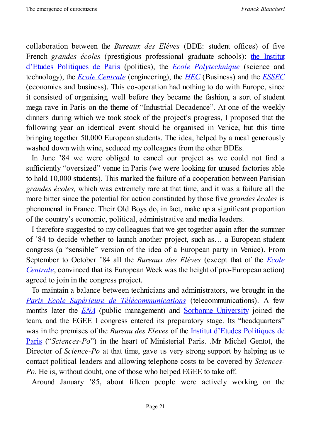collaboration between the *Bureaux des Elèves* (BDE: student offices) of five French *grandes écoles* (prestigious professional graduate schools): the Institut d'Etudes Politiques de Paris (politics), the *Ecole Polytechnique* (science and technology), the *Ecole Centrale* (engineering), the *HEC* (Business) and the *ESSEC* (economics and business). This [co-operation](http://www.sciencespo.fr/en/home) had nothing to do with Europe, since it consisted of [organising,](http://www.ecp.fr/lang/en/homepage) well before they became the [fashion,](https://www.polytechnique.edu/en) a sort of student mega rave in Paris on the theme of "Industrial De[caden](http://www.hec.edu/)ce". At one of the [weekly](http://www.essec.edu/essec-programs.html) dinners during which we took stock of the project's progress, I proposed that the following year an identical event should be organised in Venice, but this time bringing together 50,000 European students. The idea, helped by a meal generously washed down with wine, seduced my colleagues from the other BDEs.

In June '84 we were obliged to cancel our project as we could not find a sufficiently "oversized" venue in Paris (we were looking for unused factories able to hold 10,000 students). This marked the failure of a cooperation between Parisian *grandes écoles,* which was extremely rare at that time, and it was a failure all the more bitter since the potential for action constituted by those five *grandes écoles* is phenomenal in France. Their Old Boys do, in fact, make up a significant proportion of the country's economic, political, administrative and media leaders.

I therefore suggested to my colleagues that we get together again after the summer of '84 to decide whether to launch another project, such as… a European student congress (a "sensible" version of the idea of a European party in Venice). From September to October '84 all the *Bureaux des Elèves* (except that of the *Ecole Centrale*, convinced that its European Week was the height of pro-European action) agreed to join in the congress project.

To maintain a balance between technicians and [administrators,](http://www.ecp.fr/lang/en/homepage) we brought in the *Paris Ecole Supérieure de Télécommunications* (telecommunications). A few months later the *ENA* (public management) and Sorbonne University joined the team, and the EGEE I congress entered its preparatory stage. Its "headquarters" was in the [premises](http://www.mines-telecom.fr/en/) of the *Bureau des Eleves* of the Institut [d'Etudes](http://www.english.paris-sorbonne.fr/?lang=en) Politiques de Paris ("*Sciences[-Po](http://www.ena.fr/index.php?/en)*") in the heart of Ministerial Paris. .Mr Michel Gentot, the Director of *Science-Po* at that time, gave us very strong support by helping us to contact political leaders and allowing telephone costs to be covered by *[Sciences-](http://www.sciencespo.fr/en/home)Po*. He is, without doubt, one of those who helped EGEE to take off.

Around January '85, about fifteen people were actively working on the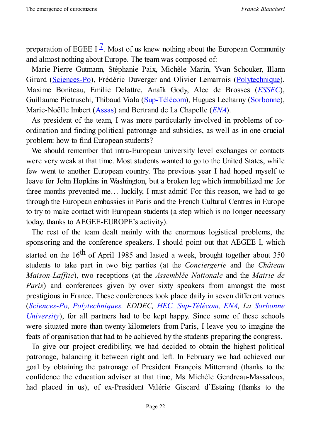preparation of EGEE I  $^{\mathbb{Z}}$ . Most of us knew nothing about the European Community and almost nothing about Europe. The team was composed of:

<span id="page-21-0"></span>Marie-Pierre Gutma[nn,](#page-28-1) Stéphanie Paix, Michèle Marin, Yvan Schouker, Illann Girard (Sciences-Po), Frédéric Duverger and Olivier Lemarrois (Polytechnique), Maxime Boniteau, Emilie Delattre, Anaïk Gody, Alec de Brosses (*ESSEC*), Guillaume [Pietruschi](http://www.sciencespo.fr/en/home), Thibaud Viala (Sup-Télécom), Hugues Lecharny [\(Sorbonne](https://www.polytechnique.edu/en)), Marie-Noëlle Imbert (Assas) and Bertrand de La Chapelle (*ENA*).

As president of the team, I was more [particularl](http://www.mines-telecom.fr/en/)y involved in problems [of](http://www.essec.edu/essec-programs.html) coordination and finding political patronage and subsidies, as [wel](http://www.ena.fr/index.php?/en)l as in one [crucia](http://www.english.paris-sorbonne.fr/?lang=en)l problem: how to find [Europe](http://www.u-paris2.fr/52966480/1/fiche___pagelibre/RF=ACCUEIL_EN)an students?

We should remember that intra-European university level exchanges or contacts were very weak at that time. Most students wanted to go to the United States, while few went to another European country. The previous year I had hoped myself to leave for John Hopkins in Washington, but a broken leg which immobilized me for three months prevented me… luckily, I must admit! For this reason, we had to go through the European embassies in Paris and the French Cultural Centres in Europe to try to make contact with European students (a step which is no longer necessary today, thanks to AEGEE-EUROPE's activity).

The rest of the team dealt mainly with the enormous logistical problems, the sponsoring and the conference speakers. I should point out that AEGEE I, which started on the  $16<sup>th</sup>$  of April 1985 and lasted a week, brought together about 350 students to take part in two big parties (at the *Conciergerie* and the *Château Maison-Laffite*), two receptions (at the *Assemblée Nationale* and the *Mairie de Paris*) and conferences given by over sixty speakers from amongst the most prestigious in France. These conferences took place daily in seven different venues (*Sciences-Po, Polytechniques, EDDEC, HEC, Sup-Télécom, ENA, La Sorbonne University*), for all partners had to be kept happy. Since some of these schools were [situated](http://www.sciencespo.fr/en/home) more than twenty kilometers from Paris, I leave you to imagine the feats of [organisation](http://www.english.paris-sorbonne.fr/?lang=en) that had to be achieved [by](http://www.hec.edu/) the [students](http://www.mines-telecom.fr/en/) pre[paring](http://www.ena.fr/index.php?/en) the congress.

To give our project credibility, we had decided to obtain the highest political patronage, balancing it between right and left. In February we had achieved our goal by obtaining the patronage of President François Mitterrand (thanks to the confidence the education adviser at that time, Ms Michèle Gendreau-Massaloux, had placed in us), of ex-President Valérie Giscard d'Estaing (thanks to the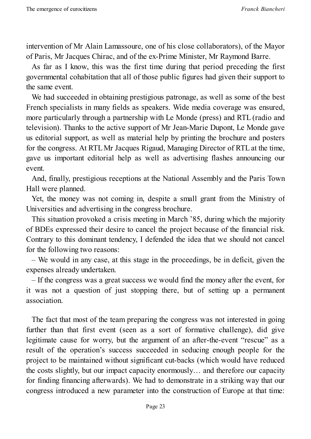intervention of Mr Alain Lamassoure, one of his close collaborators), of the Mayor of Paris, Mr Jacques Chirac, and of the ex-Prime Minister, Mr Raymond Barre.

As far as I know, this was the first time during that period preceding the first governmental cohabitation that all of those public figures had given their support to the same event.

We had succeeded in obtaining prestigious patronage, as well as some of the best French specialists in many fields as speakers. Wide media coverage was ensured, more particularly through a partnership with Le Monde (press) and RTL (radio and television). Thanks to the active support of Mr Jean-Marie Dupont, Le Monde gave us editorial support, as well as material help by printing the brochure and posters for the congress. At RTLMr Jacques Rigaud, Managing Director of RTLat the time, gave us important editorial help as well as advertising flashes announcing our event.

And, finally, prestigious receptions at the National Assembly and the Paris Town Hall were planned.

Yet, the money was not coming in, despite a small grant from the Ministry of Universities and advertising in the congress brochure.

This situation provoked a crisis meeting in March '85, during which the majority of BDEs expressed their desire to cancel the project because of the financial risk. Contrary to this dominant tendency, I defended the idea that we should not cancel for the following two reasons:

– We would in any case, at this stage in the proceedings, be in deficit, given the expenses already undertaken.

– If the congress was a great success we would find the money after the event, for it was not a question of just stopping there, but of setting up a permanent association.

The fact that most of the team preparing the congress was not interested in going further than that first event (seen as a sort of formative challenge), did give legitimate cause for worry, but the argument of an after-the-event "rescue" as a result of the operation's success succeeded in seducing enough people for the project to be maintained without significant cut-backs (which would have reduced the costs slightly, but our impact capacity enormously… and therefore our capacity for finding financing afterwards). We had to demonstrate in a striking way that our congress introduced a new parameter into the construction of Europe at that time: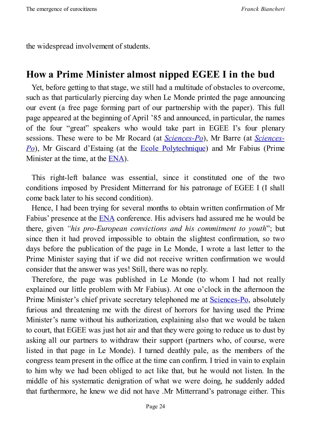the widespread involvement of students.

#### **How a Prime Minister almost nipped EGEE I in the bud**

<span id="page-23-0"></span>Yet, before getting to that stage, we still had a multitude of obstacles to overcome, such as that particularly piercing day when Le Monde printed the page announcing our event (a free page forming part of our partnership with the paper). This full page appeared at the beginning of April '85 and announced, in particular, the names of the four "great" speakers who would take part in EGEE I's four plenary sessions. These were to be Mr Rocard (at *Sciences-Po*), Mr Barre (at *Sciences-Po*), Mr Giscard d'Estaing (at the Ecole Polytechnique) and Mr Fabius (Prime Minister at the time, at the ENA).

This right-left balance was ess[ential,](https://www.polytechnique.edu/en) since it [constituted](http://www.sciencespo.fr/en/home) one of the two conditions imposed by Pr[esiden](http://www.ena.fr/index.php?/en)t Mitterrand for his patronage of EGEE I (I shall come back later to his second condition).

Hence, I had been trying for several months to obtain written confirmation of Mr Fabius' presence at the ENA conference. His advisers had assured me he would be there, given *"his pro-European convictions and his commitment to youth*"; but since then it had proved impossible to obtain the slightest confirmation, so two days before the public[ation](http://www.ena.fr/index.php?/en) of the page in Le Monde, I wrote a last letter to the Prime Minister saying that if we did not receive written confirmation we would consider that the answer was yes! Still, there was no reply.

Therefore, the page was published in Le Monde (to whom I had not really explained our little problem with Mr Fabius). At one o'clock in the afternoon the Prime Minister's chief private secretary telephoned me at **Sciences-Po**, absolutely furious and threatening me with the direst of horrors for having used the Prime Minister's name without his authorization, explaining also that we would be taken to court, that EGEE was just hot air and that they were going to [reduce](http://www.sciencespo.fr/en/home) us to dust by asking all our partners to withdraw their support (partners who, of course, were listed in that page in Le Monde). I turned deathly pale, as the members of the congress team present in the office at the time can confirm. I tried in vain to explain to him why we had been obliged to act like that, but he would not listen. In the middle of his systematic denigration of what we were doing, he suddenly added that furthermore, he knew we did not have .Mr Mitterrand's patronage either. This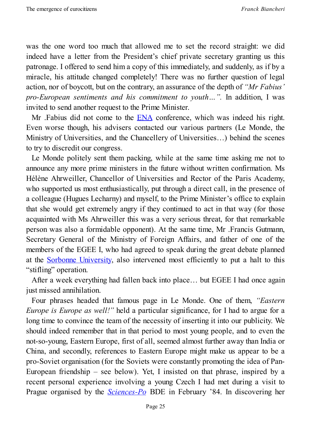was the one word too much that allowed me to set the record straight: we did indeed have a letter from the President's chief private secretary granting us this patronage. I offered to send him a copy of this immediately, and suddenly, as if by a miracle, his attitude changed completely! There was no further question of legal action, nor of boycott, but on the contrary, an assurance of the depth of *"Mr Fabius' pro-European sentiments and his commitment to youth…".* In addition, I was invited to send another request to the Prime Minister.

Mr . Fabius did not come to the **ENA** conference, which was indeed his right. Even worse though, his advisers contacted our various partners (Le Monde, the Ministry of Universities, and the C[hance](http://www.ena.fr/index.php?/en)llery of Universities…) behind the scenes to try to discredit our congress.

Le Monde politely sent them packing, while at the same time asking me not to announce any more prime ministers in the future without written confirmation. Ms Hélène Ahrweiller, Chancellor of Universities and Rector of the Paris Academy, who supported us most enthusiastically, put through a direct call, in the presence of a colleague (Hugues Lecharny) and myself, to the Prime Minister's office to explain that she would get extremely angry if they continued to act in that way (for those acquainted with Ms Ahrweiller this was a very serious threat, for that remarkable person was also a formidable opponent). At the same time, Mr .Francis Gutmann, Secretary General of the Ministry of Foreign Affairs, and father of one of the members of the EGEE I, who had agreed to speak during the great debate planned at the Sorbonne University, also intervened most efficiently to put a halt to this "stifling" operation.

After a week everything had fallen back into place… but EGEE I had once again just missed [annihilation.](http://www.english.paris-sorbonne.fr/?lang=en)

Four phrases headed that famous page in Le Monde. One of them, *"Eastern Europe is Europe as well!"* held a particular significance, for I had to argue for a long time to convince the team of the necessity of inserting it into our publicity. We should indeed remember that in that period to most young people, and to even the not-so-young, Eastern Europe, first of all, seemed almost further away than India or China, and secondly, references to Eastern Europe might make us appear to be a pro-Soviet organisation (for the Soviets were constantly promoting the idea of Pan-European friendship – see below). Yet, I insisted on that phrase, inspired by a recent personal experience involving a young Czech I had met during a visit to Prague organised by the *Sciences-Po* BDE in February '84. In discovering her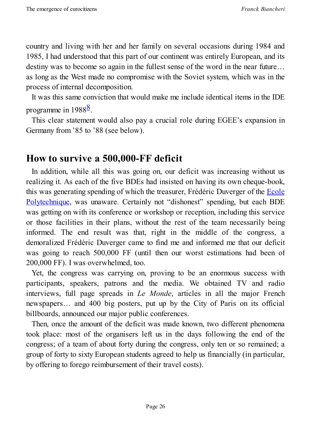country and living with her and her family on several occasions during 1984 and 1985, I had understood that this part of our continent was entirely European, and its destiny was to become so again in the fullest sense of the word in the near future… as long as the West made no compromise with the Soviet system, which was in the process of internal decomposition.

It was this same conviction that would make me include identical items in the IDE programme in 1988<sup>8</sup>.

<span id="page-25-1"></span>This clear statement would also pay a crucial role during EGEE's expansion in Germany from '85 [to](#page-28-2) '88 (see below).

#### **How to survive a 500,000-FF deficit**

<span id="page-25-0"></span>In addition, while all this was going on, our deficit was increasing without us realizing it. As each of the five BDEs had insisted on having its own cheque-book, this was generating spending of which the treasurer, Frédéric Duverger of the Ecole Polytechnique, was unaware. Certainly not "dishonest" spending, but each BDE was getting on with its conference or workshop or reception, including this service or those facilities in their plans, without the rest of the team [necessarily](https://www.polytechnique.edu/en) being informed. The end result was that, right in the middle of the congress, a demoralized Frédéric Duverger came to find me and informed me that our deficit was going to reach 500,000 FF (until then our worst estimations had been of 200,000 FF). I was overwhelmed, too.

Yet, the congress was carrying on, proving to be an enormous success with participants, speakers, patrons and the media. We obtained TV and radio interviews, full page spreads in *Le Monde*, articles in all the major French newspapers… and 400 big posters, put up by the City of Paris on its official billboards, announced our major public conferences.

Then, once the amount of the deficit was made known, two different phenomena took place: most of the organisers left us in the days following the end of the congress; of a team of about forty during the congress, only ten or so remained; a group of forty to sixty European students agreed to help us financially (in particular, by offering to forego reimbursement of their travel costs).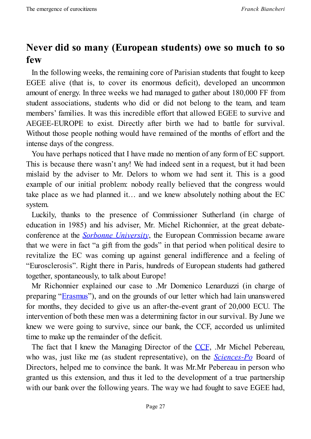### **Never did so many (European students) owe so much to so few**

<span id="page-26-0"></span>In the following weeks, the remaining core of Parisian students that fought to keep EGEE alive (that is, to cover its enormous deficit), developed an uncommon amount of energy. In three weeks we had managed to gather about 180,000 FF from student associations, students who did or did not belong to the team, and team members' families. It was this incredible effort that allowed EGEE to survive and AEGEE-EUROPE to exist. Directly after birth we had to battle for survival. Without those people nothing would have remained of the months of effort and the intense days of the congress.

You have perhaps noticed that I have made no mention of any form of EC support. This is because there wasn't any! We had indeed sent in a request, but it had been mislaid by the adviser to Mr. Delors to whom we had sent it. This is a good example of our initial problem: nobody really believed that the congress would take place as we had planned it… and we knew absolutely nothing about the EC system.

Luckily, thanks to the presence of Commissioner Sutherland (in charge of education in 1985) and his adviser, Mr. Michel Richonnier, at the great debateconference at the *Sorbonne University*, the European Commission became aware that we were in fact "a gift from the gods" in that period when political desire to revitalize the EC was coming up against general indifference and a feeling of "Eurosclerosis". Right there in [Paris,](http://www.english.paris-sorbonne.fr/?lang=en) hundreds of European students had gathered together, spontaneously, to talk about Europe!

Mr Richonnier explained our case to .Mr Domenico Lenarduzzi (in charge of preparing "Erasmus"), and on the grounds of our letter which had lain unanswered for months, they decided to give us an after-the-event grant of 20,000 ECU. The intervention of both these men was a determining factor in our survival. By June we knew we were [goin](http://en.wikipedia.org/wiki/Erasmus_Programme)g to survive, since our bank, the CCF, accorded us unlimited time to make up the remainder of the deficit.

The fact that I knew the Managing Director of the CCF, .Mr Michel Pebereau, who was, just like me (as student representative), on the *Sciences-Po* Board of Directors, helped me to convince the bank. It was Mr.Mr Pebereau in person who granted us this extension, and thus it led to the devel[opme](http://en.wikipedia.org/wiki/Cr%C3%A9dit_Commercial_de_France)nt of a true partnership with our bank over the following years. The way we had fought to [save](http://www.sciencespo.fr/en/home) EGEE had,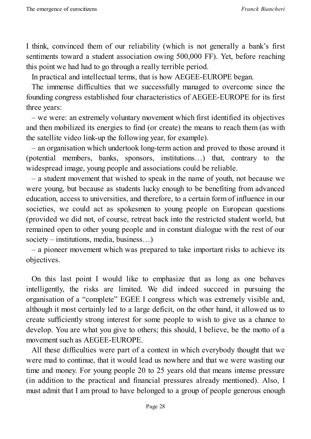I think, convinced them of our reliability (which is not generally a bank's first sentiments toward a student association owing 500,000 FF). Yet, before reaching this point we had had to go through a really terrible period.

In practical and intellectual terms, that is how AEGEE-EUROPE began.

The immense difficulties that we successfully managed to overcome since the founding congress established four characteristics of AEGEE-EUROPE for its first three years:

– we were: an extremely voluntary movement which first identified its objectives and then mobilized its energies to find (or create) the means to reach them (as with the satellite video link-up the following year, for example).

– an organisation which undertook long-term action and proved to those around it (potential members, banks, sponsors, institutions…) that, contrary to the widespread image, young people and associations could be reliable.

– a student movement that wished to speak in the name of youth, not because we were young, but because as students lucky enough to be benefiting from advanced education, access to universities, and therefore, to a certain form of influence in our societies, we could act as spokesmen to young people on European questions (provided we did not, of course, retreat back into the restricted student world, but remained open to other young people and in constant dialogue with the rest of our society – institutions, media, business…)

– a pioneer movement which was prepared to take important risks to achieve its objectives.

On this last point I would like to emphasize that as long as one behaves intelligently, the risks are limited. We did indeed succeed in pursuing the organisation of a "complete" EGEE I congress which was extremely visible and, although it most certainly led to a large deficit, on the other hand, it allowed us to create sufficiently strong interest for some people to wish to give us a chance to develop. You are what you give to others; this should, I believe, be the motto of a movement such as AEGEE-EUROPE.

All these difficulties were part of a context in which everybody thought that we were mad to continue, that it would lead us nowhere and that we were wasting our time and money. For young people 20 to 25 years old that means intense pressure (in addition to the practical and financial pressures already mentioned). Also, I must admit that I am proud to have belonged to a group of people generous enough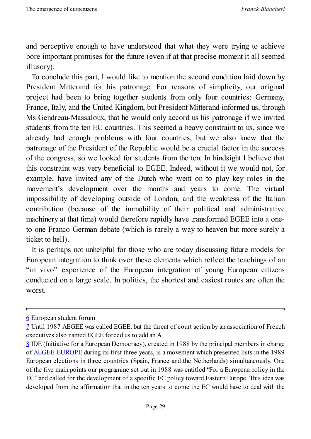and perceptive enough to have understood that what they were trying to achieve bore important promises for the future (even if at that precise moment it all seemed illusory).

To conclude this part, I would like to mention the second condition laid down by President Mitterand for his patronage. For reasons of simplicity, our original project had been to bring together students from only four countries: Germany, France, Italy, and the United Kingdom, but President Mitterand informed us, through Ms Gendreau-Massaloux, that he would only accord us his patronage if we invited students from the ten EC countries. This seemed a heavy constraint to us, since we already had enough problems with four countries, but we also knew that the patronage of the President of the Republic would be a crucial factor in the success of the congress, so we looked for students from the ten. In hindsight I believe that this constraint was very beneficial to EGEE. Indeed, without it we would not, for example, have invited any of the Dutch who went on to play key roles in the movement's development over the months and years to come. The virtual impossibility of developing outside of London, and the weakness of the Italian contribution (because of the immobility of their political and administrative machinery at that time) would therefore rapidly have transformed EGEE into a oneto-one Franco-German debate (which is rarely a way to heaven but more surely a ticket to hell).

It is perhaps not unhelpful for those who are today discussing future models for European integration to think over these elements which reflect the teachings of an "in vivo" experience of the European integration of young European citizens conducted on a large scale. In politics, the shortest and easiest routes are often the worst.

<sup>6</sup> European student forum

<sup>7</sup> Until 1987 AEGEE was called EGEE, but the threat of court action by an association of French executives also named EGEE forced us to add an A.

<span id="page-28-2"></span><span id="page-28-1"></span><span id="page-28-0"></span>[<sup>8</sup>](#page-19-1) IDE (Initiative for a European Democracy), created in 1988 by the principal members in charge [of](#page-21-0) AEGEE-EUROPE during its first three years, is a movement which presented lists in the 1989 European elections in three countries (Spain, France and the Netherlands) simultaneously. One [of](#page-25-1) the five main points our programme set out in 1988 was entitled "For a European policy in the EC" and [called](http://www.aegee.org/) for the development of a specific EC policy toward Eastern Europe. This idea was developed from the affirmation that in the ten years to come the EC would have to deal with the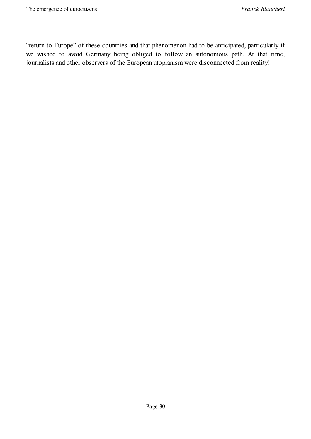"return to Europe" of these countries and that phenomenon had to be anticipated, particularly if we wished to avoid Germany being obliged to follow an autonomous path. At that time, journalists and other observers of the European utopianism were disconnected from reality!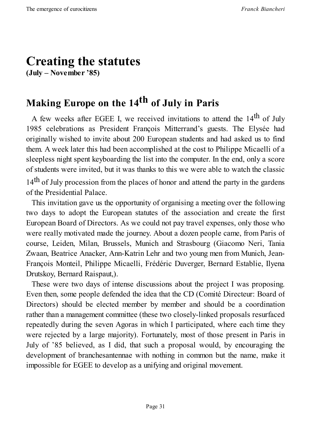# <span id="page-30-0"></span>**Creating the statutes**

**(July – November '85)**

# <span id="page-30-1"></span>**Making Europe on the 14 th of July in Paris**

A few weeks after EGEE I, we received invitations to attend the  $14<sup>th</sup>$  of July 1985 celebrations as President François Mitterrand's guests. The Elysée had originally wished to invite about 200 European students and had asked us to find them. A week later this had been accomplished at the cost to Philippe Micaelli of a sleepless night spent keyboarding the list into the computer. In the end, only a score of students were invited, but it was thanks to this we were able to watch the classic 14<sup>th</sup> of July procession from the places of honor and attend the party in the gardens of the Presidential Palace.

This invitation gave us the opportunity of organising a meeting over the following two days to adopt the European statutes of the association and create the first European Board of Directors. As we could not pay travel expenses, only those who were really motivated made the journey. About a dozen people came, from Paris of course, Leiden, Milan, Brussels, Munich and Strasbourg (Giacomo Neri, Tania Zwaan, Beatrice Anacker, Ann-Katrin Lehr and two young men from Munich, Jean-François Monteil, Philippe Micaelli, Frédéric Duverger, Bernard Establie, Ilyena Drutskoy, Bernard Raispaut,).

These were two days of intense discussions about the project I was proposing. Even then, some people defended the idea that the CD (Comité Directeur: Board of Directors) should be elected member by member and should be a coordination rather than a management committee (these two closely-linked proposals resurfaced repeatedly during the seven Agoras in which I participated, where each time they were rejected by a large majority). Fortunately, most of those present in Paris in July of '85 believed, as I did, that such a proposal would, by encouraging the development of branchesantennae with nothing in common but the name, make it impossible for EGEE to develop as a unifying and original movement.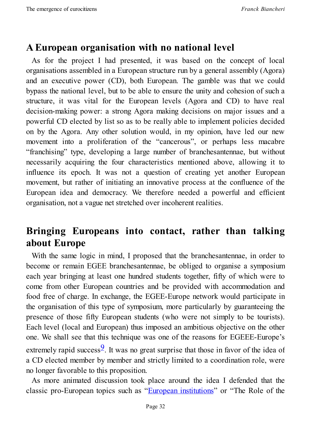#### **A European organisation with no national level**

<span id="page-31-0"></span>As for the project I had presented, it was based on the concept of local organisations assembled in a European structure run by a general assembly (Agora) and an executive power (CD), both European. The gamble was that we could bypass the national level, but to be able to ensure the unity and cohesion of such a structure, it was vital for the European levels (Agora and CD) to have real decision-making power: a strong Agora making decisions on major issues and a powerful CD elected by list so as to be really able to implement policies decided on by the Agora. Any other solution would, in my opinion, have led our new movement into a proliferation of the "cancerous", or perhaps less macabre "franchising" type, developing a large number of branchesantennae, but without necessarily acquiring the four characteristics mentioned above, allowing it to influence its epoch. It was not a question of creating yet another European movement, but rather of initiating an innovative process at the confluence of the European idea and democracy. We therefore needed a powerful and efficient organisation, not a vague net stretched over incoherent realities.

#### **Bringing Europeans into contact, rather than talking about Europe**

<span id="page-31-1"></span>With the same logic in mind, I proposed that the branchesantennae, in order to become or remain EGEE branchesantennae, be obliged to organise a symposium each year bringing at least one hundred students together, fifty of which were to come from other European countries and be provided with accommodation and food free of charge. In exchange, the EGEE-Europe network would participate in the organisation of this type of symposium, more particularly by guaranteeing the presence of those fifty European students (who were not simply to be tourists). Each level (local and European) thus imposed an ambitious objective on the other one. We shall see that this technique was one of the reasons for EGEEE-Europe's extremely rapid success<sup>9</sup>. It was no great surprise that those in favor of the idea of a CD elected member by member and strictly limited to a coordination role, were no longer favorable to t[hi](#page-35-0)s proposition.

<span id="page-31-2"></span>As more animated discussion took place around the idea I defended that the classic pro-European topics such as "European institutions" or "The Role of the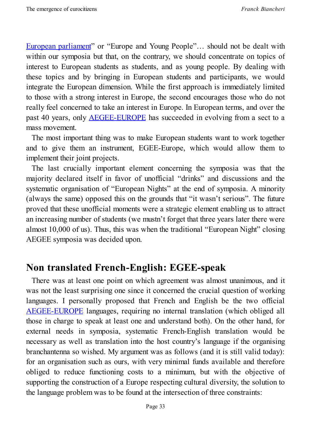European parliament" or "Europe and Young People"… should not be dealt with within our symposia but that, on the contrary, we should concentrate on topics of interest to [European](http://www.europarl.europa.eu/portal/en) students as students, and as young people. By dealing with these topics and by bringing in European students and participants, we would integrate the European dimension. While the first approach is immediately limited to those with a strong interest in Europe, the second encourages those who do not really feel concerned to take an interest in Europe. In European terms, and over the past 40 years, only AEGEE-EUROPE has succeeded in evolving from a sect to a mass movement.

The most important thing was to make European students want to work together and to give them an [instrument,](http://www.aegee.org/) EGEE-Europe, which would allow them to implement their joint projects.

The last crucially important element concerning the symposia was that the majority declared itself in favor of unofficial "drinks" and discussions and the systematic organisation of "European Nights" at the end of symposia. A minority (always the same) opposed this on the grounds that "it wasn't serious". The future proved that these unofficial moments were a strategic element enabling us to attract an increasing number of students (we mustn't forget that three years later there were almost 10,000 of us). Thus, this was when the traditional "European Night" closing AEGEE symposia was decided upon.

#### **Non translated French-English: EGEE-speak**

<span id="page-32-0"></span>There was at least one point on which agreement was almost unanimous, and it was not the least surprising one since it concerned the crucial question of working languages. I personally proposed that French and English be the two official AEGEE-EUROPE languages, requiring no internal translation (which obliged all those in charge to speak at least one and understand both). On the other hand, for external needs in symposia, systematic French-English translation would be [necessary](http://www.aegee.org/) as well as translation into the host country's language if the organising branchantenna so wished. My argument was as follows (and it is still valid today): for an organisation such as ours, with very minimal funds available and therefore obliged to reduce functioning costs to a minimum, but with the objective of supporting the construction of a Europe respecting cultural diversity, the solution to the language problem was to be found at the intersection of three constraints: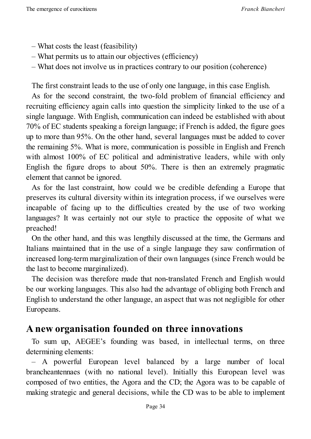- What costs the least (feasibility)
- What permits us to attain our objectives (efficiency)
- What does not involve us in practices contrary to our position (coherence)

The first constraint leads to the use of only one language, in this case English.

As for the second constraint, the two-fold problem of financial efficiency and recruiting efficiency again calls into question the simplicity linked to the use of a single language. With English, communication can indeed be established with about 70% of EC students speaking a foreign language; if French is added, the figure goes up to more than 95%. On the other hand, several languages must be added to cover the remaining 5%. What is more, communication is possible in English and French with almost 100% of EC political and administrative leaders, while with only English the figure drops to about 50%. There is then an extremely pragmatic element that cannot be ignored.

As for the last constraint, how could we be credible defending a Europe that preserves its cultural diversity within its integration process, if we ourselves were incapable of facing up to the difficulties created by the use of two working languages? It was certainly not our style to practice the opposite of what we preached!

On the other hand, and this was lengthily discussed at the time, the Germans and Italians maintained that in the use of a single language they saw confirmation of increased long-term marginalization of their own languages (since French would be the last to become marginalized).

The decision was therefore made that non-translated French and English would be our working languages. This also had the advantage of obliging both French and English to understand the other language, an aspect that was not negligible for other Europeans.

#### <span id="page-33-0"></span>**A new organisation founded on three innovations**

To sum up, AEGEE's founding was based, in intellectual terms, on three determining elements:

– A powerful European level balanced by a large number of local brancheantennaes (with no national level). Initially this European level was composed of two entities, the Agora and the CD; the Agora was to be capable of making strategic and general decisions, while the CD was to be able to implement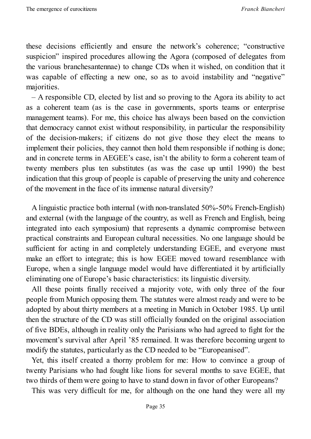these decisions efficiently and ensure the network's coherence; "constructive suspicion" inspired procedures allowing the Agora (composed of delegates from the various branchesantennae) to change CDs when it wished, on condition that it was capable of effecting a new one, so as to avoid instability and "negative" majorities.

– A responsible CD, elected by list and so proving to the Agora its ability to act as a coherent team (as is the case in governments, sports teams or enterprise management teams). For me, this choice has always been based on the conviction that democracy cannot exist without responsibility, in particular the responsibility of the decision-makers; if citizens do not give those they elect the means to implement their policies, they cannot then hold them responsible if nothing is done; and in concrete terms in AEGEE's case, isn't the ability to form a coherent team of twenty members plus ten substitutes (as was the case up until 1990) the best indication that this group of people is capable of preserving the unity and coherence of the movement in the face of its immense natural diversity?

A linguistic practice both internal (with non-translated 50%-50% French-English) and external (with the language of the country, as well as French and English, being integrated into each symposium) that represents a dynamic compromise between practical constraints and European cultural necessities. No one language should be sufficient for acting in and completely understanding EGEE, and everyone must make an effort to integrate; this is how EGEE moved toward resemblance with Europe, when a single language model would have differentiated it by artificially eliminating one of Europe's basic characteristics: its linguistic diversity.

All these points finally received a majority vote, with only three of the four people from Munich opposing them. The statutes were almost ready and were to be adopted by about thirty members at a meeting in Munich in October 1985. Up until then the structure of the CD was still officially founded on the original association of five BDEs, although in reality only the Parisians who had agreed to fight for the movement's survival after April '85 remained. It was therefore becoming urgent to modify the statutes, particularly as the CD needed to be "Europeanised".

Yet, this itself created a thorny problem for me: How to convince a group of twenty Parisians who had fought like lions for several months to save EGEE, that two thirds of them were going to have to stand down in favor of other Europeans?

This was very difficult for me, for although on the one hand they were all my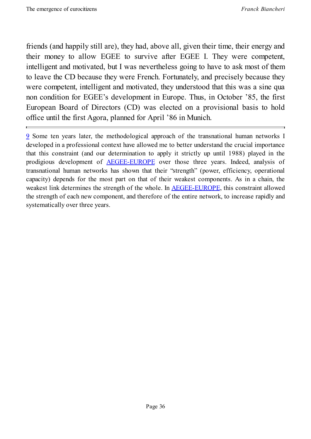friends (and happily still are), they had, above all, given their time, their energy and their money to allow EGEE to survive after EGEE I. They were competent, intelligent and motivated, but I was nevertheless going to have to ask most of them to leave the CD because they were French. Fortunately, and precisely because they were competent, intelligent and motivated, they understood that this was a sine qua non condition for EGEE's development in Europe. Thus, in October '85, the first European Board of Directors (CD) was elected on a provisional basis to hold office until the first Agora, planned for April '86 in Munich.

<span id="page-35-0"></span>9 Some ten years later, the methodological approach of the transnational human networks I developed in a professional context have allowed me to better understand the crucial importance that this constraint (and our determination to apply it strictly up until 1988) played in the [pr](#page-31-2)odigious development of AEGEE-EUROPE over those three years. Indeed, analysis of transnational human networks has shown that their "strength" (power, efficiency, operational capacity) depends for the most part on that of their weakest components. As in a chain, the weakest link determines the s[trength](http://www.aegee.org/) of the whole. In **AEGEE-EUROPE**, this constraint allowed the strength of each new component, and therefore of the entire network, to increase rapidly and systematically over three years.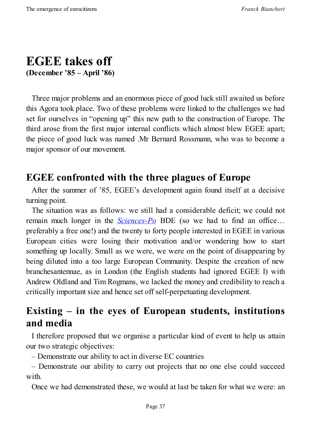# **EGEE takes off (December '85 – April '86)**

Three major problems and an enormous piece of good luck still awaited us before this Agora took place. Two of these problems were linked to the challenges we had set for ourselves in "opening up" this new path to the construction of Europe. The third arose from the first major internal conflicts which almost blew EGEE apart; the piece of good luck was named .Mr Bernard Rossmann, who was to become a major sponsor of our movement.

## **EGEE confronted with the three plagues of Europe**

After the summer of '85, EGEE's development again found itself at a decisive turning point.

The situation was as follows: we still had a considerable deficit; we could not remain much longer in the *Sciences-Po* BDE (so we had to find an office… preferably a free one!) and the twenty to forty people interested in EGEE in various European cities were losing their motivation and/or wondering how to start something up locally. Small as we [were,](http://www.sciencespo.fr/en/home) we were on the point of disappearing by being diluted into a too large European Community. Despite the creation of new branchesantennae, as in London (the English students had ignored EGEE I) with Andrew Oldland and Tim Rogmans, we lacked the money and credibility to reach a critically important size and hence set off self-perpetuating development.

# **Existing – in the eyes of European students, institutions and media**

I therefore proposed that we organise a particular kind of event to help us attain our two strategic objectives:

– Demonstrate our ability to act in diverse EC countries

– Demonstrate our ability to carry out projects that no one else could succeed with.

Once we had demonstrated these, we would at last be taken for what we were: an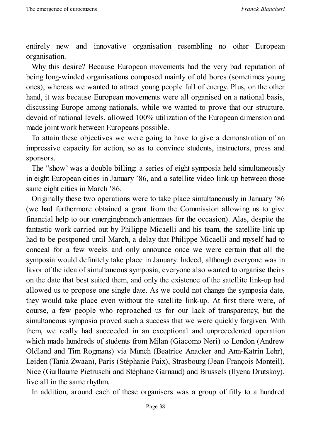entirely new and innovative organisation resembling no other European organisation.

Why this desire? Because European movements had the very bad reputation of being long-winded organisations composed mainly of old bores (sometimes young ones), whereas we wanted to attract young people full of energy. Plus, on the other hand, it was because European movements were all organised on a national basis, discussing Europe among nationals, while we wanted to prove that our structure, devoid of national levels, allowed 100% utilization of the European dimension and made joint work between Europeans possible.

To attain these objectives we were going to have to give a demonstration of an impressive capacity for action, so as to convince students, instructors, press and sponsors.

The "show' was a double billing: a series of eight symposia held simultaneously in eight European cities in January '86, and a satellite video link-up between those same eight cities in March '86.

Originally these two operations were to take place simultaneously in January '86 (we had furthermore obtained a grant from the Commission allowing us to give financial help to our emergingbranch antennaes for the occasion). Alas, despite the fantastic work carried out by Philippe Micaelli and his team, the satellite link-up had to be postponed until March, a delay that Philippe Micaelli and myself had to conceal for a few weeks and only announce once we were certain that all the symposia would definitely take place in January. Indeed, although everyone was in favor of the idea of simultaneous symposia, everyone also wanted to organise theirs on the date that best suited them, and only the existence of the satellite link-up had allowed us to propose one single date. As we could not change the symposia date, they would take place even without the satellite link-up. At first there were, of course, a few people who reproached us for our lack of transparency, but the simultaneous symposia proved such a success that we were quickly forgiven. With them, we really had succeeded in an exceptional and unprecedented operation which made hundreds of students from Milan (Giacomo Neri) to London (Andrew Oldland and Tim Rogmans) via Munch (Beatrice Anacker and Ann-Katrin Lehr), Leiden (Tania Zwaan), Paris (Stéphanie Paix), Strasbourg (Jean-François Monteil), Nice (Guillaume Pietruschi and Stéphane Garnaud) and Brussels (Ilyena Drutskoy), live all in the same rhythm.

In addition, around each of these organisers was a group of fifty to a hundred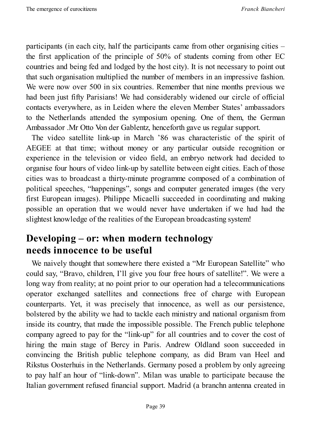participants (in each city, half the participants came from other organising cities – the first application of the principle of 50% of students coming from other EC countries and being fed and lodged by the host city). It is not necessary to point out that such organisation multiplied the number of members in an impressive fashion. We were now over 500 in six countries. Remember that nine months previous we had been just fifty Parisians! We had considerably widened our circle of official contacts everywhere, as in Leiden where the eleven Member States' ambassadors to the Netherlands attended the symposium opening. One of them, the German Ambassador .Mr Otto Von der Gablentz, henceforth gave us regular support.

The video satellite link-up in March '86 was characteristic of the spirit of AEGEE at that time; without money or any particular outside recognition or experience in the television or video field, an embryo network had decided to organise four hours of video link-up by satellite between eight cities. Each of those cities was to broadcast a thirty-minute programme composed of a combination of political speeches, "happenings", songs and computer generated images (the very first European images). Philippe Micaelli succeeded in coordinating and making possible an operation that we would never have undertaken if we had had the slightest knowledge of the realities of the European broadcasting system!

### **Developing – or: when modern technology needs innocence to be useful**

We naively thought that somewhere there existed a "Mr European Satellite" who could say, "Bravo, children, I'll give you four free hours of satellite!". We were a long way from reality; at no point prior to our operation had a telecommunications operator exchanged satellites and connections free of charge with European counterparts. Yet, it was precisely that innocence, as well as our persistence, bolstered by the ability we had to tackle each ministry and national organism from inside its country, that made the impossible possible. The French public telephone company agreed to pay for the "link-up" for all countries and to cover the cost of hiring the main stage of Bercy in Paris. Andrew Oldland soon succeeded in convincing the British public telephone company, as did Bram van Heel and Rikstus Oosterhuis in the Netherlands. Germany posed a problem by only agreeing to pay half an hour of "link-down". Milan was unable to participate because the Italian government refused financial support. Madrid (a branchn antenna created in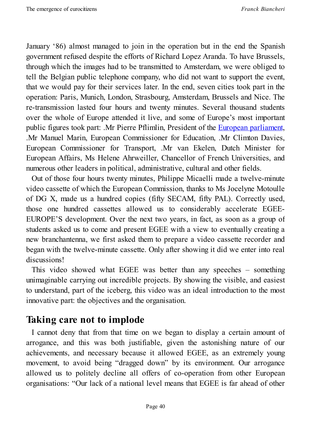January '86) almost managed to join in the operation but in the end the Spanish government refused despite the efforts of Richard Lopez Aranda. To have Brussels, through which the images had to be transmitted to Amsterdam, we were obliged to tell the Belgian public telephone company, who did not want to support the event, that we would pay for their services later. In the end, seven cities took part in the operation: Paris, Munich, London, Strasbourg, Amsterdam, Brussels and Nice. The re-transmission lasted four hours and twenty minutes. Several thousand students over the whole of Europe attended it live, and some of Europe's most important public figures took part: .Mr Pierre Pflimlin, President of the European parliament, .Mr Manuel Marin, European Commissioner for Education, .Mr Climton Davies, European Commissioner for Transport, .Mr van Ekelen, Dutch Minister for European Affairs, Ms Helene Ahrweiller, Chancellor of French [Universities,](http://www.europarl.europa.eu/portal/en) and numerous other leaders in political, administrative, cultural and other fields.

Out of those four hours twenty minutes, Philippe Micaelli made a twelve-minute video cassette of which the European Commission, thanks to Ms Jocelyne Motoulle of DG X, made us a hundred copies (fifty SECAM, fifty PAL). Correctly used, those one hundred cassettes allowed us to considerably accelerate EGEE-EUROPE'S development. Over the next two years, in fact, as soon as a group of students asked us to come and present EGEE with a view to eventually creating a new branchantenna, we first asked them to prepare a video cassette recorder and began with the twelve-minute cassette. Only after showing it did we enter into real discussions!

This video showed what EGEE was better than any speeches – something unimaginable carrying out incredible projects. By showing the visible, and easiest to understand, part of the iceberg, this video was an ideal introduction to the most innovative part: the objectives and the organisation.

## **Taking care not to implode**

I cannot deny that from that time on we began to display a certain amount of arrogance, and this was both justifiable, given the astonishing nature of our achievements, and necessary because it allowed EGEE, as an extremely young movement, to avoid being "dragged down" by its environment. Our arrogance allowed us to politely decline all offers of co-operation from other European organisations: "Our lack of a national level means that EGEE is far ahead of other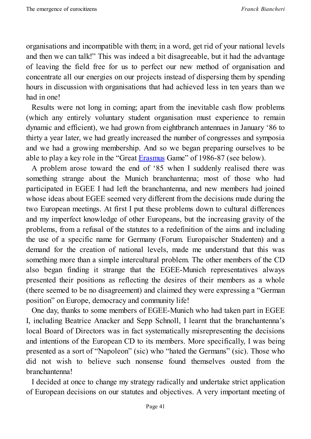organisations and incompatible with them; in a word, get rid of your national levels and then we can talk!" This was indeed a bit disagreeable, but it had the advantage of leaving the field free for us to perfect our new method of organisation and concentrate all our energies on our projects instead of dispersing them by spending hours in discussion with organisations that had achieved less in ten years than we had in one!

Results were not long in coming; apart from the inevitable cash flow problems (which any entirely voluntary student organisation must experience to remain dynamic and efficient), we had grown from eightbranch antennaes in January '86 to thirty a year later, we had greatly increased the number of congresses and symposia and we had a growing membership. And so we began preparing ourselves to be able to play a key role in the "Great Erasmus Game" of 1986-87 (see below).

A problem arose toward the end of '85 when I suddenly realised there was something strange about the Munich branchantenna; most of those who had participated in EGEE I had left the [brancha](http://en.wikipedia.org/wiki/Erasmus_Programme)ntenna, and new members had joined whose ideas about EGEE seemed very different from the decisions made during the two European meetings. At first I put these problems down to cultural differences and my imperfect knowledge of other Europeans, but the increasing gravity of the problems, from a refusal of the statutes to a redefinition of the aims and including the use of a specific name for Germany (Forum. Europaischer Studenten) and a demand for the creation of national levels, made me understand that this was something more than a simple intercultural problem. The other members of the CD also began finding it strange that the EGEE-Munich representatives always presented their positions as reflecting the desires of their members as a whole (there seemed to be no disagreement) and claimed they were expressing a "German position" on Europe, democracy and community life!

One day, thanks to some members of EGEE-Munich who had taken part in EGEE I, including Beatrice Anacker and Sepp Schnoll, I learnt that the branchantenna's local Board of Directors was in fact systematically misrepresenting the decisions and intentions of the European CD to its members. More specifically, I was being presented as a sort of "Napoleon" (sic) who "hated the Germans" (sic). Those who did not wish to believe such nonsense found themselves ousted from the branchantenna!

I decided at once to change my strategy radically and undertake strict application of European decisions on our statutes and objectives. A very important meeting of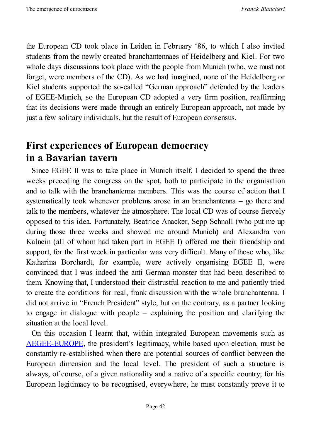the European CD took place in Leiden in February '86, to which I also invited students from the newly created branchantennaes of Heidelberg and Kiel. For two whole days discussions took place with the people from Munich (who, we must not forget, were members of the CD). As we had imagined, none of the Heidelberg or Kiel students supported the so-called "German approach" defended by the leaders of EGEE-Munich, so the European CD adopted a very firm position, reaffirming that its decisions were made through an entirely European approach, not made by just a few solitary individuals, but the result of European consensus.

# **First experiences of European democracy in a Bavarian tavern**

Since EGEE II was to take place in Munich itself, I decided to spend the three weeks preceding the congress on the spot, both to participate in the organisation and to talk with the branchantenna members. This was the course of action that I systematically took whenever problems arose in an branchantenna – go there and talk to the members, whatever the atmosphere. The local CD was of course fiercely opposed to this idea. Fortunately, Beatrice Anacker, Sepp Schnoll (who put me up during those three weeks and showed me around Munich) and Alexandra von Kalnein (all of whom had taken part in EGEE I) offered me their friendship and support, for the first week in particular was very difficult. Many of those who, like Katharina Borchardt, for example, were actively organising EGEE II, were convinced that I was indeed the anti-German monster that had been described to them. Knowing that, I understood their distrustful reaction to me and patiently tried to create the conditions for real, frank discussion with the whole branchantenna. I did not arrive in "French President" style, but on the contrary, as a partner looking to engage in dialogue with people – explaining the position and clarifying the situation at the local level.

On this occasion I learnt that, within integrated European movements such as AEGEE-EUROPE, the president's legitimacy, while based upon election, must be constantly re-established when there are potential sources of conflict between the European dimension and the local level. The president of such a structure is [always,](http://www.aegee.org/) of course, of a given nationality and a native of a specific country; for his European legitimacy to be recognised, everywhere, he must constantly prove it to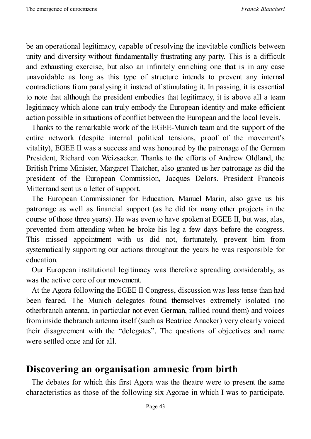be an operational legitimacy, capable of resolving the inevitable conflicts between unity and diversity without fundamentally frustrating any party. This is a difficult and exhausting exercise, but also an infinitely enriching one that is in any case unavoidable as long as this type of structure intends to prevent any internal contradictions from paralysing it instead of stimulating it. In passing, it is essential to note that although the president embodies that legitimacy, it is above all a team legitimacy which alone can truly embody the European identity and make efficient action possible in situations of conflict between the European and the local levels.

Thanks to the remarkable work of the EGEE-Munich team and the support of the entire network (despite internal political tensions, proof of the movement's vitality), EGEE II was a success and was honoured by the patronage of the German President, Richard von Weizsacker. Thanks to the efforts of Andrew Oldland, the British Prime Minister, Margaret Thatcher, also granted us her patronage as did the president of the European Commission, Jacques Delors. President Francois Mitterrand sent us a letter of support.

The European Commissioner for Education, Manuel Marin, also gave us his patronage as well as financial support (as he did for many other projects in the course of those three years). He was even to have spoken at EGEE II, but was, alas, prevented from attending when he broke his leg a few days before the congress. This missed appointment with us did not, fortunately, prevent him from systematically supporting our actions throughout the years he was responsible for education.

Our European institutional legitimacy was therefore spreading considerably, as was the active core of our movement.

At the Agora following the EGEE II Congress, discussion was less tense than had been feared. The Munich delegates found themselves extremely isolated (no otherbranch antenna, in particular not even German, rallied round them) and voices from inside thebranch antenna itself (such as Beatrice Anacker) very clearly voiced their disagreement with the "delegates". The questions of objectives and name were settled once and for all.

#### **Discovering an organisation amnesic from birth**

The debates for which this first Agora was the theatre were to present the same characteristics as those of the following six Agorae in which I was to participate.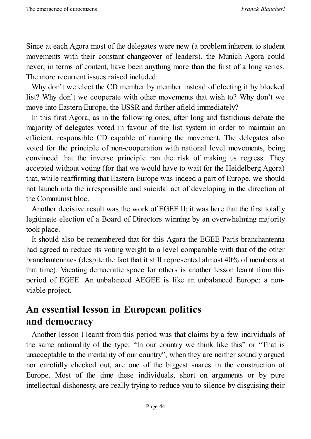Since at each Agora most of the delegates were new (a problem inherent to student movements with their constant changeover of leaders), the Munich Agora could never, in terms of content, have been anything more than the first of a long series. The more recurrent issues raised included:

Why don't we elect the CD member by member instead of electing it by blocked list? Why don't we cooperate with other movements that wish to? Why don't we move into Eastern Europe, the USSR and further afield immediately?

In this first Agora, as in the following ones, after long and fastidious debate the majority of delegates voted in favour of the list system in order to maintain an efficient, responsible CD capable of running the movement. The delegates also voted for the principle of non-cooperation with national level movements, being convinced that the inverse principle ran the risk of making us regress. They accepted without voting (for that we would have to wait for the Heidelberg Agora) that, while reaffirming that Eastern Europe was indeed a part of Europe, we should not launch into the irresponsible and suicidal act of developing in the direction of the Communist bloc.

Another decisive result was the work of EGEE II; it was here that the first totally legitimate election of a Board of Directors winning by an overwhelming majority took place.

It should also be remembered that for this Agora the EGEE-Paris branchantenna had agreed to reduce its voting weight to a level comparable with that of the other branchantennaes (despite the fact that it still represented almost 40% of members at that time). Vacating democratic space for others is another lesson learnt from this period of EGEE. An unbalanced AEGEE is like an unbalanced Europe: a nonviable project.

# **An essential lesson in European politics and democracy**

Another lesson I learnt from this period was that claims by a few individuals of the same nationality of the type: "In our country we think like this" or "That is unacceptable to the mentality of our country", when they are neither soundly argued nor carefully checked out, are one of the biggest snares in the construction of Europe. Most of the time these individuals, short on arguments or by pure intellectual dishonesty, are really trying to reduce you to silence by disguising their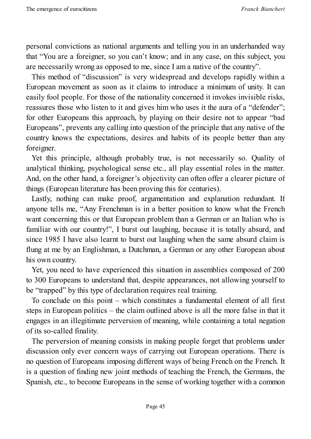personal convictions as national arguments and telling you in an underhanded way that "You are a foreigner, so you can't know; and in any case, on this subject, you are necessarily wrong as opposed to me, since I am a native of the country".

This method of "discussion" is very widespread and develops rapidly within a European movement as soon as it claims to introduce a minimum of unity. It can easily fool people. For those of the nationality concerned it invokes invisible risks, reassures those who listen to it and gives him who uses it the aura of a "defender"; for other Europeans this approach, by playing on their desire not to appear "bad Europeans", prevents any calling into question of the principle that any native of the country knows the expectations, desires and habits of its people better than any foreigner.

Yet this principle, although probably true, is not necessarily so. Quality of analytical thinking, psychological sense etc., all play essential roles in the matter. And, on the other hand, a foreigner's objectivity can often offer a clearer picture of things (European literature has been proving this for centuries).

Lastly, nothing can make proof, argumentation and explanation redundant. If anyone tells me, "Any Frenchman is in a better position to know what the French want concerning this or that European problem than a German or an Italian who is familiar with our country!", I burst out laughing, because it is totally absurd, and since 1985 I have also learnt to burst out laughing when the same absurd claim is flung at me by an Englishman, a Dutchman, a German or any other European about his own country.

Yet, you need to have experienced this situation in assemblies composed of 200 to 300 Europeans to understand that, despite appearances, not allowing yourself to be "trapped" by this type of declaration requires real training.

To conclude on this point – which constitutes a fundamental element of all first steps in European politics – the claim outlined above is all the more false in that it engages in an illegitimate perversion of meaning, while containing a total negation of its so-called finality.

The perversion of meaning consists in making people forget that problems under discussion only ever concern ways of carrying out European operations. There is no question of Europeans imposing different ways of being French on the French. It is a question of finding new joint methods of teaching the French, the Germans, the Spanish, etc., to become Europeans in the sense of working together with a common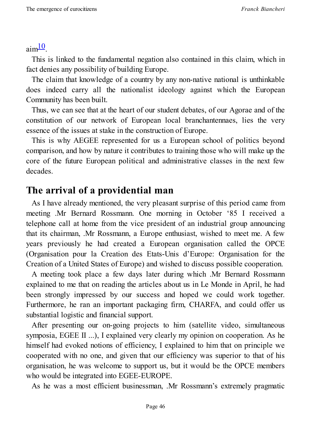$\text{aim}^{10}$ .

This is linked to the fundamental negation also contained in this claim, which in fact [de](#page-46-0)nies any possibility of building Europe.

The claim that knowledge of a country by any non-native national is unthinkable does indeed carry all the nationalist ideology against which the European Community has been built.

Thus, we can see that at the heart of our student debates, of our Agorae and of the constitution of our network of European local branchantennaes, lies the very essence of the issues at stake in the construction of Europe.

This is why AEGEE represented for us a European school of politics beyond comparison, and how by nature it contributes to training those who will make up the core of the future European political and administrative classes in the next few decades.

## **The arrival of a providential man**

As I have already mentioned, the very pleasant surprise of this period came from meeting .Mr Bernard Rossmann. One morning in October '85 I received a telephone call at home from the vice president of an industrial group announcing that its chairman, .Mr Rossmann, a Europe enthusiast, wished to meet me. A few years previously he had created a European organisation called the OPCE (Organisation pour la Creation des Etats-Unis d'Europe: Organisation for the Creation of a United States of Europe) and wished to discuss possible cooperation.

A meeting took place a few days later during which .Mr Bernard Rossmann explained to me that on reading the articles about us in Le Monde in April, he had been strongly impressed by our success and hoped we could work together. Furthermore, he ran an important packaging firm, CHARFA, and could offer us substantial logistic and financial support.

After presenting our on-going projects to him (satellite video, simultaneous symposia, EGEE II ...), I explained very clearly my opinion on cooperation. As he himself had evoked notions of efficiency, I explained to him that on principle we cooperated with no one, and given that our efficiency was superior to that of his organisation, he was welcome to support us, but it would be the OPCE members who would be integrated into EGEE-EUROPE.

As he was a most efficient businessman, .Mr Rossmann's extremely pragmatic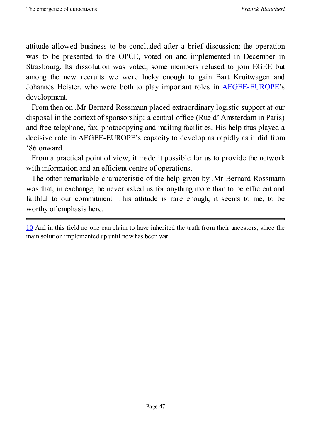attitude allowed business to be concluded after a brief discussion; the operation was to be presented to the OPCE, voted on and implemented in December in Strasbourg. Its dissolution was voted; some members refused to join EGEE but among the new recruits we were lucky enough to gain Bart Kruitwagen and Johannes Heister, who were both to play important roles in AEGEE-EUROPE's development.

From then on .Mr Bernard Rossmann placed extraordinary logistic support at our disposal in the context of sponsorship: a central office (Rue d' [Amsterdam](http://www.aegee.org/) in Paris) and free telephone, fax, photocopying and mailing facilities. His help thus played a decisive role in AEGEE-EUROPE's capacity to develop as rapidly as it did from '86 onward.

From a practical point of view, it made it possible for us to provide the network with information and an efficient centre of operations.

The other remarkable characteristic of the help given by .Mr Bernard Rossmann was that, in exchange, he never asked us for anything more than to be efficient and faithful to our commitment. This attitude is rare enough, it seems to me, to be worthy of emphasis here.

<span id="page-46-0"></span>10 And in this field no one can claim to have inherited the truth from their ancestors, since the main solution implemented up until now has been war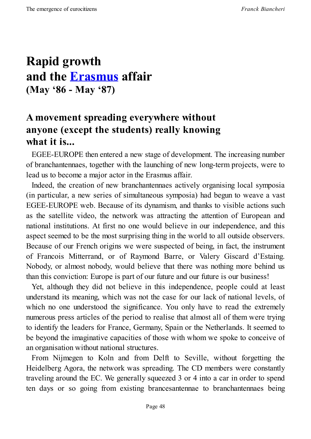# **Rapid growth and the Erasmus affair (May '86 - [May](http://en.wikipedia.org/wiki/Erasmus_Programme) '87)**

# **A movement spreading everywhere without anyone (except the students) really knowing what it is...**

EGEE-EUROPE then entered a new stage of development. The increasing number of branchantennaes, together with the launching of new long-term projects, were to lead us to become a major actor in the Erasmus affair.

Indeed, the creation of new branchantennaes actively organising local symposia (in particular, a new series of simultaneous symposia) had begun to weave a vast EGEE-EUROPE web. Because of its dynamism, and thanks to visible actions such as the satellite video, the network was attracting the attention of European and national institutions. At first no one would believe in our independence, and this aspect seemed to be the most surprising thing in the world to all outside observers. Because of our French origins we were suspected of being, in fact, the instrument of Francois Mitterrand, or of Raymond Barre, or Valery Giscard d'Estaing. Nobody, or almost nobody, would believe that there was nothing more behind us than this conviction: Europe is part of our future and our future is our business!

Yet, although they did not believe in this independence, people could at least understand its meaning, which was not the case for our lack of national levels, of which no one understood the significance. You only have to read the extremely numerous press articles of the period to realise that almost all of them were trying to identify the leaders for France, Germany, Spain or the Netherlands. It seemed to be beyond the imaginative capacities of those with whom we spoke to conceive of an organisation without national structures.

From Nijmegen to Koln and from Delft to Seville, without forgetting the Heidelberg Agora, the network was spreading. The CD members were constantly traveling around the EC. We generally squeezed 3 or 4 into a car in order to spend ten days or so going from existing brancesantennae to branchantennaes being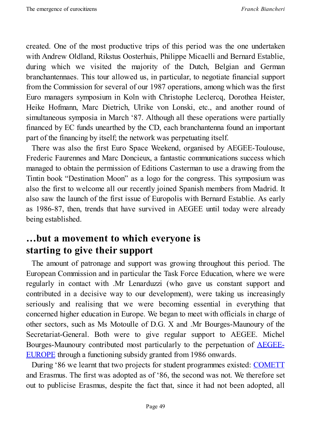created. One of the most productive trips of this period was the one undertaken with Andrew Oldland, Rikstus Oosterhuis, Philippe Micaelli and Bernard Establie, during which we visited the majority of the Dutch, Belgian and German branchantennaes. This tour allowed us, in particular, to negotiate financial support from the Commission for several of our 1987 operations, among which was the first Euro managers symposium in Koln with Christophe Leclercq, Dorothea Heister, Heike Hofmann, Marc Dietrich, Ulrike von Lonski, etc., and another round of simultaneous symposia in March '87. Although all these operations were partially financed by EC funds unearthed by the CD, each branchantenna found an important part of the financing by itself; the network was perpetuating itself.

There was also the first Euro Space Weekend, organised by AEGEE-Toulouse, Frederic Faurennes and Marc Doncieux, a fantastic communications success which managed to obtain the permission of Editions Casterman to use a drawing from the Tintin book "Destination Moon" as a logo for the congress. This symposium was also the first to welcome all our recently joined Spanish members from Madrid. It also saw the launch of the first issue of Europolis with Bernard Establie. As early as 1986-87, then, trends that have survived in AEGEE until today were already being established.

### **…but a movement to which everyone is starting to give their support**

The amount of patronage and support was growing throughout this period. The European Commission and in particular the Task Force Education, where we were regularly in contact with .Mr Lenarduzzi (who gave us constant support and contributed in a decisive way to our development), were taking us increasingly seriously and realising that we were becoming essential in everything that concerned higher education in Europe. We began to meet with officials in charge of other sectors, such as Ms Motoulle of D.G. X and .Mr Bourges-Maunoury of the Secretariat-General. Both were to give regular support to AEGEE. Michel Bourges-Maunoury contributed most particularly to the perpetuation of AEGEE-EUROPE through a functioning subsidy granted from 1986 onwards.

During '86 we learnt that two projects for student programmes existed: COMETT and [Erasmus.](http://www.aegee.org/) The first was adopted as of '86, the second was not. We therefore set out to publicise Erasmus, despite the fact that, since it had not been a[dopted,](http://europa.eu/legislation_summaries/education_training_youth/vocational_training/c11015a_en.htm) all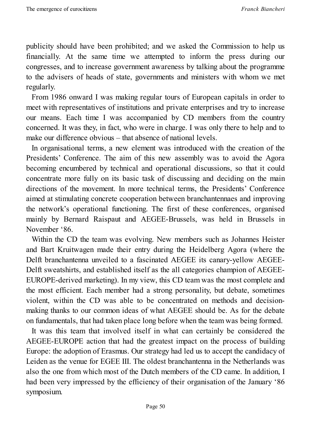publicity should have been prohibited; and we asked the Commission to help us financially. At the same time we attempted to inform the press during our congresses, and to increase government awareness by talking about the programme to the advisers of heads of state, governments and ministers with whom we met regularly.

From 1986 onward I was making regular tours of European capitals in order to meet with representatives of institutions and private enterprises and try to increase our means. Each time I was accompanied by CD members from the country concerned. It was they, in fact, who were in charge. I was only there to help and to make our difference obvious – that absence of national levels.

In organisational terms, a new element was introduced with the creation of the Presidents' Conference. The aim of this new assembly was to avoid the Agora becoming encumbered by technical and operational discussions, so that it could concentrate more fully on its basic task of discussing and deciding on the main directions of the movement. In more technical terms, the Presidents' Conference aimed at stimulating concrete cooperation between branchantennaes and improving the network's operational functioning. The first of these conferences, organised mainly by Bernard Raispaut and AEGEE-Brussels, was held in Brussels in November '86.

Within the CD the team was evolving. New members such as Johannes Heister and Bart Kruitwagen made their entry during the Heidelberg Agora (where the Delft branchantenna unveiled to a fascinated AEGEE its canary-yellow AEGEE-Delft sweatshirts, and established itself as the all categories champion of AEGEE-EUROPE-derived marketing). In my view, this CD team was the most complete and the most efficient. Each member had a strong personality, but debate, sometimes violent, within the CD was able to be concentrated on methods and decisionmaking thanks to our common ideas of what AEGEE should be. As for the debate on fundamentals, that had taken place long before when the team was being formed.

It was this team that involved itself in what can certainly be considered the AEGEE-EUROPE action that had the greatest impact on the process of building Europe: the adoption of Erasmus. Our strategy had led us to accept the candidacy of Leiden as the venue for EGEE III. The oldest branchantenna in the Netherlands was also the one from which most of the Dutch members of the CD came. In addition, I had been very impressed by the efficiency of their organisation of the January '86 symposium.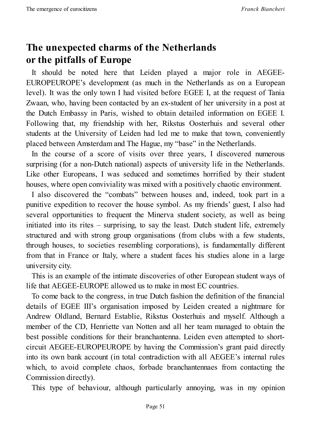# **The unexpected charms of the Netherlands or the pitfalls of Europe**

It should be noted here that Leiden played a major role in AEGEE-EUROPEUROPE's development (as much in the Netherlands as on a European level). It was the only town I had visited before EGEE I, at the request of Tania Zwaan, who, having been contacted by an ex-student of her university in a post at the Dutch Embassy in Paris, wished to obtain detailed information on EGEE I. Following that, my friendship with her, Rikstus Oosterhuis and several other students at the University of Leiden had led me to make that town, conveniently placed between Amsterdam and The Hague, my "base" in the Netherlands.

In the course of a score of visits over three years, I discovered numerous surprising (for a non-Dutch national) aspects of university life in the Netherlands. Like other Europeans, I was seduced and sometimes horrified by their student houses, where open conviviality was mixed with a positively chaotic environment.

I also discovered the "combats" between houses and, indeed, took part in a punitive expedition to recover the house symbol. As my friends' guest, I also had several opportunities to frequent the Minerva student society, as well as being initiated into its rites – surprising, to say the least. Dutch student life, extremely structured and with strong group organisations (from clubs with a few students, through houses, to societies resembling corporations), is fundamentally different from that in France or Italy, where a student faces his studies alone in a large university city.

This is an example of the intimate discoveries of other European student ways of life that AEGEE-EUROPE allowed us to make in most EC countries.

To come back to the congress, in true Dutch fashion the definition of the financial details of EGEE III's organisation imposed by Leiden created a nightmare for Andrew Oldland, Bernard Establie, Rikstus Oosterhuis and myself. Although a member of the CD, Henriette van Notten and all her team managed to obtain the best possible conditions for their branchantenna. Leiden even attempted to shortcircuit AEGEE-EUROPEUROPE by having the Commission's grant paid directly into its own bank account (in total contradiction with all AEGEE's internal rules which, to avoid complete chaos, forbade branchantennaes from contacting the Commission directly).

This type of behaviour, although particularly annoying, was in my opinion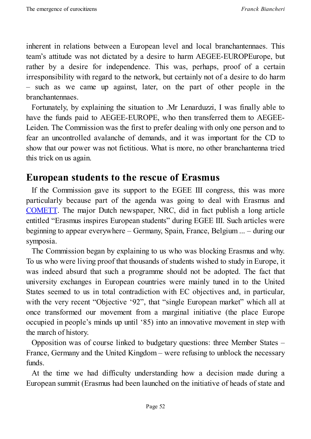inherent in relations between a European level and local branchantennaes. This team's attitude was not dictated by a desire to harm AEGEE-EUROPEurope, but rather by a desire for independence. This was, perhaps, proof of a certain irresponsibility with regard to the network, but certainly not of a desire to do harm – such as we came up against, later, on the part of other people in the branchantennaes.

Fortunately, by explaining the situation to .Mr Lenarduzzi, I was finally able to have the funds paid to AEGEE-EUROPE, who then transferred them to AEGEE-Leiden. The Commission was the first to prefer dealing with only one person and to fear an uncontrolled avalanche of demands, and it was important for the CD to show that our power was not fictitious. What is more, no other branchantenna tried this trick on us again.

#### **European students to the rescue of Erasmus**

If the Commission gave its support to the EGEE III congress, this was more particularly because part of the agenda was going to deal with Erasmus and COMETT. The major Dutch newspaper, NRC, did in fact publish a long article entitled "Erasmus inspires European students" during EGEE III. Such articles were beginning to appear everywhere – Germany, Spain, France, Belgium ... – during our [symposia.](http://europa.eu/legislation_summaries/education_training_youth/vocational_training/c11015a_en.htm)

The Commission began by explaining to us who was blocking Erasmus and why. To us who were living proof that thousands of students wished to study in Europe, it was indeed absurd that such a programme should not be adopted. The fact that university exchanges in European countries were mainly tuned in to the United States seemed to us in total contradiction with EC objectives and, in particular, with the very recent "Objective '92", that "single European market" which all at once transformed our movement from a marginal initiative (the place Europe occupied in people's minds up until '85) into an innovative movement in step with the march of history.

Opposition was of course linked to budgetary questions: three Member States – France, Germany and the United Kingdom – were refusing to unblock the necessary funds.

At the time we had difficulty understanding how a decision made during a European summit (Erasmus had been launched on the initiative of heads of state and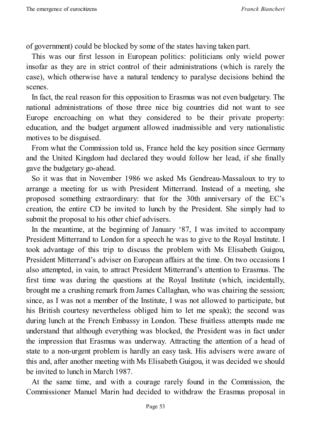of government) could be blocked by some of the states having taken part.

This was our first lesson in European politics: politicians only wield power insofar as they are in strict control of their administrations (which is rarely the case), which otherwise have a natural tendency to paralyse decisions behind the scenes.

In fact, the real reason for this opposition to Erasmus was not even budgetary. The national administrations of those three nice big countries did not want to see Europe encroaching on what they considered to be their private property: education, and the budget argument allowed inadmissible and very nationalistic motives to be disguised.

From what the Commission told us, France held the key position since Germany and the United Kingdom had declared they would follow her lead, if she finally gave the budgetary go-ahead.

So it was that in November 1986 we asked Ms Gendreau-Massaloux to try to arrange a meeting for us with President Mitterrand. Instead of a meeting, she proposed something extraordinary: that for the 30th anniversary of the EC's creation, the entire CD be invited to lunch by the President. She simply had to submit the proposal to his other chief advisers.

In the meantime, at the beginning of January '87, I was invited to accompany President Mitterrand to London for a speech he was to give to the Royal Institute. I took advantage of this trip to discuss the problem with Ms Elisabeth Guigou, President Mitterrand's adviser on European affairs at the time. On two occasions I also attempted, in vain, to attract President Mitterrand's attention to Erasmus. The first time was during the questions at the Royal Institute (which, incidentally, brought me a crushing remark from James Callaghan, who was chairing the session; since, as I was not a member of the Institute, I was not allowed to participate, but his British courtesy nevertheless obliged him to let me speak); the second was during lunch at the French Embassy in London. These fruitless attempts made me understand that although everything was blocked, the President was in fact under the impression that Erasmus was underway. Attracting the attention of a head of state to a non-urgent problem is hardly an easy task. His advisers were aware of this and, after another meeting with Ms Elisabeth Guigou, it was decided we should be invited to lunch in March 1987.

At the same time, and with a courage rarely found in the Commission, the Commissioner Manuel Marin had decided to withdraw the Erasmus proposal in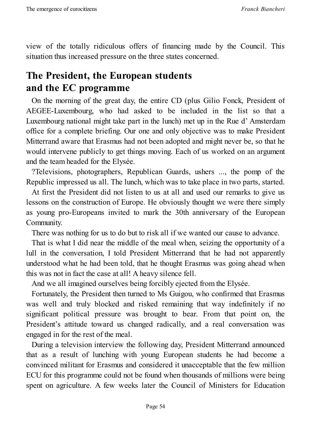view of the totally ridiculous offers of financing made by the Council. This situation thus increased pressure on the three states concerned.

# **The President, the European students and the EC programme**

On the morning of the great day, the entire CD (plus Gilio Fonck, President of AEGEE-Luxembourg, who had asked to be included in the list so that a Luxembourg national might take part in the lunch) met up in the Rue d' Amsterdam office for a complete briefing. Our one and only objective was to make President Mitterrand aware that Erasmus had not been adopted and might never be, so that he would intervene publicly to get things moving. Each of us worked on an argument and the team headed for the Elysée.

?Televisions, photographers, Republican Guards, ushers ..., the pomp of the Republic impressed us all. The lunch, which was to take place in two parts, started.

At first the President did not listen to us at all and used our remarks to give us lessons on the construction of Europe. He obviously thought we were there simply as young pro-Europeans invited to mark the 30th anniversary of the European Community.

There was nothing for us to do but to risk all if we wanted our cause to advance.

That is what I did near the middle of the meal when, seizing the opportunity of a lull in the conversation, I told President Mitterrand that he had not apparently understood what he had been told, that he thought Erasmus was going ahead when this was not in fact the case at all! A heavy silence fell.

And we all imagined ourselves being forcibly ejected from the Elysée.

Fortunately, the President then turned to Ms Guigou, who confirmed that Erasmus was well and truly blocked and risked remaining that way indefinitely if no significant political pressure was brought to bear. From that point on, the President's attitude toward us changed radically, and a real conversation was engaged in for the rest of the meal.

During a television interview the following day, President Mitterrand announced that as a result of lunching with young European students he had become a convinced militant for Erasmus and considered it unacceptable that the few million ECU for this programme could not be found when thousands of millions were being spent on agriculture. A few weeks later the Council of Ministers for Education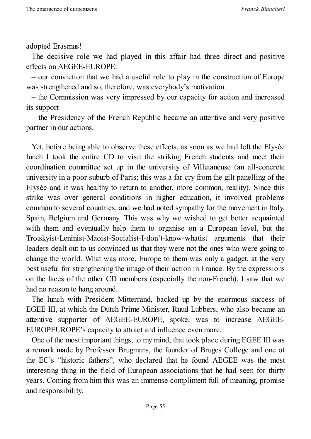adopted Erasmus!

The decisive role we had played in this affair had three direct and positive effects on AEGEE-EUROPE:

– our conviction that we had a useful role to play in the construction of Europe was strengthened and so, therefore, was everybody's motivation

– the Commission was very impressed by our capacity for action and increased its support

– the Presidency of the French Republic became an attentive and very positive partner in our actions.

Yet, before being able to observe these effects, as soon as we had left the Elysée lunch I took the entire CD to visit the striking French students and meet their coordination committee set up in the university of Villetaneuse (an all-concrete university in a poor suburb of Paris; this was a far cry from the gilt panelling of the Elysée and it was healthy to return to another, more common, reality). Since this strike was over general conditions in higher education, it involved problems common to several countries, and we had noted sympathy for the movement in Italy, Spain, Belgium and Germany. This was why we wished to get better acquainted with them and eventually help them to organise on a European level, but the Trotskyist-Leninist-Maoist-Socialist-I-don't-know-whatist arguments that their leaders dealt out to us convinced us that they were not the ones who were going to change the world. What was more, Europe to them was only a gadget, at the very best useful for strengthening the image of their action in France. By the expressions on the faces of the other CD members (especially the non-French), I saw that we had no reason to hang around.

The lunch with President Mitterrand, backed up by the enormous success of EGEE III, at which the Dutch Prime Minister, Ruud Lubbers, who also became an attentive supporter of AEGEE-EUROPE, spoke, was to increase AEGEE-EUROPEUROPE's capacity to attract and influence even more.

One of the most important things, to my mind, that took place during EGEE III was a remark made by Professor Brugmans, the founder of Bruges College and one of the EC's "historic fathers", who declared that he found AEGEE was the most interesting thing in the field of European associations that he had seen for thirty years. Coming from him this was an immense compliment full of meaning, promise and responsibility.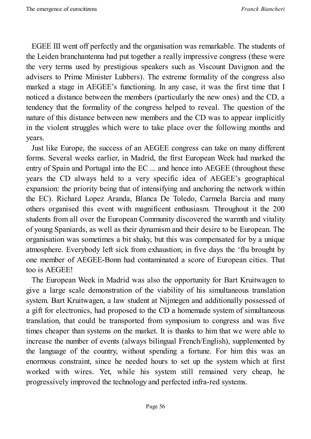EGEE III went off perfectly and the organisation was remarkable. The students of the Leiden branchantenna had put together a really impressive congress (these were the very terms used by prestigious speakers such as Viscount Davignon and the advisers to Prime Minister Lubbers). The extreme formality of the congress also marked a stage in AEGEE's functioning. In any case, it was the first time that I noticed a distance between the members (particularly the new ones) and the CD, a tendency that the formality of the congress helped to reveal. The question of the nature of this distance between new members and the CD was to appear implicitly in the violent struggles which were to take place over the following months and years.

Just like Europe, the success of an AEGEE congress can take on many different forms. Several weeks earlier, in Madrid, the first European Week had marked the entry of Spain and Portugal into the EC ... and hence into AEGEE (throughout these years the CD always held to a very specific idea of AEGEE's geographical expansion: the priority being that of intensifying and anchoring the network within the EC). Richard Lopez Aranda, Blanca De Toledo, Carmela Barcia and many others organised this event with magnificent enthusiasm. Throughout it the 200 students from all over the European Community discovered the warmth and vitality of young Spaniards, as well as their dynamism and their desire to be European. The organisation was sometimes a bit shaky, but this was compensated for by a unique atmosphere. Everybody left sick from exhaustion; in five days the 'flu brought by one member of AEGEE-Bonn had contaminated a score of European cities. That too is AEGEE!

The European Week in Madrid was also the opportunity for Bart Kruitwagen to give a large scale demonstration of the viability of his simultaneous translation system. Bart Kruitwagen, a law student at Nijmegen and additionally possessed of a gift for electronics, had proposed to the CD a homemade system of simultaneous translation, that could be transported from symposium to congress and was five times cheaper than systems on the market. It is thanks to him that we were able to increase the number of events (always bilingual French/English), supplemented by the language of the country, without spending a fortune. For him this was an enormous constraint, since he needed hours to set up the system which at first worked with wires. Yet, while his system still remained very cheap, he progressively improved the technology and perfected infra-red systems.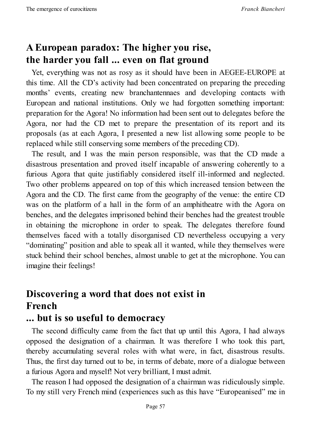# **A European paradox: The higher you rise, the harder you fall ... even on flat ground**

Yet, everything was not as rosy as it should have been in AEGEE-EUROPE at this time. All the CD's activity had been concentrated on preparing the preceding months' events, creating new branchantennaes and developing contacts with European and national institutions. Only we had forgotten something important: preparation for the Agora! No information had been sent out to delegates before the Agora, nor had the CD met to prepare the presentation of its report and its proposals (as at each Agora, I presented a new list allowing some people to be replaced while still conserving some members of the preceding CD).

The result, and I was the main person responsible, was that the CD made a disastrous presentation and proved itself incapable of answering coherently to a furious Agora that quite justifiably considered itself ill-informed and neglected. Two other problems appeared on top of this which increased tension between the Agora and the CD. The first came from the geography of the venue: the entire CD was on the platform of a hall in the form of an amphitheatre with the Agora on benches, and the delegates imprisoned behind their benches had the greatest trouble in obtaining the microphone in order to speak. The delegates therefore found themselves faced with a totally disorganised CD nevertheless occupying a very "dominating" position and able to speak all it wanted, while they themselves were stuck behind their school benches, almost unable to get at the microphone. You can imagine their feelings!

# **Discovering a word that does not exist in French**

#### **... but is so useful to democracy**

The second difficulty came from the fact that up until this Agora, I had always opposed the designation of a chairman. It was therefore I who took this part, thereby accumulating several roles with what were, in fact, disastrous results. Thus, the first day turned out to be, in terms of debate, more of a dialogue between a furious Agora and myself! Not very brilliant, I must admit.

The reason I had opposed the designation of a chairman was ridiculously simple. To my still very French mind (experiences such as this have "Europeanised" me in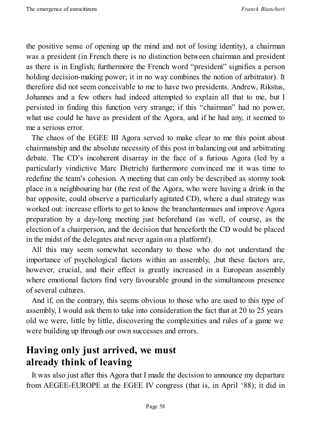the positive sense of opening up the mind and not of losing identity), a chairman was a president (in French there is no distinction between chairman and president as there is in English; furthermore the French word "president" signifies a person holding decision-making power; it in no way combines the notion of arbitrator). It therefore did not seem conceivable to me to have two presidents. Andrew, Rikstus, Johannes and a few others had indeed attempted to explain all that to me, but I persisted in finding this function very strange; if this "chairman" had no power, what use could he have as president of the Agora, and if he had any, it seemed to me a serious error.

The chaos of the EGEE III Agora served to make clear to me this point about chairmanship and the absolute necessity of this post in balancing out and arbitrating debate. The CD's incoherent disarray in the face of a furious Agora (led by a particularly vindictive Marc Dietrich) furthermore convinced me it was time to redefine the team's cohesion. A meeting that can only be described as stormy took place in a neighbouring bar (the rest of the Agora, who were having a drink in the bar opposite, could observe a particularly agitated CD), where a dual strategy was worked out: increase efforts to get to know the branchantennaes and improve Agora preparation by a day-long meeting just beforehand (as well, of course, as the election of a chairperson, and the decision that henceforth the CD would be placed in the midst of the delegates and never again on a platform!).

All this may seem somewhat secondary to those who do not understand the importance of psychological factors within an assembly, ,but these factors are, however, crucial, and their effect is greatly increased in a European assembly where emotional factors find very favourable ground in the simultaneous presence of several cultures.

And if, on the contrary, this seems obvious to those who are used to this type of assembly, I would ask them to take into consideration the fact that at 20 to 25 years old we were, little by little, discovering the complexities and rules of a game we were building up through our own successes and errors.

### **Having only just arrived, we must already think of leaving**

It was also just after this Agora that I made the decision to announce my departure from AEGEE-EUROPE at the EGEE IV congress (that is, in April '88); it did in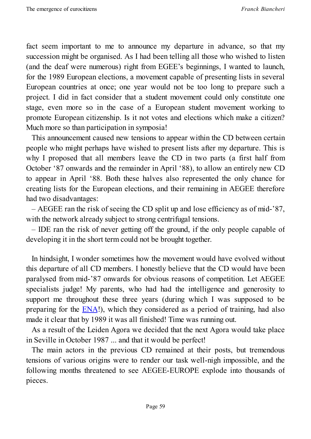fact seem important to me to announce my departure in advance, so that my succession might be organised. As I had been telling all those who wished to listen (and the deaf were numerous) right from EGEE's beginnings, I wanted to launch, for the 1989 European elections, a movement capable of presenting lists in several European countries at once; one year would not be too long to prepare such a project. I did in fact consider that a student movement could only constitute one stage, even more so in the case of a European student movement working to promote European citizenship. Is it not votes and elections which make a citizen? Much more so than participation in symposia!

This announcement caused new tensions to appear within the CD between certain people who might perhaps have wished to present lists after my departure. This is why I proposed that all members leave the CD in two parts (a first half from October '87 onwards and the remainder in April '88), to allow an entirely new CD to appear in April '88. Both these halves also represented the only chance for creating lists for the European elections, and their remaining in AEGEE therefore had two disadvantages:

– AEGEE ran the risk of seeing the CD split up and lose efficiency as of mid-'87, with the network already subject to strong centrifugal tensions.

– IDE ran the risk of never getting off the ground, if the only people capable of developing it in the short term could not be brought together.

In hindsight, I wonder sometimes how the movement would have evolved without this departure of all CD members. I honestly believe that the CD would have been paralysed from mid-'87 onwards for obvious reasons of competition. Let AEGEE specialists judge! My parents, who had had the intelligence and generosity to support me throughout these three years (during which I was supposed to be preparing for the **ENA!**), which they considered as a period of training, had also made it clear that by 1989 it was all finished! Time was running out.

As a result of the Leiden Agora we decided that the next Agora would take place in Seville in Octo[ber](http://www.ena.fr/index.php?/en) 1987 ... and that it would be perfect!

The main actors in the previous CD remained at their posts, but tremendous tensions of various origins were to render our task well-nigh impossible, and the following months threatened to see AEGEE-EUROPE explode into thousands of pieces.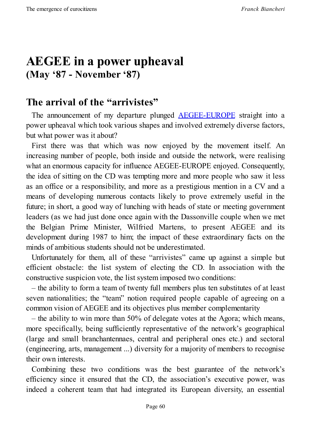# **AEGEE in a power upheaval (May '87 - November '87)**

## **The arrival of the "arrivistes"**

The announcement of my departure plunged AEGEE-EUROPE straight into a power upheaval which took various shapes and involved extremely diverse factors, but what power was it about?

First there was that which was now enjoyed by the [movem](http://www.aegee.org/)ent itself. An increasing number of people, both inside and outside the network, were realising what an enormous capacity for influence AEGEE-EUROPE enjoyed. Consequently, the idea of sitting on the CD was tempting more and more people who saw it less as an office or a responsibility, and more as a prestigious mention in a CV and a means of developing numerous contacts likely to prove extremely useful in the future; in short, a good way of lunching with heads of state or meeting government leaders (as we had just done once again with the Dassonville couple when we met the Belgian Prime Minister, Wilfried Martens, to present AEGEE and its development during 1987 to him; the impact of these extraordinary facts on the minds of ambitious students should not be underestimated.

Unfortunately for them, all of these "arrivistes" came up against a simple but efficient obstacle: the list system of electing the CD. In association with the constructive suspicion vote, the list system imposed two conditions:

– the ability to form a team of twenty full members plus ten substitutes of at least seven nationalities; the "team" notion required people capable of agreeing on a common vision of AEGEE and its objectives plus member complementarity

– the ability to win more than 50% of delegate votes at the Agora; which means, more specifically, being sufficiently representative of the network's geographical (large and small branchantennaes, central and peripheral ones etc.) and sectoral (engineering, arts, management ...) diversity for a majority of members to recognise their own interests.

Combining these two conditions was the best guarantee of the network's efficiency since it ensured that the CD, the association's executive power, was indeed a coherent team that had integrated its European diversity, an essential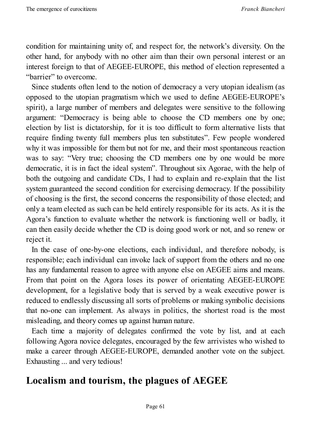condition for maintaining unity of, and respect for, the network's diversity. On the other hand, for anybody with no other aim than their own personal interest or an interest foreign to that of AEGEE-EUROPE, this method of election represented a "barrier" to overcome.

Since students often lend to the notion of democracy a very utopian idealism (as opposed to the utopian pragmatism which we used to define AEGEE-EUROPE's spirit), a large number of members and delegates were sensitive to the following argument: "Democracy is being able to choose the CD members one by one; election by list is dictatorship, for it is too difficult to form alternative lists that require finding twenty full members plus ten substitutes". Few people wondered why it was impossible for them but not for me, and their most spontaneous reaction was to say: "Very true; choosing the CD members one by one would be more democratic, it is in fact the ideal system". Throughout six Agorae, with the help of both the outgoing and candidate CDs, I had to explain and re-explain that the list system guaranteed the second condition for exercising democracy. If the possibility of choosing is the first, the second concerns the responsibility of those elected; and only a team elected as such can be held entirely responsible for its acts. As it is the Agora's function to evaluate whether the network is functioning well or badly, it can then easily decide whether the CD is doing good work or not, and so renew or reject it.

In the case of one-by-one elections, each individual, and therefore nobody, is responsible; each individual can invoke lack of support from the others and no one has any fundamental reason to agree with anyone else on AEGEE aims and means. From that point on the Agora loses its power of orientating AEGEE-EUROPE development, for a legislative body that is served by a weak executive power is reduced to endlessly discussing all sorts of problems or making symbolic decisions that no-one can implement. As always in politics, the shortest road is the most misleading, and theory comes up against human nature.

Each time a majority of delegates confirmed the vote by list, and at each following Agora novice delegates, encouraged by the few arrivistes who wished to make a career through AEGEE-EUROPE, demanded another vote on the subject. Exhausting ... and very tedious!

### **Localism and tourism, the plagues of AEGEE**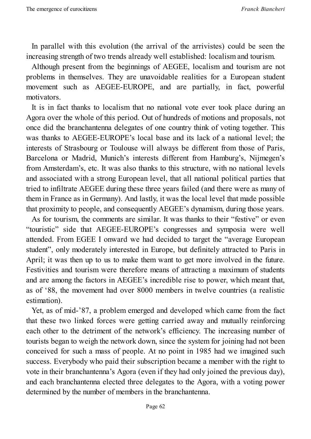In parallel with this evolution (the arrival of the arrivistes) could be seen the increasing strength of two trends already well established: localism and tourism.

Although present from the beginnings of AEGEE, localism and tourism are not problems in themselves. They are unavoidable realities for a European student movement such as AEGEE-EUROPE, and are partially, in fact, powerful motivators.

It is in fact thanks to localism that no national vote ever took place during an Agora over the whole of this period. Out of hundreds of motions and proposals, not once did the branchantenna delegates of one country think of voting together. This was thanks to AEGEE-EUROPE's local base and its lack of a national level; the interests of Strasbourg or Toulouse will always be different from those of Paris, Barcelona or Madrid, Munich's interests different from Hamburg's, Nijmegen's from Amsterdam's, etc. It was also thanks to this structure, with no national levels and associated with a strong European level, that all national political parties that tried to infiltrate AEGEE during these three years failed (and there were as many of them in France as in Germany). And lastly, it was the local level that made possible that proximity to people, and consequently AEGEE's dynamism, during those years.

As for tourism, the comments are similar. It was thanks to their "festive" or even "touristic" side that AEGEE-EUROPE's congresses and symposia were well attended. From EGEE I onward we had decided to target the "average European student", only moderately interested in Europe, but definitely attracted to Paris in April; it was then up to us to make them want to get more involved in the future. Festivities and tourism were therefore means of attracting a maximum of students and are among the factors in AEGEE's incredible rise to power, which meant that, as of '88, the movement had over 8000 members in twelve countries (a realistic estimation).

Yet, as of mid-'87, a problem emerged and developed which came from the fact that these two linked forces were getting carried away and mutually reinforcing each other to the detriment of the network's efficiency. The increasing number of tourists began to weigh the network down, since the system for joining had not been conceived for such a mass of people. At no point in 1985 had we imagined such success. Everybody who paid their subscription became a member with the right to vote in their branchantenna's Agora (even if they had only joined the previous day), and each branchantenna elected three delegates to the Agora, with a voting power determined by the number of members in the branchantenna.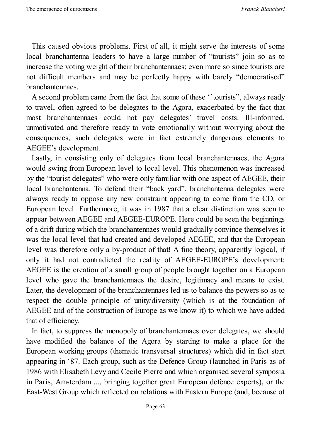This caused obvious problems. First of all, it might serve the interests of some local branchantenna leaders to have a large number of "tourists" join so as to increase the voting weight of their branchantennaes; even more so since tourists are not difficult members and may be perfectly happy with barely "democratised" branchantennaes.

A second problem came from the fact that some of these ''tourists", always ready to travel, often agreed to be delegates to the Agora, exacerbated by the fact that most branchantennaes could not pay delegates' travel costs. Ill-informed, unmotivated and therefore ready to vote emotionally without worrying about the consequences, such delegates were in fact extremely dangerous elements to AEGEE's development.

Lastly, in consisting only of delegates from local branchantennaes, the Agora would swing from European level to local level. This phenomenon was increased by the "tourist delegates" who were only familiar with one aspect of AEGEE, their local branchantenna. To defend their "back yard", branchantenna delegates were always ready to oppose any new constraint appearing to come from the CD, or European level. Furthermore, it was in 1987 that a clear distinction was seen to appear between AEGEE and AEGEE-EUROPE. Here could be seen the beginnings of a drift during which the branchantennaes would gradually convince themselves it was the local level that had created and developed AEGEE, and that the European level was therefore only a by-product of that! A fine theory, apparently logical, if only it had not contradicted the reality of AEGEE-EUROPE's development: AEGEE is the creation of a small group of people brought together on a European level who gave the branchantennaes the desire, legitimacy and means to exist. Later, the development of the branchantennaes led us to balance the powers so as to respect the double principle of unity/diversity (which is at the foundation of AEGEE and of the construction of Europe as we know it) to which we have added that of efficiency.

In fact, to suppress the monopoly of branchantennaes over delegates, we should have modified the balance of the Agora by starting to make a place for the European working groups (thematic transversal structures) which did in fact start appearing in '87. Each group, such as the Defence Group (launched in Paris as of 1986 with Elisabeth Levy and Cecile Pierre and which organised several symposia in Paris, Amsterdam ..., bringing together great European defence experts), or the East-West Group which reflected on relations with Eastern Europe (and, because of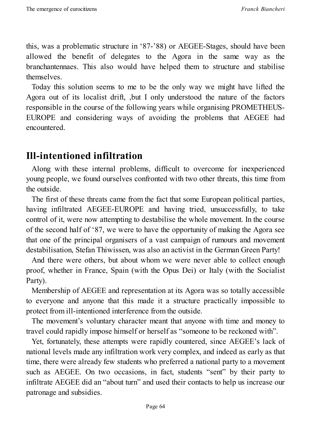this, was a problematic structure in '87-'88) or AEGEE-Stages, should have been allowed the benefit of delegates to the Agora in the same way as the branchantennaes. This also would have helped them to structure and stabilise themselves.

Today this solution seems to me to be the only way we might have lifted the Agora out of its localist drift, ,but I only understood the nature of the factors responsible in the course of the following years while organising PROMETHEUS-EUROPE and considering ways of avoiding the problems that AEGEE had encountered.

#### **Ill-intentioned infiltration**

Along with these internal problems, difficult to overcome for inexperienced young people, we found ourselves confronted with two other threats, this time from the outside.

The first of these threats came from the fact that some European political parties, having infiltrated AEGEE-EUROPE and having tried, unsuccessfully, to take control of it, were now attempting to destabilise the whole movement. In the course of the second half of '87, we were to have the opportunity of making the Agora see that one of the principal organisers of a vast campaign of rumours and movement destabilisation, Stefan Thiwissen, was also an activist in the German Green Party!

And there were others, but about whom we were never able to collect enough proof, whether in France, Spain (with the Opus Dei) or Italy (with the Socialist Party).

Membership of AEGEE and representation at its Agora was so totally accessible to everyone and anyone that this made it a structure practically impossible to protect from ill-intentioned interference from the outside.

The movement's voluntary character meant that anyone with time and money to travel could rapidly impose himself or herself as "someone to be reckoned with".

Yet, fortunately, these attempts were rapidly countered, since AEGEE's lack of national levels made any infiltration work very complex, and indeed as early as that time, there were already few students who preferred a national party to a movement such as AEGEE. On two occasions, in fact, students "sent" by their party to infiltrate AEGEE did an "about turn" and used their contacts to help us increase our patronage and subsidies.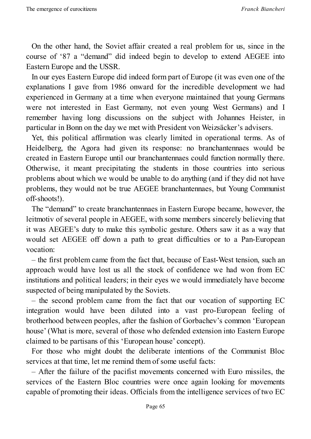On the other hand, the Soviet affair created a real problem for us, since in the course of '87 a "demand" did indeed begin to develop to extend AEGEE into Eastern Europe and the USSR.

In our eyes Eastern Europe did indeed form part of Europe (it was even one of the explanations I gave from 1986 onward for the incredible development we had experienced in Germany at a time when everyone maintained that young Germans were not interested in East Germany, not even young West Germans) and I remember having long discussions on the subject with Johannes Heister, in particular in Bonn on the day we met with President von Weizsäcker's advisers.

Yet, this political affirmation was clearly limited in operational terms. As of Heidelberg, the Agora had given its response: no branchantennaes would be created in Eastern Europe until our branchantennaes could function normally there. Otherwise, it meant precipitating the students in those countries into serious problems about which we would be unable to do anything (and if they did not have problems, they would not be true AEGEE branchantennaes, but Young Communist off-shoots!).

The "demand" to create branchantennaes in Eastern Europe became, however, the leitmotiv of several people in AEGEE, with some members sincerely believing that it was AEGEE's duty to make this symbolic gesture. Others saw it as a way that would set AEGEE off down a path to great difficulties or to a Pan-European vocation:

– the first problem came from the fact that, because of East-West tension, such an approach would have lost us all the stock of confidence we had won from EC institutions and political leaders; in their eyes we would immediately have become suspected of being manipulated by the Soviets.

– the second problem came from the fact that our vocation of supporting EC integration would have been diluted into a vast pro-European feeling of brotherhood between peoples, after the fashion of Gorbachev's common 'European house' (What is more, several of those who defended extension into Eastern Europe claimed to be partisans of this 'European house' concept).

For those who might doubt the deliberate intentions of the Communist Bloc services at that time, let me remind them of some useful facts:

– After the failure of the pacifist movements concerned with Euro missiles, the services of the Eastern Bloc countries were once again looking for movements capable of promoting their ideas. Officials from the intelligence services of two EC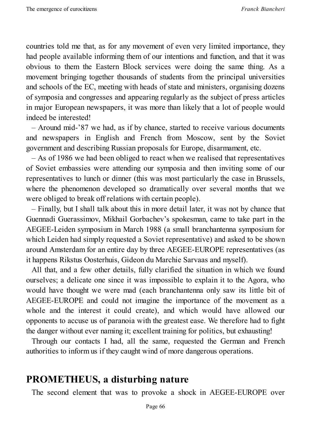countries told me that, as for any movement of even very limited importance, they had people available informing them of our intentions and function, and that it was obvious to them the Eastern Block services were doing the same thing. As a movement bringing together thousands of students from the principal universities and schools of the EC, meeting with heads of state and ministers, organising dozens of symposia and congresses and appearing regularly as the subject of press articles in major European newspapers, it was more than likely that a lot of people would indeed be interested!

– Around mid-'87 we had, as if by chance, started to receive various documents and newspapers in English and French from Moscow, sent by the Soviet government and describing Russian proposals for Europe, disarmament, etc.

– As of 1986 we had been obliged to react when we realised that representatives of Soviet embassies were attending our symposia and then inviting some of our representatives to lunch or dinner (this was most particularly the case in Brussels, where the phenomenon developed so dramatically over several months that we were obliged to break off relations with certain people).

– Finally, but I shall talk about this in more detail later, it was not by chance that Guennadi Guerassimov, Mikhail Gorbachev's spokesman, came to take part in the AEGEE-Leiden symposium in March 1988 (a small branchantenna symposium for which Leiden had simply requested a Soviet representative) and asked to be shown around Amsterdam for an entire day by three AEGEE-EUROPE representatives (as it happens Rikstus Oosterhuis, Gideon du Marchie Sarvaas and myself).

All that, and a few other details, fully clarified the situation in which we found ourselves; a delicate one since it was impossible to explain it to the Agora, who would have thought we were mad (each branchantenna only saw its little bit of AEGEE-EUROPE and could not imagine the importance of the movement as a whole and the interest it could create), and which would have allowed our opponents to accuse us of paranoia with the greatest ease. We therefore had to fight the danger without ever naming it; excellent training for politics, but exhausting!

Through our contacts I had, all the same, requested the German and French authorities to inform us if they caught wind of more dangerous operations.

#### **PROMETHEUS, a disturbing nature**

The second element that was to provoke a shock in AEGEE-EUROPE over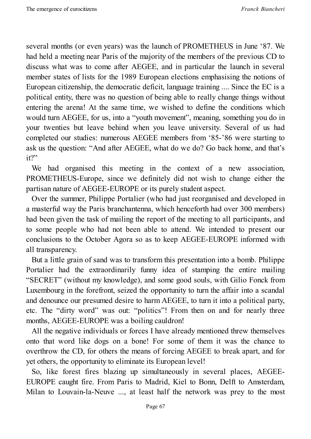several months (or even years) was the launch of PROMETHEUS in June '87. We had held a meeting near Paris of the majority of the members of the previous CD to discuss what was to come after AEGEE, and in particular the launch in several member states of lists for the 1989 European elections emphasising the notions of European citizenship, the democratic deficit, language training .... Since the EC is a political entity, there was no question of being able to really change things without entering the arena! At the same time, we wished to define the conditions which would turn AEGEE, for us, into a "youth movement", meaning, something you do in your twenties but leave behind when you leave university. Several of us had completed our studies: numerous AEGEE members from '85-'86 were starting to ask us the question: "And after AEGEE, what do we do? Go back home, and that's it?"

We had organised this meeting in the context of a new association, PROMETHEUS-Europe, since we definitely did not wish to change either the partisan nature of AEGEE-EUROPE or its purely student aspect.

Over the summer, Philippe Portalier (who had just reorganised and developed in a masterful way the Paris branchantenna, which henceforth had over 300 members) had been given the task of mailing the report of the meeting to all participants, and to some people who had not been able to attend. We intended to present our conclusions to the October Agora so as to keep AEGEE-EUROPE informed with all transparency.

But a little grain of sand was to transform this presentation into a bomb. Philippe Portalier had the extraordinarily funny idea of stamping the entire mailing "SECRET" (without my knowledge), and some good souls, with Gilio Fonck from Luxembourg in the forefront, seized the opportunity to turn the affair into a scandal and denounce our presumed desire to harm AEGEE, to turn it into a political party, etc. The "dirty word" was out: "politics"! From then on and for nearly three months, AEGEE-EUROPE was a boiling cauldron!

All the negative individuals or forces I have already mentioned threw themselves onto that word like dogs on a bone! For some of them it was the chance to overthrow the CD, for others the means of forcing AEGEE to break apart, and for yet others, the opportunity to eliminate its European level!

So, like forest fires blazing up simultaneously in several places, AEGEE-EUROPE caught fire. From Paris to Madrid, Kiel to Bonn, Delft to Amsterdam, Milan to Louvain-la-Neuve ..., at least half the network was prey to the most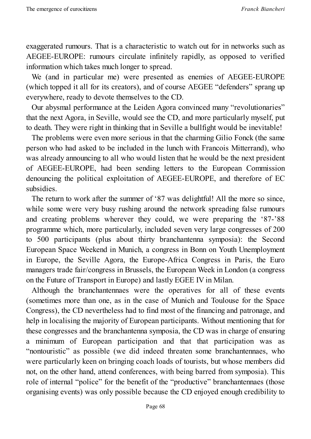exaggerated rumours. That is a characteristic to watch out for in networks such as AEGEE-EUROPE: rumours circulate infinitely rapidly, as opposed to verified information which takes much longer to spread.

We (and in particular me) were presented as enemies of AEGEE-EUROPE (which topped it all for its creators), and of course AEGEE "defenders" sprang up everywhere, ready to devote themselves to the CD.

Our abysmal performance at the Leiden Agora convinced many "revolutionaries" that the next Agora, in Seville, would see the CD, and more particularly myself, put to death. They were right in thinking that in Seville a bullfight would be inevitable!

The problems were even more serious in that the charming Gilio Fonck (the same person who had asked to be included in the lunch with Francois Mitterrand), who was already announcing to all who would listen that he would be the next president of AEGEE-EUROPE, had been sending letters to the European Commission denouncing the political exploitation of AEGEE-EUROPE, and therefore of EC subsidies.

The return to work after the summer of '87 was delightful! All the more so since, while some were very busy rushing around the network spreading false rumours and creating problems wherever they could, we were preparing the '87-'88 programme which, more particularly, included seven very large congresses of 200 to 500 participants (plus about thirty branchantenna symposia): the Second European Space Weekend in Munich, a congress in Bonn on Youth Unemployment in Europe, the Seville Agora, the Europe-Africa Congress in Paris, the Euro managers trade fair/congress in Brussels, the European Week in London (a congress on the Future of Transport in Europe) and lastly EGEE IV in Milan.

Although the branchantennaes were the operatives for all of these events (sometimes more than one, as in the case of Munich and Toulouse for the Space Congress), the CD nevertheless had to find most of the financing and patronage, and help in localising the majority of European participants. Without mentioning that for these congresses and the branchantenna symposia, the CD was in charge of ensuring a minimum of European participation and that that participation was as "nontouristic" as possible (we did indeed threaten some branchantennaes, who were particularly keen on bringing coach loads of tourists, but whose members did not, on the other hand, attend conferences, with being barred from symposia). This role of internal "police" for the benefit of the "productive" branchantennaes (those organising events) was only possible because the CD enjoyed enough credibility to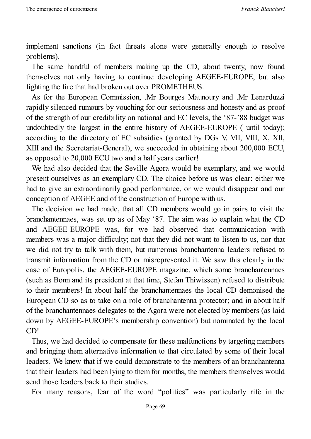implement sanctions (in fact threats alone were generally enough to resolve problems).

The same handful of members making up the CD, about twenty, now found themselves not only having to continue developing AEGEE-EUROPE, but also fighting the fire that had broken out over PROMETHEUS.

As for the European Commission, .Mr Bourges Maunoury and .Mr Lenarduzzi rapidly silenced rumours by vouching for our seriousness and honesty and as proof of the strength of our credibility on national and EC levels, the '87-'88 budget was undoubtedly the largest in the entire history of AEGEE-EUROPE ( until today); according to the directory of EC subsidies (granted by DGs V, VII, VIII, X, XII, XIII and the Secretariat-General), we succeeded in obtaining about 200,000 ECU, as opposed to 20,000 ECU two and a half years earlier!

We had also decided that the Seville Agora would be exemplary, and we would present ourselves as an exemplary CD. The choice before us was clear: either we had to give an extraordinarily good performance, or we would disappear and our conception of AEGEE and of the construction of Europe with us.

The decision we had made, that all CD members would go in pairs to visit the branchantennaes, was set up as of May '87. The aim was to explain what the CD and AEGEE-EUROPE was, for we had observed that communication with members was a major difficulty; not that they did not want to listen to us, nor that we did not try to talk with them, but numerous branchantenna leaders refused to transmit information from the CD or misrepresented it. We saw this clearly in the case of Europolis, the AEGEE-EUROPE magazine, which some branchantennaes (such as Bonn and its president at that time, Stefan Thiwissen) refused to distribute to their members! In about half the branchantennaes the local CD demonised the European CD so as to take on a role of branchantenna protector; and in about half of the branchantennaes delegates to the Agora were not elected by members (as laid down by AEGEE-EUROPE's membership convention) but nominated by the local CD!

Thus, we had decided to compensate for these malfunctions by targeting members and bringing them alternative information to that circulated by some of their local leaders. We knew that if we could demonstrate to the members of an branchantenna that their leaders had been lying to them for months, the members themselves would send those leaders back to their studies.

For many reasons, fear of the word "politics" was particularly rife in the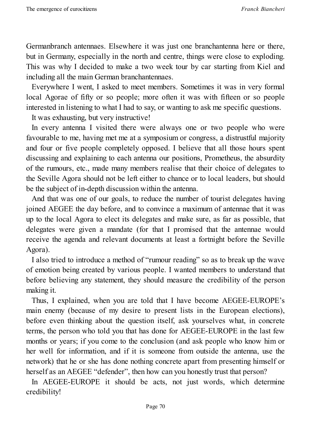Germanbranch antennaes. Elsewhere it was just one branchantenna here or there, but in Germany, especially in the north and centre, things were close to exploding. This was why I decided to make a two week tour by car starting from Kiel and including all the main German branchantennaes.

Everywhere I went, I asked to meet members. Sometimes it was in very formal local Agorae of fifty or so people; more often it was with fifteen or so people interested in listening to what I had to say, or wanting to ask me specific questions.

It was exhausting, but very instructive!

In every antenna I visited there were always one or two people who were favourable to me, having met me at a symposium or congress, a distrustful majority and four or five people completely opposed. I believe that all those hours spent discussing and explaining to each antenna our positions, Prometheus, the absurdity of the rumours, etc., made many members realise that their choice of delegates to the Seville Agora should not be left either to chance or to local leaders, but should be the subject of in-depth discussion within the antenna.

And that was one of our goals, to reduce the number of tourist delegates having joined AEGEE the day before, and to convince a maximum of antennae that it was up to the local Agora to elect its delegates and make sure, as far as possible, that delegates were given a mandate (for that I promised that the antennae would receive the agenda and relevant documents at least a fortnight before the Seville Agora).

I also tried to introduce a method of "rumour reading" so as to break up the wave of emotion being created by various people. I wanted members to understand that before believing any statement, they should measure the credibility of the person making it.

Thus, I explained, when you are told that I have become AEGEE-EUROPE's main enemy (because of my desire to present lists in the European elections), before even thinking about the question itself, ask yourselves what, in concrete terms, the person who told you that has done for AEGEE-EUROPE in the last few months or years; if you come to the conclusion (and ask people who know him or her well for information, and if it is someone from outside the antenna, use the network) that he or she has done nothing concrete apart from presenting himself or herself as an AEGEE "defender", then how can you honestly trust that person?

In AEGEE-EUROPE it should be acts, not just words, which determine credibility!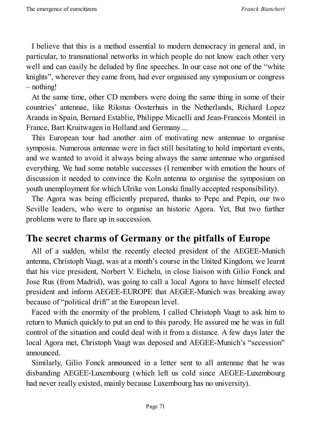I believe that this is a method essential to modern democracy in general and, in particular, to transnational networks in which people do not know each other very well and can easily be deluded by fine speeches. In our case not one of the "white knights", wherever they came from, had ever organised any symposium or congress – nothing!

At the same time, other CD members were doing the same thing in some of their countries' antennae, like Rikstus Oosterhuis in the Netherlands, Richard Lopez Aranda in Spain, Bernard Establie, Philippe Micaelli and Jean-Francois Monteil in France, Bart Kruitwagen in Holland and Germany ...

This European tour had another aim of motivating new antennae to organise symposia. Numerous antennae were in fact still hesitating to hold important events, and we wanted to avoid it always being always the same antennae who organised everything. We had some notable successes (I remember with emotion the hours of discussion it needed to convince the Koln antenna to organise the symposium on youth unemployment for which Ulrike von Lonski finally accepted responsibility).

The Agora was being efficiently prepared, thanks to Pepe and Pepin, our two Seville leaders, who were to organise an historic Agora. Yet, But two further problems were to flare up in succession.

#### **The secret charms of Germany or the pitfalls of Europe**

All of a sudden, whilst the recently elected president of the AEGEE-Munich antenna, Christoph Vaagt, was at a month's course in the United Kingdom, we learnt that his vice president, Norbert V. Eicheln, in close liaison with Gilio Fonck and Jose Rus (from Madrid), was going to call a local Agora to have himself elected president and inform AEGEE-EUROPE that AEGEE-Munich was breaking away because of "political drift" at the European level.

Faced with the enormity of the problem, I called Christoph Vaagt to ask him to return to Munich quickly to put an end to this parody. He assured me he was in full control of the situation and could deal with it from a distance. A few days later the local Agora met, Christoph Vaagt was deposed and AEGEE-Munich's "secession" announced.

Similarly, Gilio Fonck announced in a letter sent to all antennae that he was disbanding AEGEE-Luxembourg (which left us cold since AEGEE-Luxembourg had never really existed, mainly because Luxembourg has no university).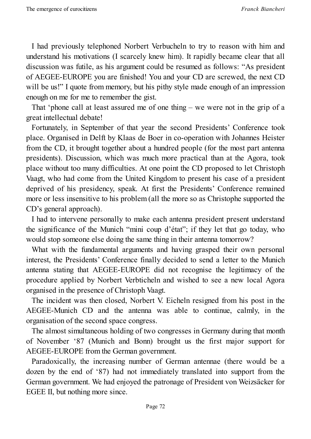I had previously telephoned Norbert Verbucheln to try to reason with him and understand his motivations (I scarcely knew him). It rapidly became clear that all discussion was futile, as his argument could be resumed as follows: "As president of AEGEE-EUROPE you are finished! You and your CD are screwed, the next CD will be us!" I quote from memory, but his pithy style made enough of an impression enough on me for me to remember the gist.

That 'phone call at least assured me of one thing – we were not in the grip of a great intellectual debate!

Fortunately, in September of that year the second Presidents' Conference took place. Organised in Delft by Klaas de Boer in co-operation with Johannes Heister from the CD, it brought together about a hundred people (for the most part antenna presidents). Discussion, which was much more practical than at the Agora, took place without too many difficulties. At one point the CD proposed to let Christoph Vaagt, who had come from the United Kingdom to present his case of a president deprived of his presidency, speak. At first the Presidents' Conference remained more or less insensitive to his problem (all the more so as Christophe supported the CD's general approach).

I had to intervene personally to make each antenna president present understand the significance of the Munich "mini coup d'état"; if they let that go today, who would stop someone else doing the same thing in their antenna tomorrow?

What with the fundamental arguments and having grasped their own personal interest, the Presidents' Conference finally decided to send a letter to the Munich antenna stating that AEGEE-EUROPE did not recognise the legitimacy of the procedure applied by Norbert Verbticheln and wished to see a new local Agora organised in the presence of Christoph Vaagt.

The incident was then closed, Norbert V. Eicheln resigned from his post in the AEGEE-Munich CD and the antenna was able to continue, calmly, in the organisation of the second space congress.

The almost simultaneous holding of two congresses in Germany during that month of November '87 (Munich and Bonn) brought us the first major support for AEGEE-EUROPE from the German government.

Paradoxically, the increasing number of German antennae (there would be a dozen by the end of '87) had not immediately translated into support from the German government. We had enjoyed the patronage of President von Weizsäcker for EGEE II, but nothing more since.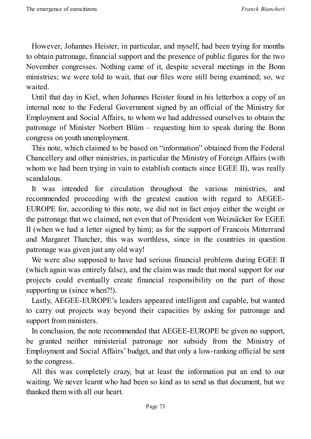However, Johannes Heister, in particular, and myself, had been trying for months to obtain patronage, financial support and the presence of public figures for the two November congresses. Nothing came of it, despite several meetings in the Bonn ministries; we were told to wait, that our files were still being examined; so, we waited.

Until that day in Kiel, when Johannes Heister found in his letterbox a copy of an internal note to the Federal Government signed by an official of the Ministry for Employment and Social Affairs, to whom we had addressed ourselves to obtain the patronage of Minister Norbert Blüm – requesting him to speak during the Bonn congress on youth unemployment.

This note, which claimed to be based on "information" obtained from the Federal Chancellery and other ministries, in particular the Ministry of Foreign Affairs (with whom we had been trying in vain to establish contacts since EGEE II), was really scandalous.

It was intended for circulation throughout the various ministries, and recommended proceeding with the greatest caution with regard to AEGEE-EUROPE for, according to this note, we did not in fact enjoy either the weight or the patronage that we claimed, not even that of President von Weizsäcker for EGEE II (when we had a letter signed by him); as for the support of Francois Mitterrand and Margaret Thatcher, this was worthless, since in the countries in question patronage was given just any old way!

We were also supposed to have had serious financial problems during EGEE II (which again was entirely false), and the claim was made that moral support for our projects could eventually create financial responsibility on the part of those supporting us (since when?!).

Lastly, AEGEE-EUROPE's leaders appeared intelligent and capable, but wanted to carry out projects way beyond their capacities by asking for patronage and support from ministers.

In conclusion, the note recommended that AEGEE-EUROPE be given no support, be granted neither ministerial patronage nor subsidy from the Ministry of Employment and Social Affairs' budget, and that only a low-ranking official be sent to the congress.

All this was completely crazy, but at least the information put an end to our waiting. We never learnt who had been so kind as to send us that document, but we thanked them with all our heart.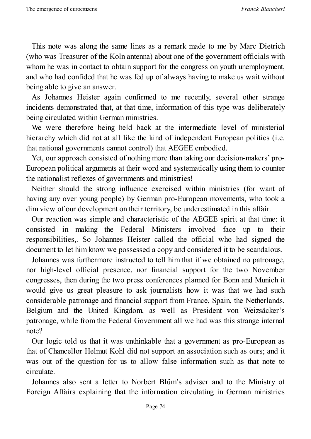This note was along the same lines as a remark made to me by Marc Dietrich (who was Treasurer of the Koln antenna) about one of the government officials with whom he was in contact to obtain support for the congress on youth unemployment, and who had confided that he was fed up of always having to make us wait without being able to give an answer.

As Johannes Heister again confirmed to me recently, several other strange incidents demonstrated that, at that time, information of this type was deliberately being circulated within German ministries.

We were therefore being held back at the intermediate level of ministerial hierarchy which did not at all like the kind of independent European politics (i.e. that national governments cannot control) that AEGEE embodied.

Yet, our approach consisted of nothing more than taking our decision-makers' pro-European political arguments at their word and systematically using them to counter the nationalist reflexes of governments and ministries!

Neither should the strong influence exercised within ministries (for want of having any over young people) by German pro-European movements, who took a dim view of our development on their territory, be underestimated in this affair.

Our reaction was simple and characteristic of the AEGEE spirit at that time: it consisted in making the Federal Ministers involved face up to their responsibilities,. So Johannes Heister called the official who had signed the document to let him know we possessed a copy and considered it to be scandalous.

Johannes was furthermore instructed to tell him that if we obtained no patronage, nor high-level official presence, nor financial support for the two November congresses, then during the two press conferences planned for Bonn and Munich it would give us great pleasure to ask journalists how it was that we had such considerable patronage and financial support from France, Spain, the Netherlands, Belgium and the United Kingdom, as well as President von Weizsäcker's patronage, while from the Federal Government all we had was this strange internal note?

Our logic told us that it was unthinkable that a government as pro-European as that of Chancellor Helmut Kohl did not support an association such as ours; and it was out of the question for us to allow false information such as that note to circulate.

Johannes also sent a letter to Norbert Blüm's adviser and to the Ministry of Foreign Affairs explaining that the information circulating in German ministries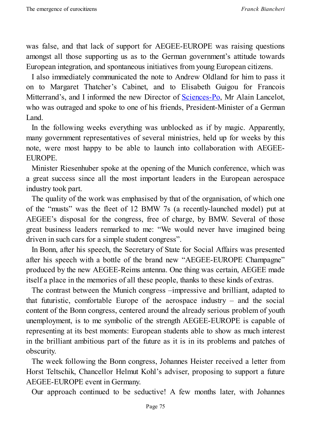was false, and that lack of support for AEGEE-EUROPE was raising questions amongst all those supporting us as to the German government's attitude towards European integration, and spontaneous initiatives from young European citizens.

I also immediately communicated the note to Andrew Oldland for him to pass it on to Margaret Thatcher's Cabinet, and to Elisabeth Guigou for Francois Mitterrand's, and I informed the new Director of <u>Sciences-Po</u>, Mr Alain Lancelot, who was outraged and spoke to one of his friends, President-Minister of a German Land.

In the following weeks everything was unblo[cked](http://www.sciencespo.fr/en/home) as if by magic. Apparently, many government representatives of several ministries, held up for weeks by this note, were most happy to be able to launch into collaboration with AEGEE-EUROPE.

Minister Riesenhuber spoke at the opening of the Munich conference, which was a great success since all the most important leaders in the European aerospace industry took part.

The quality of the work was emphasised by that of the organisation, of which one of the "musts" was the fleet of 12 BMW 7s (a recently-launched model) put at AEGEE's disposal for the congress, free of charge, by BMW. Several of those great business leaders remarked to me: "We would never have imagined being driven in such cars for a simple student congress".

In Bonn, after his speech, the Secretary of State for Social Affairs was presented after his speech with a bottle of the brand new "AEGEE-EUROPE Champagne" produced by the new AEGEE-Reims antenna. One thing was certain, AEGEE made itself a place in the memories of all these people, thanks to these kinds of extras.

The contrast between the Munich congress –impressive and brilliant, adapted to that futuristic, comfortable Europe of the aerospace industry  $-$  and the social content of the Bonn congress, centered around the already serious problem of youth unemployment, is to me symbolic of the strength AEGEE-EUROPE is capable of representing at its best moments: European students able to show as much interest in the brilliant ambitious part of the future as it is in its problems and patches of obscurity.

The week following the Bonn congress, Johannes Heister received a letter from Horst Teltschik, Chancellor Helmut Kohl's adviser, proposing to support a future AEGEE-EUROPE event in Germany.

Our approach continued to be seductive! A few months later, with Johannes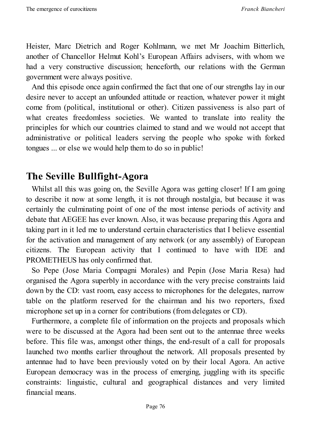Heister, Marc Dietrich and Roger Kohlmann, we met Mr Joachim Bitterlich, another of Chancellor Helmut Kohl's European Affairs advisers, with whom we had a very constructive discussion; henceforth, our relations with the German government were always positive.

And this episode once again confirmed the fact that one of our strengths lay in our desire never to accept an unfounded attitude or reaction, whatever power it might come from (political, institutional or other). Citizen passiveness is also part of what creates freedomless societies. We wanted to translate into reality the principles for which our countries claimed to stand and we would not accept that administrative or political leaders serving the people who spoke with forked tongues ... or else we would help them to do so in public!

### **The Seville Bullfight-Agora**

Whilst all this was going on, the Seville Agora was getting closer! If I am going to describe it now at some length, it is not through nostalgia, but because it was certainly the culminating point of one of the most intense periods of activity and debate that AEGEE has ever known. Also, it was because preparing this Agora and taking part in it led me to understand certain characteristics that I believe essential for the activation and management of any network (or any assembly) of European citizens. The European activity that I continued to have with IDE and PROMETHEUS has only confirmed that.

So Pepe (Jose Maria Compagni Morales) and Pepin (Jose Maria Resa) had organised the Agora superbly in accordance with the very precise constraints laid down by the CD: vast room, easy access to microphones for the delegates, narrow table on the platform reserved for the chairman and his two reporters, fixed microphone set up in a corner for contributions (from delegates or CD).

Furthermore, a complete file of information on the projects and proposals which were to be discussed at the Agora had been sent out to the antennae three weeks before. This file was, amongst other things, the end-result of a call for proposals launched two months earlier throughout the network. All proposals presented by antennae had to have been previously voted on by their local Agora. An active European democracy was in the process of emerging, juggling with its specific constraints: linguistic, cultural and geographical distances and very limited financial means.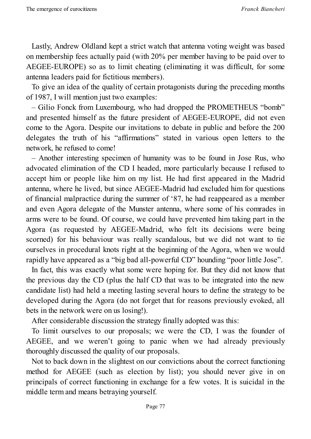Lastly, Andrew Oldland kept a strict watch that antenna voting weight was based on membership fees actually paid (with 20% per member having to be paid over to AEGEE-EUROPE) so as to limit cheating (eliminating it was difficult, for some antenna leaders paid for fictitious members).

To give an idea of the quality of certain protagonists during the preceding months of 1987, I will mention just two examples:

– Gilio Fonck from Luxembourg, who had dropped the PROMETHEUS "bomb" and presented himself as the future president of AEGEE-EUROPE, did not even come to the Agora. Despite our invitations to debate in public and before the 200 delegates the truth of his "affirmations" stated in various open letters to the network, he refused to come!

– Another interesting specimen of humanity was to be found in Jose Rus, who advocated elimination of the CD I headed, more particularly because I refused to accept him or people like him on my list. He had first appeared in the Madrid antenna, where he lived, but since AEGEE-Madrid had excluded him for questions of financial malpractice during the summer of '87, he had reappeared as a member and even Agora delegate of the Munster antenna, where some of his comrades in arms were to be found. Of course, we could have prevented him taking part in the Agora (as requested by AEGEE-Madrid, who felt its decisions were being scorned) for his behaviour was really scandalous, but we did not want to tie ourselves in procedural knots right at the beginning of the Agora, when we would rapidly have appeared as a "big bad all-powerful CD" hounding "poor little Jose".

In fact, this was exactly what some were hoping for. But they did not know that the previous day the CD (plus the half CD that was to be integrated into the new candidate list) had held a meeting lasting several hours to define the strategy to be developed during the Agora (do not forget that for reasons previously evoked, all bets in the network were on us losing!).

After considerable discussion the strategy finally adopted was this:

To limit ourselves to our proposals; we were the CD, I was the founder of AEGEE, and we weren't going to panic when we had already previously thoroughly discussed the quality of our proposals.

Not to back down in the slightest on our convictions about the correct functioning method for AEGEE (such as election by list); you should never give in on principals of correct functioning in exchange for a few votes. It is suicidal in the middle term and means betraying yourself.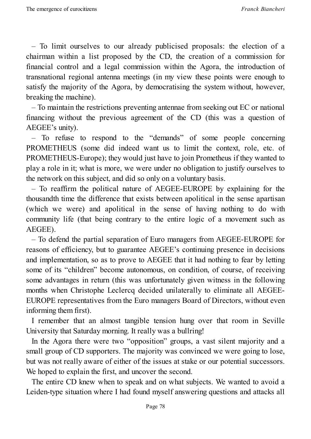– To limit ourselves to our already publicised proposals: the election of a chairman within a list proposed by the CD, the creation of a commission for financial control and a legal commission within the Agora, the introduction of transnational regional antenna meetings (in my view these points were enough to satisfy the majority of the Agora, by democratising the system without, however, breaking the machine).

– To maintain the restrictions preventing antennae from seeking out EC or national financing without the previous agreement of the CD (this was a question of AEGEE's unity).

– To refuse to respond to the "demands" of some people concerning PROMETHEUS (some did indeed want us to limit the context, role, etc. of PROMETHEUS-Europe); they would just have to join Prometheus if they wanted to play a role in it; what is more, we were under no obligation to justify ourselves to the network on this subject, and did so only on a voluntary basis.

– To reaffirm the political nature of AEGEE-EUROPE by explaining for the thousandth time the difference that exists between apolitical in the sense apartisan (which we were) and apolitical in the sense of having nothing to do with community life (that being contrary to the entire logic of a movement such as AEGEE).

– To defend the partial separation of Euro managers from AEGEE-EUROPE for reasons of efficiency, but to guarantee AEGEE's continuing presence in decisions and implementation, so as to prove to AEGEE that it had nothing to fear by letting some of its "children" become autonomous, on condition, of course, of receiving some advantages in return (this was unfortunately given witness in the following months when Christophe Leclercq decided unilaterally to eliminate all AEGEE-EUROPE representatives from the Euro managers Board of Directors, without even informing them first).

I remember that an almost tangible tension hung over that room in Seville University that Saturday morning. It really was a bullring!

In the Agora there were two "opposition" groups, a vast silent majority and a small group of CD supporters. The majority was convinced we were going to lose, but was not really aware of either of the issues at stake or our potential successors. We hoped to explain the first, and uncover the second.

The entire CD knew when to speak and on what subjects. We wanted to avoid a Leiden-type situation where I had found myself answering questions and attacks all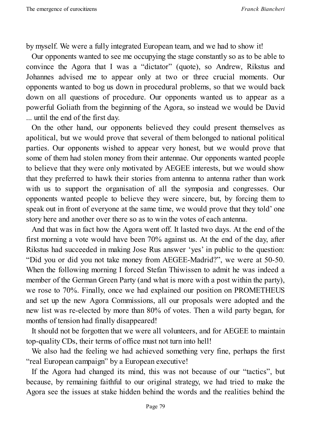by myself. We were a fully integrated European team, and we had to show it!

Our opponents wanted to see me occupying the stage constantly so as to be able to convince the Agora that I was a "dictator" (quote), so Andrew, Rikstus and Johannes advised me to appear only at two or three crucial moments. Our opponents wanted to bog us down in procedural problems, so that we would back down on all questions of procedure. Our opponents wanted us to appear as a powerful Goliath from the beginning of the Agora, so instead we would be David ... until the end of the first day.

On the other hand, our opponents believed they could present themselves as apolitical, but we would prove that several of them belonged to national political parties. Our opponents wished to appear very honest, but we would prove that some of them had stolen money from their antennae. Our opponents wanted people to believe that they were only motivated by AEGEE interests, but we would show that they preferred to hawk their stories from antenna to antenna rather than work with us to support the organisation of all the symposia and congresses. Our opponents wanted people to believe they were sincere, but, by forcing them to speak out in front of everyone at the same time, we would prove that they told' one story here and another over there so as to win the votes of each antenna.

And that was in fact how the Agora went off. It lasted two days. At the end of the first morning a vote would have been 70% against us. At the end of the day, after Rikstus had succeeded in making Jose Rus answer 'yes' in public to the question: "Did you or did you not take money from AEGEE-Madrid?", we were at 50-50. When the following morning I forced Stefan Thiwissen to admit he was indeed a member of the German Green Party (and what is more with a post within the party), we rose to 70%. Finally, once we had explained our position on PROMETHEUS and set up the new Agora Commissions, all our proposals were adopted and the new list was re-elected by more than 80% of votes. Then a wild party began, for months of tension had finally disappeared!

It should not be forgotten that we were all volunteers, and for AEGEE to maintain top-quality CDs, their terms of office must not turn into hell!

We also had the feeling we had achieved something very fine, perhaps the first "real European campaign" by a European executive!

If the Agora had changed its mind, this was not because of our "tactics", but because, by remaining faithful to our original strategy, we had tried to make the Agora see the issues at stake hidden behind the words and the realities behind the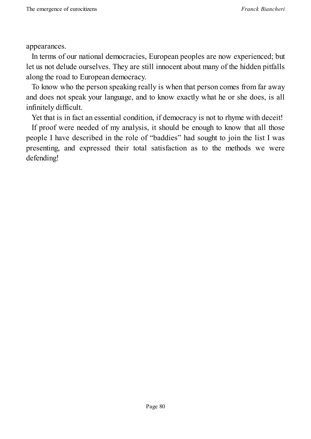appearances.

In terms of our national democracies, European peoples are now experienced; but let us not delude ourselves. They are still innocent about many of the hidden pitfalls along the road to European democracy.

To know who the person speaking really is when that person comes from far away and does not speak your language, and to know exactly what he or she does, is all infinitely difficult.

Yet that is in fact an essential condition, if democracy is not to rhyme with deceit!

If proof were needed of my analysis, it should be enough to know that all those people I have described in the role of "baddies" had sought to join the list I was presenting, and expressed their total satisfaction as to the methods we were defending!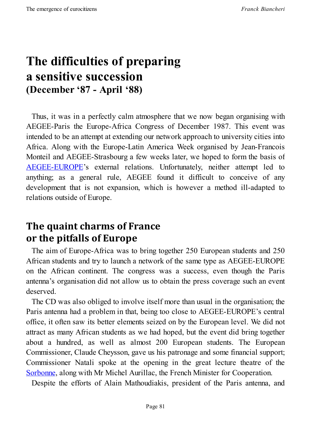## **The difficulties of preparing a sensitive succession (December '87 - April '88)**

Thus, it was in a perfectly calm atmosphere that we now began organising with AEGEE-Paris the Europe-Africa Congress of December 1987. This event was intended to be an attempt at extending our network approach to university cities into Africa. Along with the Europe-Latin America Week organised by Jean-Francois Monteil and AEGEE-Strasbourg a few weeks later, we hoped to form the basis of AEGEE-EUROPE's external relations. Unfortunately, neither attempt led to anything; as a general rule, AEGEE found it difficult to conceive of any [development](http://www.aegee.org/) that is not expansion, which is however a method ill-adapted to relations outside of Europe.

## **The quaint charms of France or the pitfalls of Europe**

The aim of Europe-Africa was to bring together 250 European students and 250 African students and try to launch a network of the same type as AEGEE-EUROPE on the African continent. The congress was a success, even though the Paris antenna's organisation did not allow us to obtain the press coverage such an event deserved.

The CD was also obliged to involve itself more than usual in the organisation; the Paris antenna had a problem in that, being too close to AEGEE-EUROPE's central office, it often saw its better elements seized on by the European level. We did not attract as many African students as we had hoped, but the event did bring together about a hundred, as well as almost 200 European students. The European Commissioner, Claude Cheysson, gave us his patronage and some financial support; Commissioner Natali spoke at the opening in the great lecture theatre of the Sorbonne, along with Mr Michel Aurillac, the French Minister for Cooperation.

Despite the efforts of Alain Mathoudiakis, president of the Paris antenna, and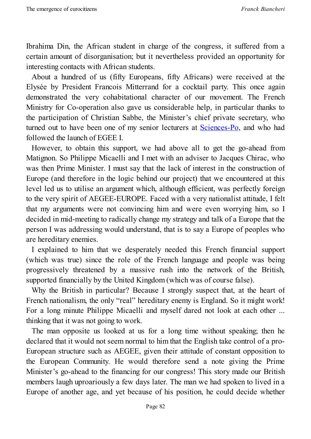Ibrahima Din, the African student in charge of the congress, it suffered from a certain amount of disorganisation; but it nevertheless provided an opportunity for interesting contacts with African students.

About a hundred of us (fifty Europeans, fifty Africans) were received at the Elysée by President Francois Mitterrand for a cocktail party. This once again demonstrated the very cohabitational character of our movement. The French Ministry for Co-operation also gave us considerable help, in particular thanks to the participation of Christian Sabbe, the Minister's chief private secretary, who turned out to have been one of my senior lecturers at Sciences-Po, and who had followed the launch of EGEE I.

However, to obtain this support, we had above all to get the go-ahead from Matignon. So Philippe Micaelli and I met with an adviser to [Jacque](http://www.sciencespo.fr/en/home)s Chirac, who was then Prime Minister. I must say that the lack of interest in the construction of Europe (and therefore in the logic behind our project) that we encountered at this level led us to utilise an argument which, although efficient, was perfectly foreign to the very spirit of AEGEE-EUROPE. Faced with a very nationalist attitude, I felt that my arguments were not convincing him and were even worrying him, so I decided in mid-meeting to radically change my strategy and talk of a Europe that the person I was addressing would understand, that is to say a Europe of peoples who are hereditary enemies.

I explained to him that we desperately needed this French financial support (which was true) since the role of the French language and people was being progressively threatened by a massive rush into the network of the British, supported financially by the United Kingdom (which was of course false).

Why the British in particular? Because I strongly suspect that, at the heart of French nationalism, the only "real" hereditary enemy is England. So it might work! For a long minute Philippe Micaelli and myself dared not look at each other ... thinking that it was not going to work.

The man opposite us looked at us for a long time without speaking; then he declared that it would not seem normal to him that the English take control of a pro-European structure such as AEGEE, given their attitude of constant opposition to the European Community. He would therefore send a note giving the Prime Minister's go-ahead to the financing for our congress! This story made our British members laugh uproariously a few days later. The man we had spoken to lived in a Europe of another age, and yet because of his position, he could decide whether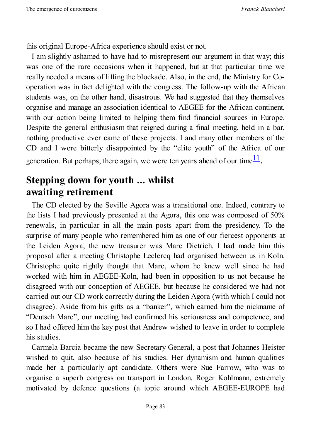this original Europe-Africa experience should exist or not.

I am slightly ashamed to have had to misrepresent our argument in that way; this was one of the rare occasions when it happened, but at that particular time we really needed a means of lifting the blockade. Also, in the end, the Ministry for Cooperation was in fact delighted with the congress. The follow-up with the African students was, on the other hand, disastrous. We had suggested that they themselves organise and manage an association identical to AEGEE for the African continent, with our action being limited to helping them find financial sources in Europe. Despite the general enthusiasm that reigned during a final meeting, held in a bar, nothing productive ever came of these projects. I and many other members of the CD and I were bitterly disappointed by the "elite youth" of the Africa of our generation. But perhaps, there again, we were ten years ahead of our time  $\frac{11}{1}$ .

## **Stepping down for youth ... whilst awaiting retirement**

The CD elected by the Seville Agora was a transitional one. Indeed, contrary to the lists I had previously presented at the Agora, this one was composed of 50% renewals, in particular in all the main posts apart from the presidency. To the surprise of many people who remembered him as one of our fiercest opponents at the Leiden Agora, the new treasurer was Marc Dietrich. I had made him this proposal after a meeting Christophe Leclercq had organised between us in Koln. Christophe quite rightly thought that Marc, whom he knew well since he had worked with him in AEGEE-Koln, had been in opposition to us not because he disagreed with our conception of AEGEE, but because he considered we had not carried out our CD work correctly during the Leiden Agora (with which I could not disagree). Aside from his gifts as a "banker", which earned him the nickname of "Deutsch Marc", our meeting had confirmed his seriousness and competence, and so I had offered him the key post that Andrew wished to leave in order to complete his studies.

Carmela Barcia became the new Secretary General, a post that Johannes Heister wished to quit, also because of his studies. Her dynamism and human qualities made her a particularly apt candidate. Others were Sue Farrow, who was to organise a superb congress on transport in London, Roger Kohlmann, extremely motivated by defence questions (a topic around which AEGEE-EUROPE had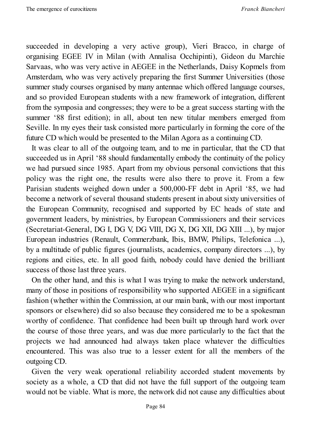succeeded in developing a very active group), Vieri Bracco, in charge of organising EGEE IV in Milan (with Annalisa Occhipinti), Gideon du Marchie Sarvaas, who was very active in AEGEE in the Netherlands, Daisy Kopmels from Amsterdam, who was very actively preparing the first Summer Universities (those summer study courses organised by many antennae which offered language courses, and so provided European students with a new framework of integration, different from the symposia and congresses; they were to be a great success starting with the summer '88 first edition); in all, about ten new titular members emerged from Seville. In my eyes their task consisted more particularly in forming the core of the future CD which would be presented to the Milan Agora as a continuing CD.

It was clear to all of the outgoing team, and to me in particular, that the CD that succeeded us in April '88 should fundamentally embody the continuity of the policy we had pursued since 1985. Apart from my obvious personal convictions that this policy was the right one, the results were also there to prove it. From a few Parisian students weighed down under a 500,000-FF debt in April '85, we had become a network of several thousand students present in about sixty universities of the European Community, recognised and supported by EC heads of state and government leaders, by ministries, by European Commissioners and their services (Secretariat-General, DG I, DG V, DG VIII, DG X, DG XII, DG XIII ...), by major European industries (Renault, Commerzbank, Ibis, BMW, Philips, Telefonica ...), by a multitude of public figures (journalists, academics, company directors ...), by regions and cities, etc. In all good faith, nobody could have denied the brilliant success of those last three years.

On the other hand, and this is what I was trying to make the network understand, many of those in positions of responsibility who supported AEGEE in a significant fashion (whether within the Commission, at our main bank, with our most important sponsors or elsewhere) did so also because they considered me to be a spokesman worthy of confidence. That confidence had been built up through hard work over the course of those three years, and was due more particularly to the fact that the projects we had announced had always taken place whatever the difficulties encountered. This was also true to a lesser extent for all the members of the outgoing CD.

Given the very weak operational reliability accorded student movements by society as a whole, a CD that did not have the full support of the outgoing team would not be viable. What is more, the network did not cause any difficulties about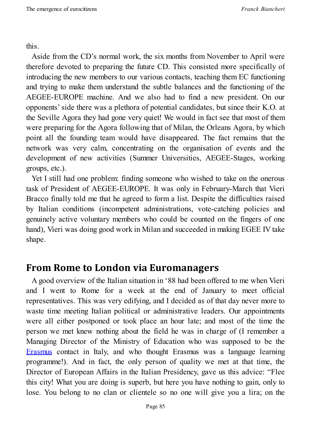this.

Aside from the CD's normal work, the six months from November to April were therefore devoted to preparing the future CD. This consisted more specifically of introducing the new members to our various contacts, teaching them EC functioning and trying to make them understand the subtle balances and the functioning of the AEGEE-EUROPE machine. And we also had to find a new president. On our opponents'side there was a plethora of potential candidates, but since their K.O. at the Seville Agora they had gone very quiet! We would in fact see that most of them were preparing for the Agora following that of Milan, the Orleans Agora, by which point all the founding team would have disappeared. The fact remains that the network was very calm, concentrating on the organisation of events and the development of new activities (Summer Universities, AEGEE-Stages, working groups, etc.).

Yet I still had one problem: finding someone who wished to take on the onerous task of President of AEGEE-EUROPE. It was only in February-March that Vieri Bracco finally told me that he agreed to form a list. Despite the difficulties raised by Italian conditions (incompetent administrations, vote-catching policies and genuinely active voluntary members who could be counted on the fingers of one hand), Vieri was doing good work in Milan and succeeded in making EGEE IV take shape.

### **From Rome to London via Euromanagers**

A good overview of the Italian situation in '88 had been offered to me when Vieri and I went to Rome for a week at the end of January to meet official representatives. This was very edifying, and I decided as of that day never more to waste time meeting Italian political or administrative leaders. Our appointments were all either postponed or took place an hour late; and most of the time the person we met knew nothing about the field he was in charge of (I remember a Managing Director of the Ministry of Education who was supposed to be the Erasmus contact in Italy, and who thought Erasmus was a language learning programme!). And in fact, the only person of quality we met at that time, the [Director](http://en.wikipedia.org/wiki/Erasmus_Programme) of European Affairs in the Italian Presidency, gave us this advice: "Flee this city! What you are doing is superb, but here you have nothing to gain, only to lose. You belong to no clan or clientele so no one will give you a lira; on the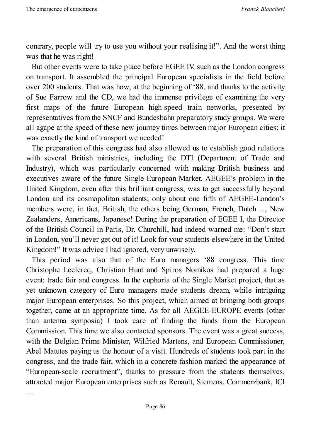....

contrary, people will try to use you without your realising it!". And the worst thing was that he was right!

But other events were to take place before EGEE IV, such as the London congress on transport. It assembled the principal European specialists in the field before over 200 students. That was how, at the beginning of '88, and thanks to the activity of Sue Farrow and the CD, we had the immense privilege of examining the very first maps of the future European high-speed train networks, presented by representatives from the SNCF and Bundesbahn preparatory study groups. We were all agape at the speed of these new journey times between major European cities; it was exactly the kind of transport we needed!

The preparation of this congress had also allowed us to establish good relations with several British ministries, including the DTI (Department of Trade and Industry), which was particularly concerned with making British business and executives aware of the future Single European Market. AEGEE's problem in the United Kingdom, even after this brilliant congress, was to get successfully beyond London and its cosmopolitan students; only about one fifth of AEGEE-London's members were, in fact, British, the others being German, French, Dutch ..., New Zealanders, Americans, Japanese! During the preparation of EGEE I, the Director of the British Council in Paris, Dr. Churchill, had indeed warned me: "Don't start in London, you'll never get out of it! Look for your students elsewhere in the United Kingdom!" It was advice I had ignored, very unwisely.

This period was also that of the Euro managers '88 congress. This time Christophe Leclercq, Christian Hunt and Spiros Nomikos had prepared a huge event: trade fair and congress. In the euphoria of the Single Market project, that as yet unknown category of Euro managers made students dream, while intriguing major European enterprises. So this project, which aimed at bringing both groups together, came at an appropriate time. As for all AEGEE-EUROPE events (other than antenna symposia) I took care of finding the funds from the European Commission. This time we also contacted sponsors. The event was a great success, with the Belgian Prime Minister, Wilfried Martens, and European Commissioner, Abel Matutes paying us the honour of a visit. Hundreds of students took part in the congress, and the trade fair, which in a concrete fashion marked the appearance of "European-scale recruitment", thanks to pressure from the students themselves, attracted major European enterprises such as Renault, Siemens, Commerzbank, ICI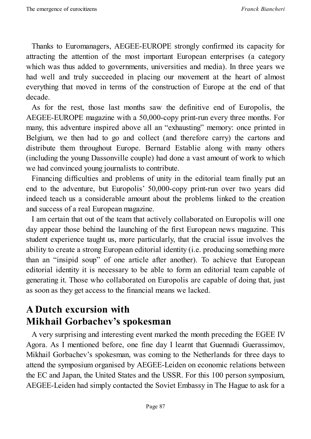Thanks to Euromanagers, AEGEE-EUROPE strongly confirmed its capacity for attracting the attention of the most important European enterprises (a category which was thus added to governments, universities and media). In three years we had well and truly succeeded in placing our movement at the heart of almost everything that moved in terms of the construction of Europe at the end of that decade.

As for the rest, those last months saw the definitive end of Europolis, the AEGEE-EUROPE magazine with a 50,000-copy print-run every three months. For many, this adventure inspired above all an "exhausting" memory: once printed in Belgium, we then had to go and collect (and therefore carry) the cartons and distribute them throughout Europe. Bernard Establie along with many others (including the young Dassonville couple) had done a vast amount of work to which we had convinced young journalists to contribute.

Financing difficulties and problems of unity in the editorial team finally put an end to the adventure, but Europolis' 50,000-copy print-run over two years did indeed teach us a considerable amount about the problems linked to the creation and success of a real European magazine.

I am certain that out of the team that actively collaborated on Europolis will one day appear those behind the launching of the first European news magazine. This student experience taught us, more particularly, that the crucial issue involves the ability to create a strong European editorial identity (i.e. producing something more than an "insipid soup" of one article after another). To achieve that European editorial identity it is necessary to be able to form an editorial team capable of generating it. Those who collaborated on Europolis are capable of doing that, just as soon as they get access to the financial means we lacked.

### **A Dutch excursion with Mikhail Gorbachev's spokesman**

A very surprising and interesting event marked the month preceding the EGEE IV Agora. As I mentioned before, one fine day I learnt that Guennadi Guerassimov, Mikhail Gorbachev's spokesman, was coming to the Netherlands for three days to attend the symposium organised by AEGEE-Leiden on economic relations between the EC and Japan, the United States and the USSR. For this 100 person symposium, AEGEE-Leiden had simply contacted the Soviet Embassy in The Hague to ask for a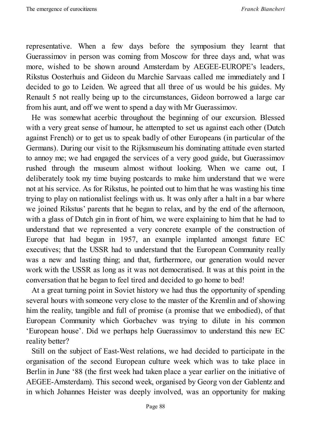representative. When a few days before the symposium they learnt that Guerassimov in person was coming from Moscow for three days and, what was more, wished to be shown around Amsterdam by AEGEE-EUROPE's leaders, Rikstus Oosterhuis and Gideon du Marchie Sarvaas called me immediately and I decided to go to Leiden. We agreed that all three of us would be his guides. My Renault 5 not really being up to the circumstances, Gideon borrowed a large car from his aunt, and off we went to spend a day with Mr Guerassimov.

He was somewhat acerbic throughout the beginning of our excursion. Blessed with a very great sense of humour, he attempted to set us against each other (Dutch against French) or to get us to speak badly of other Europeans (in particular of the Germans). During our visit to the Rijksmuseum his dominating attitude even started to annoy me; we had engaged the services of a very good guide, but Guerassimov rushed through the museum almost without looking. When we came out, I deliberately took my time buying postcards to make him understand that we were not at his service. As for Rikstus, he pointed out to him that he was wasting his time trying to play on nationalist feelings with us. It was only after a halt in a bar where we joined Rikstus' parents that he began to relax, and by the end of the afternoon, with a glass of Dutch gin in front of him, we were explaining to him that he had to understand that we represented a very concrete example of the construction of Europe that had begun in 1957, an example implanted amongst future EC executives; that the USSR had to understand that the European Community really was a new and lasting thing; and that, furthermore, our generation would never work with the USSR as long as it was not democratised. It was at this point in the conversation that he began to feel tired and decided to go home to bed!

At a great turning point in Soviet history we had thus the opportunity of spending several hours with someone very close to the master of the Kremlin and of showing him the reality, tangible and full of promise (a promise that we embodied), of that European Community which Gorbachev was trying to dilute in his common 'European house'. Did we perhaps help Guerassimov to understand this new EC reality better?

Still on the subject of East-West relations, we had decided to participate in the organisation of the second European culture week which was to take place in Berlin in June '88 (the first week had taken place a year earlier on the initiative of AEGEE-Amsterdam). This second week, organised by Georg von der Gablentz and in which Johannes Heister was deeply involved, was an opportunity for making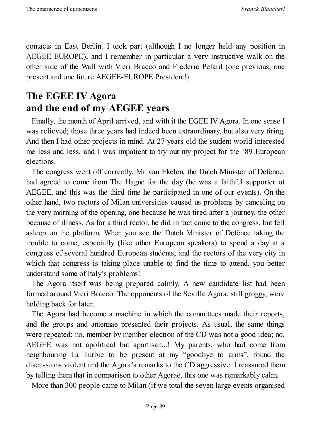contacts in East Berlin. I took part (although I no longer held any position in AEGEE-EUROPE), and I remember in particular a very instructive walk on the other side of the Wall with Vieri Bracco and Frederic Pelard (one previous, one present and one future AEGEE-EUROPE President!)

## **The EGEE IV Agora and the end of my AEGEE years**

Finally, the month of April arrived, and with it the EGEE IV Agora. In one sense I was relieved; those three years had indeed been extraordinary, but also very tiring. And then I had other projects in mind. At 27 years old the student world interested me less and less, and I was impatient to try out my project for the '89 European elections.

The congress went off correctly. Mr van Ekelen, the Dutch Minister of Defence, had agreed to come from The Hague for the day (he was a faithful supporter of AEGEE, and this was the third time he participated in one of our events). On the other hand, two rectors of Milan universities caused us problems by canceling on the very morning of the opening, one because he was tired after a journey, the other because of illness. As for a third rector, he did in fact come to the congress, but fell asleep on the platform. When you see the Dutch Minister of Defence taking the trouble to come, especially (like other European speakers) to spend a day at a congress of several hundred European students, and the rectors of the very city in which that congress is taking place unable to find the time to attend, you better understand some of Italy's problems!

The Agora itself was being prepared calmly. A new candidate list had been formed around Vieri Bracco. The opponents of the Seville Agora, still groggy, were holding back for later.

The Agora had become a machine in which the committees made their reports, and the groups and antennae presented their projects. As usual, the same things were repeated: no, member by member election of the CD was not a good idea; no, AEGEE was not apolitical but apartisan...! My parents, who had come from neighbouring La Turbie to be present at my "goodbye to arms", found the discussions violent and the Agora's remarks to the CD aggressive. I reassured them by telling them that in comparison to other Agorae, this one was remarkably calm.

More than 300 people came to Milan (if we total the seven large events organised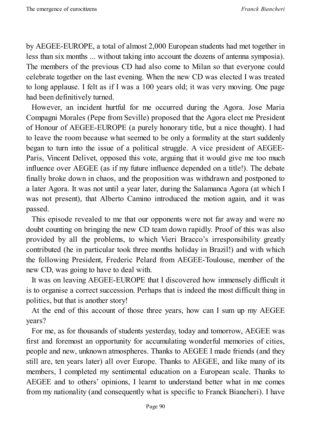by AEGEE-EUROPE, a total of almost 2,000 European students had met together in less than six months ... without taking into account the dozens of antenna symposia). The members of the previous CD had also come to Milan so that everyone could celebrate together on the last evening. When the new CD was elected I was treated to long applause. I felt as if I was a 100 years old; it was very moving. One page had been definitively turned.

However, an incident hurtful for me occurred during the Agora. Jose Maria Compagni Morales (Pepe from Seville) proposed that the Agora elect me President of Honour of AEGEE-EUROPE (a purely honorary title, but a nice thought). I had to leave the room because what seemed to be only a formality at the start suddenly began to turn into the issue of a political struggle. A vice president of AEGEE-Paris, Vincent Delivet, opposed this vote, arguing that it would give me too much influence over AEGEE (as if my future influence depended on a title!). The debate finally broke down in chaos, and the proposition was withdrawn and postponed to a later Agora. It was not until a year later, during the Salamanca Agora (at which I was not present), that Alberto Camino introduced the motion again, and it was passed.

This episode revealed to me that our opponents were not far away and were no doubt counting on bringing the new CD team down rapidly. Proof of this was also provided by all the problems, to which Vieri Bracco's irresponsibility greatly contributed (he in particular took three months holiday in Brazil!) and with which the following President, Frederic Pelard from AEGEE-Toulouse, member of the new CD, was going to have to deal with.

It was on leaving AEGEE-EUROPE that I discovered how immensely difficult it is to organise a correct succession. Perhaps that is indeed the most difficult thing in politics, but that is another story!

At the end of this account of those three years, how can I sum up my AEGEE years?

For me, as for thousands of students yesterday, today and tomorrow, AEGEE was first and foremost an opportunity for accumulating wonderful memories of cities, people and new, unknown atmospheres. Thanks to AEGEE I made friends (and they still are, ten years later) all over Europe. Thanks to AEGEE, and like many of its members, I completed my sentimental education on a European scale. Thanks to AEGEE and to others' opinions, I learnt to understand better what in me comes from my nationality (and consequently what is specific to Franck Biancheri). I have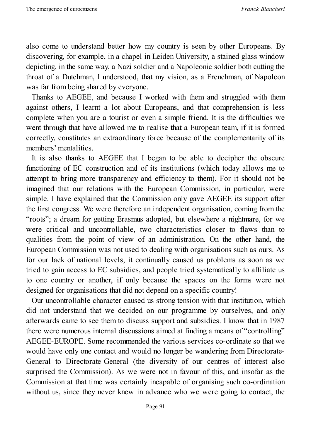also come to understand better how my country is seen by other Europeans. By discovering, for example, in a chapel in Leiden University, a stained glass window depicting, in the same way, a Nazi soldier and a Napoleonic soldier both cutting the throat of a Dutchman, I understood, that my vision, as a Frenchman, of Napoleon was far from being shared by everyone.

Thanks to AEGEE, and because I worked with them and struggled with them against others, I learnt a lot about Europeans, and that comprehension is less complete when you are a tourist or even a simple friend. It is the difficulties we went through that have allowed me to realise that a European team, if it is formed correctly, constitutes an extraordinary force because of the complementarity of its members' mentalities.

It is also thanks to AEGEE that I began to be able to decipher the obscure functioning of EC construction and of its institutions (which today allows me to attempt to bring more transparency and efficiency to them). For it should not be imagined that our relations with the European Commission, in particular, were simple. I have explained that the Commission only gave AEGEE its support after the first congress. We were therefore an independent organisation, coming from the "roots"; a dream for getting Erasmus adopted, but elsewhere a nightmare, for we were critical and uncontrollable, two characteristics closer to flaws than to qualities from the point of view of an administration. On the other hand, the European Commission was not used to dealing with organisations such as ours. As for our lack of national levels, it continually caused us problems as soon as we tried to gain access to EC subsidies, and people tried systematically to affiliate us to one country or another, if only because the spaces on the forms were not designed for organisations that did not depend on a specific country!

Our uncontrollable character caused us strong tension with that institution, which did not understand that we decided on our programme by ourselves, and only afterwards came to see them to discuss support and subsidies. I know that in 1987 there were numerous internal discussions aimed at finding a means of "controlling" AEGEE-EUROPE. Some recommended the various services co-ordinate so that we would have only one contact and would no longer be wandering from Directorate-General to Directorate-General (the diversity of our centres of interest also surprised the Commission). As we were not in favour of this, and insofar as the Commission at that time was certainly incapable of organising such co-ordination without us, since they never knew in advance who we were going to contact, the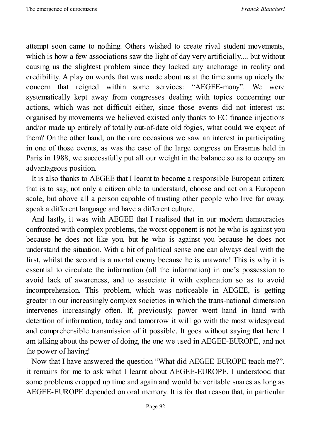attempt soon came to nothing. Others wished to create rival student movements, which is how a few associations saw the light of day very artificially.... but without causing us the slightest problem since they lacked any anchorage in reality and credibility. A play on words that was made about us at the time sums up nicely the concern that reigned within some services: "AEGEE-mony". We were systematically kept away from congresses dealing with topics concerning our actions, which was not difficult either, since those events did not interest us; organised by movements we believed existed only thanks to EC finance injections and/or made up entirely of totally out-of-date old fogies, what could we expect of them? On the other hand, on the rare occasions we saw an interest in participating in one of those events, as was the case of the large congress on Erasmus held in Paris in 1988, we successfully put all our weight in the balance so as to occupy an advantageous position.

It is also thanks to AEGEE that I learnt to become a responsible European citizen; that is to say, not only a citizen able to understand, choose and act on a European scale, but above all a person capable of trusting other people who live far away, speak a different language and have a different culture.

And lastly, it was with AEGEE that I realised that in our modern democracies confronted with complex problems, the worst opponent is not he who is against you because he does not like you, but he who is against you because he does not understand the situation. With a bit of political sense one can always deal with the first, whilst the second is a mortal enemy because he is unaware! This is why it is essential to circulate the information (all the information) in one's possession to avoid lack of awareness, and to associate it with explanation so as to avoid incomprehension. This problem, which was noticeable in AEGEE, is getting greater in our increasingly complex societies in which the trans-national dimension intervenes increasingly often. If, previously, power went hand in hand with detention of information, today and tomorrow it will go with the most widespread and comprehensible transmission of it possible. It goes without saying that here I am talking about the power of doing, the one we used in AEGEE-EUROPE, and not the power of having!

Now that I have answered the question "What did AEGEE-EUROPE teach me?", it remains for me to ask what I learnt about AEGEE-EUROPE. I understood that some problems cropped up time and again and would be veritable snares as long as AEGEE-EUROPE depended on oral memory. It is for that reason that, in particular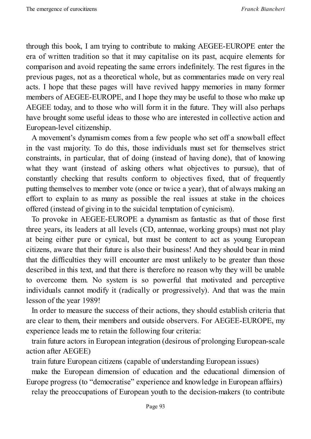through this book, I am trying to contribute to making AEGEE-EUROPE enter the era of written tradition so that it may capitalise on its past, acquire elements for comparison and avoid repeating the same errors indefinitely. The rest figures in the previous pages, not as a theoretical whole, but as commentaries made on very real acts. I hope that these pages will have revived happy memories in many former members of AEGEE-EUROPE, and I hope they may be useful to those who make up AEGEE today, and to those who will form it in the future. They will also perhaps have brought some useful ideas to those who are interested in collective action and European-level citizenship.

A movement's dynamism comes from a few people who set off a snowball effect in the vast majority. To do this, those individuals must set for themselves strict constraints, in particular, that of doing (instead of having done), that of knowing what they want (instead of asking others what objectives to pursue), that of constantly checking that results conform to objectives fixed, that of frequently putting themselves to member vote (once or twice a year), that of always making an effort to explain to as many as possible the real issues at stake in the choices offered (instead of giving in to the suicidal temptation of cynicism).

To provoke in AEGEE-EUROPE a dynamism as fantastic as that of those first three years, its leaders at all levels (CD, antennae, working groups) must not play at being either pure or cynical, but must be content to act as young European citizens, aware that their future is also their business! And they should bear in mind that the difficulties they will encounter are most unlikely to be greater than those described in this text, and that there is therefore no reason why they will be unable to overcome them. No system is so powerful that motivated and perceptive individuals cannot modify it (radically or progressively). And that was the main lesson of the year 1989!

In order to measure the success of their actions, they should establish criteria that are clear to them, their members and outside observers. For AEGEE-EUROPE, my experience leads me to retain the following four criteria:

train future actors in European integration (desirous of prolonging European-scale action after AEGEE)

train future European citizens (capable of understanding European issues)

make the European dimension of education and the educational dimension of Europe progress (to "democratise" experience and knowledge in European affairs) relay the preoccupations of European youth to the decision-makers (to contribute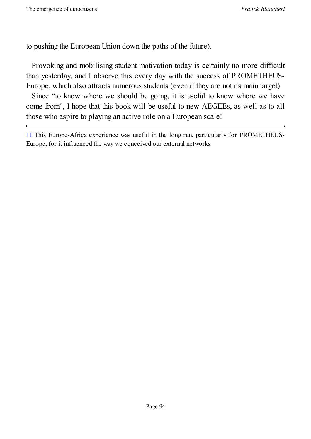to pushing the European Union down the paths of the future).

Provoking and mobilising student motivation today is certainly no more difficult than yesterday, and I observe this every day with the success of PROMETHEUS-Europe, which also attracts numerous students (even if they are not its main target).

Since "to know where we should be going, it is useful to know where we have come from", I hope that this book will be useful to new AEGEEs, as well as to all those who aspire to playing an active role on a European scale!

11 This Europe-Africa experience was useful in the long run, particularly for PROMETHEUS-Europe, for it influenced the way we conceived our external networks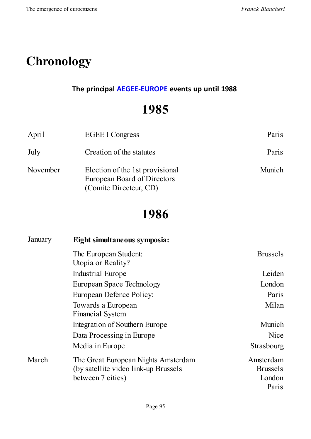# **Chronology**

#### **The principal AEGEE-EUROPE events up until 1988**

## **[1985](http://www.aegee.org/)**

| April    | <b>EGEE I Congress</b>                                                                          | Paris  |
|----------|-------------------------------------------------------------------------------------------------|--------|
| July     | Creation of the statutes                                                                        | Paris  |
| November | Election of the 1st provisional<br><b>European Board of Directors</b><br>(Comite Directeur, CD) | Munich |

# **1986**

| January | Eight simultaneous symposia:                                                 |                              |
|---------|------------------------------------------------------------------------------|------------------------------|
|         | The European Student:<br>Utopia or Reality?                                  | <b>Brussels</b>              |
|         | Industrial Europe                                                            | Leiden                       |
|         | <b>European Space Technology</b>                                             | London                       |
|         | European Defence Policy:                                                     | Paris                        |
|         | Towards a European<br><b>Financial System</b>                                | Milan                        |
|         | Integration of Southern Europe                                               | Munich                       |
|         | Data Processing in Europe                                                    | <b>Nice</b>                  |
|         | Media in Europe                                                              | Strasbourg                   |
| March   | The Great European Nights Amsterdam<br>(by satellite video link-up Brussels) | Amsterdam<br><b>Brussels</b> |
|         | between 7 cities)                                                            | London                       |
|         |                                                                              | Paris                        |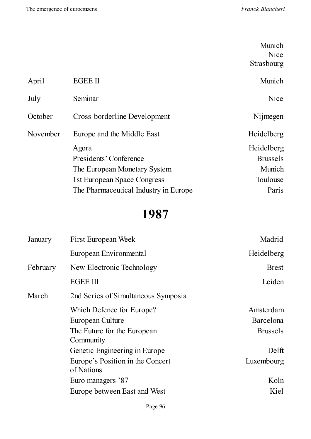|          |                                       | Munich          |
|----------|---------------------------------------|-----------------|
|          |                                       | Nice            |
|          |                                       | Strasbourg      |
| April    | <b>EGEE II</b>                        | Munich          |
| July     | Seminar                               | <b>Nice</b>     |
| October  | Cross-borderline Development          | Nijmegen        |
| November | Europe and the Middle East            | Heidelberg      |
|          | Agora                                 | Heidelberg      |
|          | Presidents' Conference                | <b>Brussels</b> |
|          | The European Monetary System          | Munich          |
|          | 1st European Space Congress           | Toulouse        |
|          | The Pharmaceutical Industry in Europe | Paris           |
|          |                                       |                 |

# **1987**

| January  | First European Week                            | Madrid          |
|----------|------------------------------------------------|-----------------|
|          | European Environmental                         | Heidelberg      |
| February | New Electronic Technology                      | <b>Brest</b>    |
|          | <b>EGEE III</b>                                | Leiden          |
| March    | 2nd Series of Simultaneous Symposia            |                 |
|          | Which Defence for Europe?                      | Amsterdam       |
|          | European Culture                               | Barcelona       |
|          | The Future for the European<br>Community       | <b>Brussels</b> |
|          | Genetic Engineering in Europe                  | Delft           |
|          | Europe's Position in the Concert<br>of Nations | Luxembourg      |
|          | Euro managers '87                              | Koln            |
|          | Europe between East and West                   | Kiel            |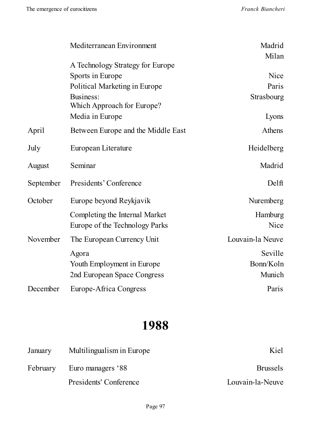|           | Mediterranean Environment                                          | Madrid<br>Milan                |
|-----------|--------------------------------------------------------------------|--------------------------------|
|           | A Technology Strategy for Europe                                   |                                |
|           | Sports in Europe                                                   | Nice                           |
|           | Political Marketing in Europe                                      | Paris                          |
|           | Business:<br>Which Approach for Europe?                            | Strasbourg                     |
|           | Media in Europe                                                    | Lyons                          |
| April     | Between Europe and the Middle East                                 | Athens                         |
| July      | European Literature                                                | Heidelberg                     |
| August    | Seminar                                                            | Madrid                         |
| September | Presidents' Conference                                             | Delft                          |
| October   | Europe beyond Reykjavik                                            | Nuremberg                      |
|           | Completing the Internal Market<br>Europe of the Technology Parks   | Hamburg<br>Nice                |
| November  | The European Currency Unit                                         | Louvain-la Neuve               |
|           | Agora<br>Youth Employment in Europe<br>2nd European Space Congress | Seville<br>Bonn/Koln<br>Munich |
| December  | Europe-Africa Congress                                             | Paris                          |

## **1988**

| January | Multilingualism in Europe  | Kiel             |
|---------|----------------------------|------------------|
|         | February Euro managers '88 | <b>Brussels</b>  |
|         | Presidents' Conference     | Louvain-la-Neuve |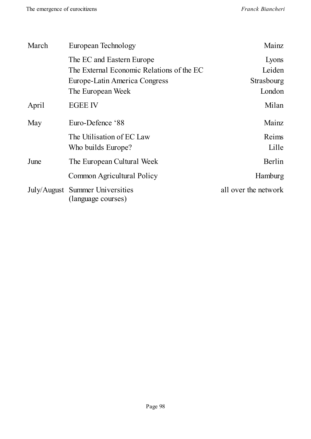| March | European Technology                                   | Mainz                |
|-------|-------------------------------------------------------|----------------------|
|       | The EC and Eastern Europe                             | Lyons                |
|       | The External Economic Relations of the EC             | Leiden               |
|       | Europe-Latin America Congress                         | Strasbourg           |
|       | The European Week                                     | London               |
| April | <b>EGEE IV</b>                                        | Milan                |
| May   | Euro-Defence '88                                      | Mainz                |
|       | The Utilisation of EC Law                             | Reims                |
|       | Who builds Europe?                                    | Lille                |
| June  | The European Cultural Week                            | Berlin               |
|       | Common Agricultural Policy                            | Hamburg              |
|       | July/August Summer Universities<br>(language courses) | all over the network |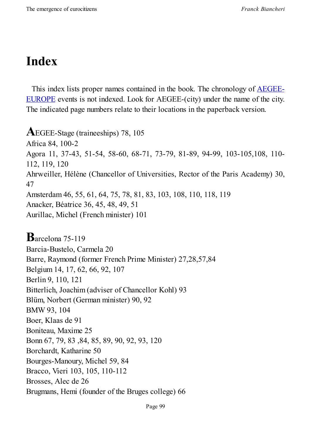# **Index**

This index lists proper names contained in the book. The chronology of AEGEE-EUROPE events is not indexed. Look for AEGEE-(city) under the name of the city. The indicated page numbers relate to their locations in the [paperback](http://www.aegee.org/) version.

**A**EGEE-Stage (traineeships) 78, <sup>105</sup> Africa 84, 100-2 Agora 11, 37-43, 51-54, 58-60, 68-71, 73-79, 81-89, 94-99, 103-105,108, 110- 112, 119, 120 Ahrweiller, Hélène (Chancellor of Universities, Rector of the Paris Academy) 30, 47 Amsterdam 46, 55, 61, 64, 75, 78, 81, 83, 103, 108, 110, 118, 119 Anacker, Béatrice 36, 45, 48, 49, 51 Aurillac, Michel (French minister) 101

**B**arcelona 75-119 Barcia-Bustelo, Carmela 20 Barre, Raymond (former French Prime Minister) 27,28,57,84 Belgium 14, 17, 62, 66, 92, 107 Berlin 9, 110, 121 Bitterlich, Joachim (adviser of Chancellor Kohl) 93 Blüm, Norbert (German minister) 90, 92 BMW 93, 104 Boer, Klaas de 91 Boniteau, Maxime 25 Bonn 67, 79, 83 ,84, 85, 89, 90, 92, 93, 120 Borchardt, Katharine 50 Bourges-Manoury, Michel 59, 84 Bracco, Vieri 103, 105, 110-112 Brosses, Alec de 26 Brugmans, Hemi (founder of the Bruges college) 66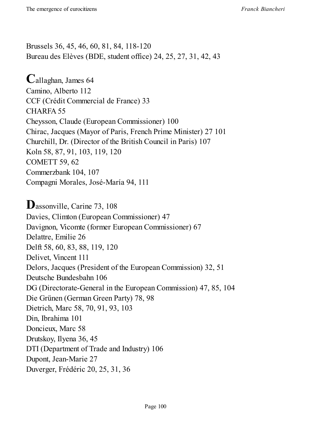Brussels 36, 45, 46, 60, 81, 84, 118-120 Bureau des Elèves (BDE, student office) 24, 25, 27, 31, 42, 43

**C**allaghan, James <sup>64</sup> Camino, Alberto 112 CCF (Crédit Commercial de France) 33 CHARFA 55 Cheysson, Claude (European Commissioner) 100 Chirac, Jacques (Mayor of Paris, French Prime Minister) 27 101 Churchill, Dr. (Director of the British Council in Paris) 107 Koln 58, 87, 91, 103, 119, 120 COMETT 59, 62 Commerzbank 104, 107 Compagni Morales, José-María 94, 111

Dassonville, Carine 73, 108 Davies, Climton (European Commissioner) 47 Davignon, Vicomte (former European Commissioner) 67 Delattre, Emilie 26 Delft 58, 60, 83, 88, 119, 120 Delivet, Vincent 111 Delors, Jacques (President of the European Commission) 32, 51 Deutsche Bundesbahn 106 DG (Directorate-General in the European Commission) 47, 85, 104 Die Grünen (German Green Party) 78, 98 Dietrich, Marc 58, 70, 91, 93, 103 Din, Ibrahima 101 Doncieux, Marc 58 Drutskoy, Ilyena 36, 45 DTI (Department of Trade and Industry) 106 Dupont, Jean-Marie 27 Duverger, Frédéric 20, 25, 31, 36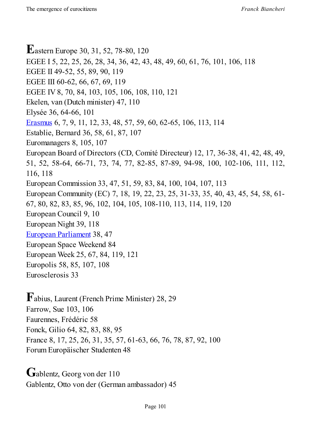**E**astern Europe 30, 31, 52, 78-80, <sup>120</sup> EGEE I 5, 22, 25, 26, 28, 34, 36, 42, 43, 48, 49, 60, 61, 76, 101, 106, 118 EGEE II 49-52, 55, 89, 90, 119 EGEE III 60-62, 66, 67, 69, 119 EGEE IV 8, 70, 84, 103, 105, 106, 108, 110, 121 Ekelen, van (Dutch minister) 47, 110 Elysée 36, 64-66, 101 Erasmus 6, 7, 9, 11, 12, 33, 48, 57, 59, 60, 62-65, 106, 113, 114 Establie, Bernard 36, 58, 61, 87, 107 Euromanagers 8, 105, 107 [European](http://en.wikipedia.org/wiki/Erasmus_Programme) Board of Directors (CD, Comité Directeur) 12, 17, 36-38, 41, 42, 48, 49, 51, 52, 58-64, 66-71, 73, 74, 77, 82-85, 87-89, 94-98, 100, 102-106, 111, 112, 116, 118 European Commission 33, 47, 51, 59, 83, 84, 100, 104, 107, 113 European Community (EC) 7, 18, 19, 22, 23, 25, 31-33, 35, 40, 43, 45, 54, 58, 61- 67, 80, 82, 83, 85, 96, 102, 104, 105, 108-110, 113, 114, 119, 120 European Council 9, 10 European Night 39, 118 European Parliament 38, 47 European Space Weekend 84 European Week 25, 67, 84, 119, 121 [Europolis](http://www.europarl.europa.eu/portal/en) 58, 85, 107, 108 Eurosclerosis 33

**F**abius, Laurent (French Prime Minister) 28, <sup>29</sup> Farrow, Sue 103, 106 Faurennes, Frédéric 58 Fonck, Gilio 64, 82, 83, 88, 95 France 8, 17, 25, 26, 31, 35, 57, 61-63, 66, 76, 78, 87, 92, 100 Forum Europäischer Studenten 48

Gablentz, Georg von der 110 Gablentz, Otto von der (German ambassador) 45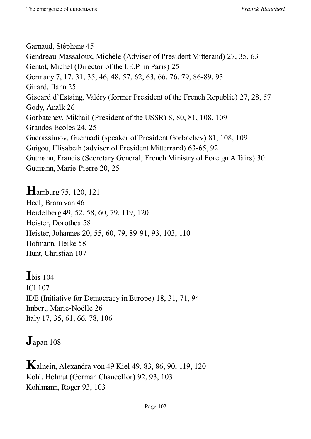Garnaud, Stéphane 45 Gendreau-Massaloux, Michèle (Adviser of President Mitterand) 27, 35, 63 Gentot, Michel (Director of the I.E.P. in Paris) 25 Germany 7, 17, 31, 35, 46, 48, 57, 62, 63, 66, 76, 79, 86-89, 93 Girard, Ilann 25 Giscard d'Estaing, Valéry (former President of the French Republic) 27, 28, 57 Gody, Anaïk 26 Gorbatchev, Mikhail (President of the USSR) 8, 80, 81, 108, 109 Grandes Ecoles 24, 25 Guerassimov, Guennadi (speaker of President Gorbachev) 81, 108, 109 Guigou, Elisabeth (adviser of President Mitterrand) 63-65, 92 Gutmann, Francis (Secretary General, French Ministry of Foreign Affairs) 30 Gutmann, Marie-Pierre 20, 25

**H**amburg 75, 120, <sup>121</sup> Heel, Bram van 46 Heidelberg 49, 52, 58, 60, 79, 119, 120 Heister, Dorothea 58 Heister, Johannes 20, 55, 60, 79, 89-91, 93, 103, 110 Hofmann, Heike 58 Hunt, Christian 107

**I**bis <sup>104</sup> ICI 107 IDE (Initiative for Democracy in Europe) 18, 31, 71, 94 Imbert, Marie-Noëlle 26 Italy 17, 35, 61, 66, 78, 106

**J**apan <sup>108</sup>

**K**alnein, Alexandra von <sup>49</sup> Kiel 49, 83, 86, 90, 119, <sup>120</sup> Kohl, Helmut (German Chancellor) 92, 93, 103 Kohlmann, Roger 93, 103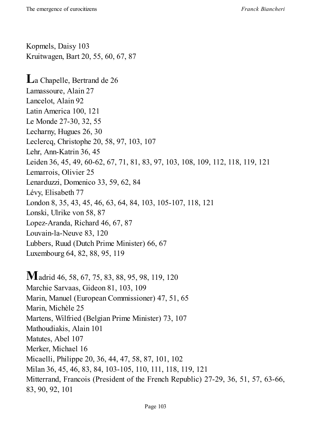Kopmels, Daisy 103 Kruitwagen, Bart 20, 55, 60, 67, 87 **L**<sup>a</sup> Chapelle, Bertrand de <sup>26</sup> Lamassoure, Alain 27 Lancelot, Alain 92 Latin America 100, 121 Le Monde 27-30, 32, 55 Lecharny, Hugues 26, 30 Leclercq, Christophe 20, 58, 97, 103, 107 Lehr, Ann-Katrin 36, 45 Leiden 36, 45, 49, 60-62, 67, 71, 81, 83, 97, 103, 108, 109, 112, 118, 119, 121 Lemarrois, Olivier 25 Lenarduzzi, Domenico 33, 59, 62, 84 Lévy, Elisabeth 77 London 8, 35, 43, 45, 46, 63, 64, 84, 103, 105-107, 118, 121 Lonski, Ulrike von 58, 87 Lopez-Aranda, Richard 46, 67, 87 Louvain-la-Neuve 83, 120 Lubbers, Ruud (Dutch Prime Minister) 66, 67 Luxembourg 64, 82, 88, 95, 119

**M**adrid 46, 58, 67, 75, 83, 88, 95, 98, 119, <sup>120</sup> Marchie Sarvaas, Gideon 81, 103, 109 Marin, Manuel (European Commissioner) 47, 51, 65 Marin, Michèle 25 Martens, Wilfried (Belgian Prime Minister) 73, 107 Mathoudiakis, Alain 101 Matutes, Abel 107 Merker, Michael 16 Micaelli, Philippe 20, 36, 44, 47, 58, 87, 101, 102 Milan 36, 45, 46, 83, 84, 103-105, 110, 111, 118, 119, 121 Mitterrand, Francois (President of the French Republic) 27-29, 36, 51, 57, 63-66, 83, 90, 92, 101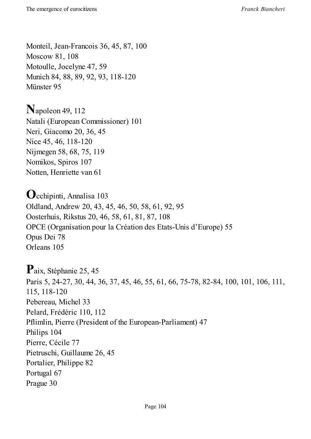Monteil, Jean-Francois 36, 45, 87, 100 Moscow 81, 108 Motoulle, Jocelyne 47, 59 Munich 84, 88, 89, 92, 93, 118-120 Münster 95

**N**apoleon 49, <sup>112</sup> Natali (European Commissioner) 101 Neri, Giacomo 20, 36, 45 Nice 45, 46, 118-120 Nijmegen 58, 68, 75, 119 Nomikos, Spiros 107 Notten, Henriette van 61

**O**cchipinti, Annalisa <sup>103</sup> Oldland, Andrew 20, 43, 45, 46, 50, 58, 61, 92, 95 Oosterhuis, Rikstus 20, 46, 58, 61, 81, 87, 108 OPCE (Organisation pour la Création des Etats-Unis d'Europe) 55 Opus Dei 78 Orleans 105

**P**aix, Stéphanie 25, <sup>45</sup> Paris 5, 24-27, 30, 44, 36, 37, 45, 46, 55, 61, 66, 75-78, 82-84, 100, 101, 106, 111, 115, 118-120 Pebereau, Michel 33 Pelard, Frédéric 110, 112 Pflimlin, Pierre (President of the European-Parliament) 47 Philips 104 Pierre, Cécile 77 Pietruschi, Guillaume 26, 45 Portalier, Philippe 82 Portugal 67 Prague 30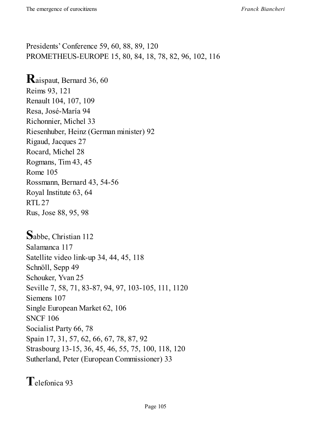Presidents' Conference 59, 60, 88, 89, 120 PROMETHEUS-EUROPE 15, 80, 84, 18, 78, 82, 96, 102, 116

### **R**aispaut, Bernard 36, <sup>60</sup>

Reims 93, 121 Renault 104, 107, 109 Resa, José-María 94 Richonnier, Michel 33 Riesenhuber, Heinz (German minister) 92 Rigaud, Jacques 27 Rocard, Michel 28 Rogmans, Tim 43, 45 Rome 105 Rossmann, Bernard 43, 54-56 Royal Institute 63, 64 RTL27 Rus, Jose 88, 95, 98

**S**abbe, Christian <sup>112</sup> Salamanca 117 Satellite video link-up 34, 44, 45, 118 Schnöll, Sepp 49 Schouker, Yvan 25 Seville 7, 58, 71, 83-87, 94, 97, 103-105, 111, 1120 Siemens 107 Single European Market 62, 106 SNCF 106 Socialist Party 66, 78 Spain 17, 31, 57, 62, 66, 67, 78, 87, 92 Strasbourg 13-15, 36, 45, 46, 55, 75, 100, 118, 120 Sutherland, Peter (European Commissioner) 33

**T**elefonica <sup>93</sup>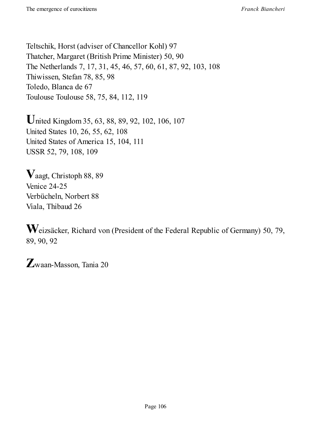Teltschik, Horst (adviser of Chancellor Kohl) 97 Thatcher, Margaret (British Prime Minister) 50, 90 The Netherlands 7, 17, 31, 45, 46, 57, 60, 61, 87, 92, 103, 108 Thiwissen, Stefan 78, 85, 98 Toledo, Blanca de 67 Toulouse Toulouse 58, 75, 84, 112, 119

**U**nited Kingdom 35, 63, 88, 89, 92, 102, 106, <sup>107</sup> United States 10, 26, 55, 62, 108 United States of America 15, 104, 111 USSR 52, 79, 108, 109

**V**aagt, Christoph 88, <sup>89</sup> Venice 24-25 Verbücheln, Norbert 88 Viala, Thibaud 26

**W**eizsäcker, Richard von (President of the Federal Republic of Germany) 50, 79, 89, 90, 92

**Z**waan-Masson, Tania <sup>20</sup>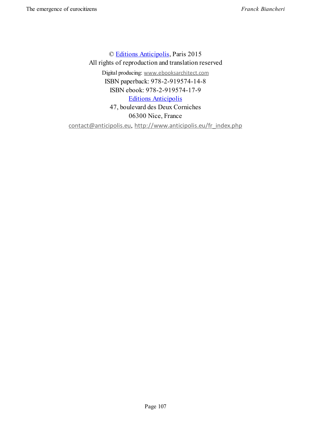© Editions Anticipolis, Paris 2015 All rights of reproduction and translation reserved Digital producing: www.ebooksarchitect.com ISBN [paperback:](http://www.anticipolis.eu/en_index.php) 978-2-919574-14-8 ISBN ebook: 978-2-919574-17-9 Editions [Anticipolis](http://www.anticipolis.eu/fr_index.php) 47, boulevard des Deux Corniches 06300 Nice, France contact@anticipolis.eu, [http://www.antic](http://www.anticipolis.eu/en_index.php)ipolis.eu/fr\_index.php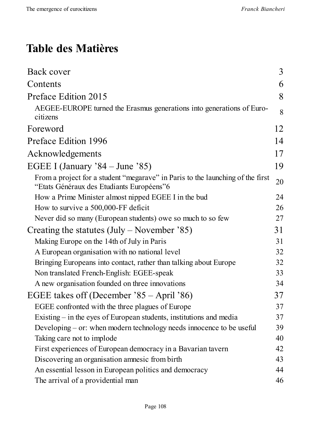## **Table des Matières**

| Back cover                                                                                                                  | 3  |
|-----------------------------------------------------------------------------------------------------------------------------|----|
| Contents                                                                                                                    | 6  |
| Preface Edition 2015                                                                                                        | 8  |
| AEGEE-EUROPE turned the Erasmus generations into generations of Euro-<br>citizens                                           | 8  |
| Foreword                                                                                                                    | 12 |
| Preface Edition 1996                                                                                                        | 14 |
| Acknowledgements                                                                                                            | 17 |
| EGEE I (January $84 -$ June $85$ )                                                                                          | 19 |
| From a project for a student "megarave" in Paris to the launching of the first<br>"Etats Généraux des Etudiants Européens"6 | 20 |
| How a Prime Minister almost nipped EGEE I in the bud                                                                        | 24 |
| How to survive a 500,000-FF deficit                                                                                         | 26 |
| Never did so many (European students) owe so much to so few                                                                 | 27 |
| Creating the statutes $(July - November '85)$                                                                               | 31 |
| Making Europe on the 14th of July in Paris                                                                                  | 31 |
| A European organisation with no national level                                                                              | 32 |
| Bringing Europeans into contact, rather than talking about Europe                                                           | 32 |
| Non translated French-English: EGEE-speak                                                                                   | 33 |
| A new organisation founded on three innovations                                                                             | 34 |
| EGEE takes off (December '85 – April '86)                                                                                   | 37 |
| EGEE confronted with the three plagues of Europe                                                                            | 37 |
| Existing $-$ in the eyes of European students, institutions and media                                                       | 37 |
| Developing $-$ or: when modern technology needs innocence to be useful                                                      | 39 |
| Taking care not to implode                                                                                                  | 40 |
| First experiences of European democracy in a Bavarian tavern                                                                | 42 |
| Discovering an organisation amnesic from birth                                                                              | 43 |
| An essential lesson in European politics and democracy                                                                      | 44 |
| The arrival of a providential man                                                                                           | 46 |